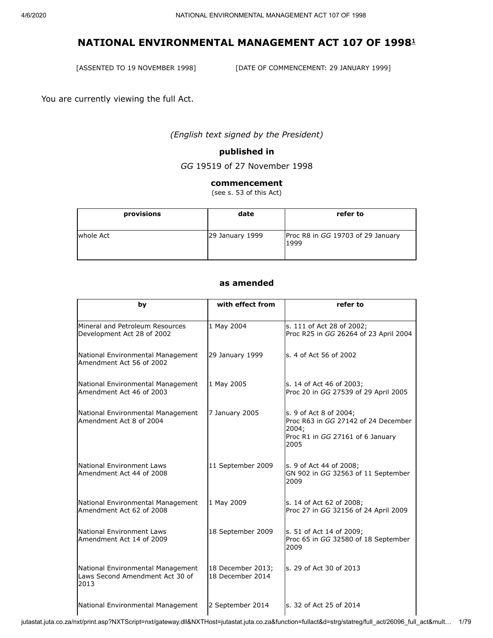[ASSENTED TO 19 NOVEMBER 1998] [DATE OF COMMENCEMENT: 29 JANUARY 1999]

You are currently viewing the full Act.

*(English text signed by the President)*

## **published in**

*GG* 19519 of 27 November 1998

#### **commencement**

(see s. 53 of this Act)

| provisions | date               | refer to                                  |
|------------|--------------------|-------------------------------------------|
| whole Act  | $ 29$ January 1999 | Proc R8 in GG 19703 of 29 January<br>1999 |

#### **as amended**

| bv                                                                           | with effect from                      | refer to                                                                                                           |
|------------------------------------------------------------------------------|---------------------------------------|--------------------------------------------------------------------------------------------------------------------|
| Mineral and Petroleum Resources<br>Development Act 28 of 2002                | 1 May 2004                            | s. 111 of Act 28 of 2002;<br>Proc R25 in GG 26264 of 23 April 2004                                                 |
| National Environmental Management<br>Amendment Act 56 of 2002                | 29 January 1999                       | s. 4 of Act 56 of 2002                                                                                             |
| National Environmental Management<br>Amendment Act 46 of 2003                | 1 May 2005                            | s. 14 of Act 46 of 2003;<br>Proc 20 in GG 27539 of 29 April 2005                                                   |
| National Environmental Management<br>Amendment Act 8 of 2004                 | 7 January 2005                        | s. 9 of Act 8 of 2004;<br>Proc R63 in GG 27142 of 24 December<br>2004:<br>Proc R1 in GG 27161 of 6 January<br>2005 |
| National Environment Laws<br>Amendment Act 44 of 2008                        | 11 September 2009                     | s. 9 of Act 44 of 2008;<br>GN 902 in GG 32563 of 11 September<br>2009                                              |
| National Environmental Management<br>Amendment Act 62 of 2008                | 1 May 2009                            | s. 14 of Act 62 of 2008;<br>Proc 27 in GG 32156 of 24 April 2009                                                   |
| National Environment Laws<br>Amendment Act 14 of 2009                        | 18 September 2009                     | s. 51 of Act 14 of 2009;<br>Proc 65 in GG 32580 of 18 September<br>2009                                            |
| National Environmental Management<br>Laws Second Amendment Act 30 of<br>2013 | 18 December 2013;<br>18 December 2014 | ls. 29 of Act 30 of 2013                                                                                           |
| National Environmental Management                                            | 2 September 2014                      | s. 32 of Act 25 of 2014                                                                                            |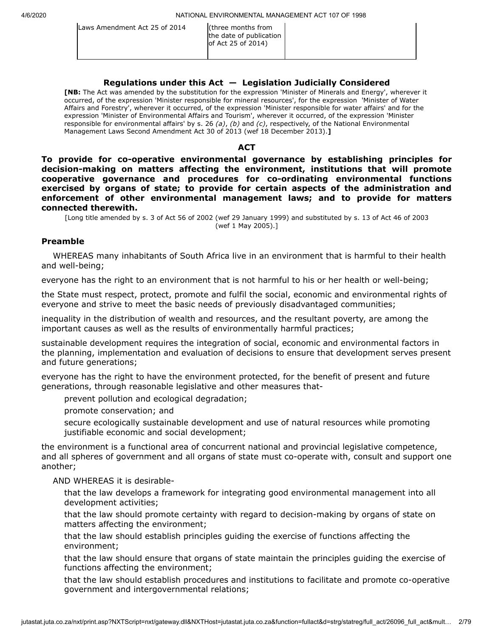Laws Amendment Act 25 of 2014 (three months from

the date of publication of Act 25 of 2014)

#### **Regulations under this Act — Legislation Judicially Considered**

**[NB:** The Act was amended by the substitution for the expression 'Minister of Minerals and Energy', wherever it occurred, of the expression 'Minister responsible for mineral resources', for the expression 'Minister of Water Affairs and Forestry', wherever it occurred, of the expression 'Minister responsible for water affairs' and for the expression 'Minister of Environmental Affairs and Tourism', wherever it occurred, of the expression 'Minister responsible for environmental affairs' by s. 26 *(a)*, *(b)* and *(c)*, respectively, of the National Environmental Management Laws Second Amendment Act 30 of 2013 (wef 18 December 2013).**]**

#### **ACT**

**To provide for co-operative environmental governance by establishing principles for decision-making on matters affecting the environment, institutions that will promote cooperative governance and procedures for co-ordinating environmental functions exercised by organs of state; to provide for certain aspects of the administration and enforcement of other environmental management laws; and to provide for matters connected therewith.**

[Long title amended by s. 3 of Act 56 of 2002 (wef 29 January 1999) and substituted by s. 13 of Act 46 of 2003 (wef 1 May 2005).]

#### **Preamble**

WHEREAS many inhabitants of South Africa live in an environment that is harmful to their health and well-being;

everyone has the right to an environment that is not harmful to his or her health or well-being;

the State must respect, protect, promote and fulfil the social, economic and environmental rights of everyone and strive to meet the basic needs of previously disadvantaged communities;

inequality in the distribution of wealth and resources, and the resultant poverty, are among the important causes as well as the results of environmentally harmful practices;

sustainable development requires the integration of social, economic and environmental factors in the planning, implementation and evaluation of decisions to ensure that development serves present and future generations;

everyone has the right to have the environment protected, for the benefit of present and future generations, through reasonable legislative and other measures that-

prevent pollution and ecological degradation;

promote conservation; and

secure ecologically sustainable development and use of natural resources while promoting justifiable economic and social development;

the environment is a functional area of concurrent national and provincial legislative competence, and all spheres of government and all organs of state must co-operate with, consult and support one another;

#### AND WHEREAS it is desirable-

that the law develops a framework for integrating good environmental management into all development activities;

that the law should promote certainty with regard to decision-making by organs of state on matters affecting the environment;

that the law should establish principles guiding the exercise of functions affecting the environment;

that the law should ensure that organs of state maintain the principles guiding the exercise of functions affecting the environment;

that the law should establish procedures and institutions to facilitate and promote co-operative government and intergovernmental relations;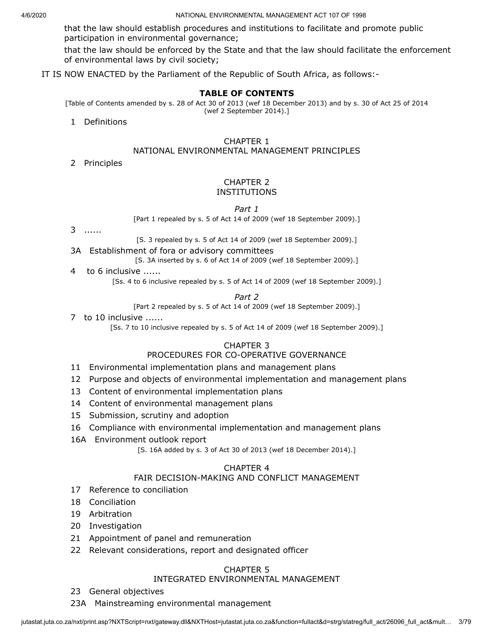that the law should establish procedures and institutions to facilitate and promote public participation in environmental governance;

that the law should be enforced by the State and that the law should facilitate the enforcement of environmental laws by civil society;

IT IS NOW ENACTED by the Parliament of the Republic of South Africa, as follows:-

#### **TABLE OF CONTENTS**

[Table of Contents amended by s. 28 of Act 30 of 2013 (wef 18 December 2013) and by s. 30 of Act 25 of 2014 (wef 2 September 2014).]

1 Definitions

## CHAPTER 1

# NATIONAL ENVIRONMENTAL MANAGEMENT PRINCIPLES

2 Principles

#### CHAPTER 2 INSTITUTIONS

*Part 1*

[Part 1 repealed by s. 5 of Act 14 of 2009 (wef 18 September 2009).]

3 ......

[S. 3 repealed by s. 5 of Act 14 of 2009 (wef 18 September 2009).]

3A Establishment of fora or advisory committees

[S. 3A inserted by s. 6 of Act 14 of 2009 (wef 18 September 2009).]

4 to 6 inclusive ......

[Ss. 4 to 6 inclusive repealed by s. 5 of Act 14 of 2009 (wef 18 September 2009).]

*Part 2*

[Part 2 repealed by s. 5 of Act 14 of 2009 (wef 18 September 2009).]

7 to 10 inclusive ......

[Ss. 7 to 10 inclusive repealed by s. 5 of Act 14 of 2009 (wef 18 September 2009).]

# CHAPTER 3

# PROCEDURES FOR CO-OPERATIVE GOVERNANCE

- 11 Environmental implementation plans and management plans
- 12 Purpose and objects of environmental implementation and management plans
- 13 Content of environmental implementation plans
- 14 Content of environmental management plans
- 15 Submission, scrutiny and adoption
- 16 Compliance with environmental implementation and management plans
- 16A Environment outlook report

[S. 16A added by s. 3 of Act 30 of 2013 (wef 18 December 2014).]

## CHAPTER 4

## FAIR DECISION-MAKING AND CONFLICT MANAGEMENT

- 17 Reference to conciliation
- 18 Conciliation
- 19 Arbitration
- 20 Investigation
- 21 Appointment of panel and remuneration
- 22 Relevant considerations, report and designated officer

## CHAPTER 5

## INTEGRATED ENVIRONMENTAL MANAGEMENT

- 23 General objectives
- 23A Mainstreaming environmental management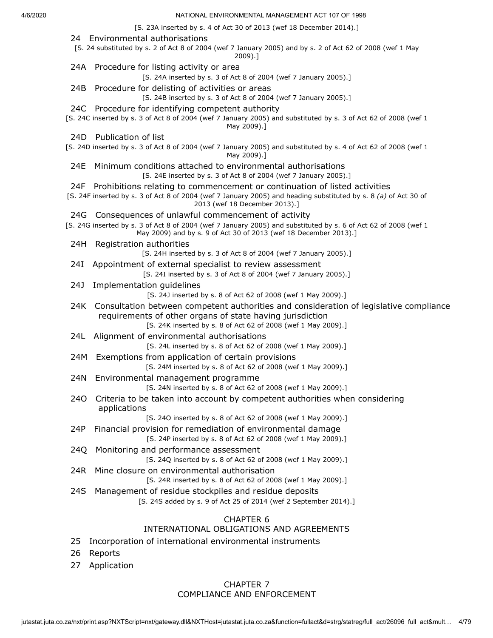#### [S. 23A inserted by s. 4 of Act 30 of 2013 (wef 18 December 2014).]

- 24 Environmental authorisations
- [S. 24 substituted by s. 2 of Act 8 of 2004 (wef 7 January 2005) and by s. 2 of Act 62 of 2008 (wef 1 May
	- 2009).]
- 24A Procedure for listing activity or area

[S. 24A inserted by s. 3 of Act 8 of 2004 (wef 7 January 2005).]

24B Procedure for delisting of activities or areas

[S. 24B inserted by s. 3 of Act 8 of 2004 (wef 7 January 2005).]

- 24C Procedure for identifying competent authority
- [S. 24C inserted by s. 3 of Act 8 of 2004 (wef 7 January 2005) and substituted by s. 3 of Act 62 of 2008 (wef 1 May 2009).]
- 24D Publication of list
- [S. 24D inserted by s. 3 of Act 8 of 2004 (wef 7 January 2005) and substituted by s. 4 of Act 62 of 2008 (wef 1 May 2009).]

24E Minimum conditions attached to environmental authorisations [S. 24E inserted by s. 3 of Act 8 of 2004 (wef 7 January 2005).]

- 24F Prohibitions relating to commencement or continuation of listed activities
- [S. 24F inserted by s. 3 of Act 8 of 2004 (wef 7 January 2005) and heading substituted by s. 8 *(a)* of Act 30 of 2013 (wef 18 December 2013).]
- 24G Consequences of unlawful commencement of activity
- [S. 24G inserted by s. 3 of Act 8 of 2004 (wef 7 January 2005) and substituted by s. 6 of Act 62 of 2008 (wef 1 May 2009) and by s. 9 of Act 30 of 2013 (wef 18 December 2013).]
- 24H Registration authorities

[S. 24H inserted by s. 3 of Act 8 of 2004 (wef 7 January 2005).]

24I Appointment of external specialist to review assessment

[S. 24I inserted by s. 3 of Act 8 of 2004 (wef 7 January 2005).]

24J Implementation guidelines

[S. 24J inserted by s. 8 of Act 62 of 2008 (wef 1 May 2009).]

24K Consultation between competent authorities and consideration of legislative compliance requirements of other organs of state having jurisdiction

[S. 24K inserted by s. 8 of Act 62 of 2008 (wef 1 May 2009).]

24L Alignment of environmental authorisations

[S. 24L inserted by s. 8 of Act 62 of 2008 (wef 1 May 2009).]

24M Exemptions from application of certain provisions

[S. 24M inserted by s. 8 of Act 62 of 2008 (wef 1 May 2009).]

24N Environmental management programme

[S. 24N inserted by s. 8 of Act 62 of 2008 (wef 1 May 2009).]

24O Criteria to be taken into account by competent authorities when considering applications

[S. 24O inserted by s. 8 of Act 62 of 2008 (wef 1 May 2009).]

- 24P Financial provision for remediation of environmental damage
	- [S. 24P inserted by s. 8 of Act 62 of 2008 (wef 1 May 2009).]
- 24Q Monitoring and performance assessment

[S. 24Q inserted by s. 8 of Act 62 of 2008 (wef 1 May 2009).]

24R Mine closure on environmental authorisation

[S. 24R inserted by s. 8 of Act 62 of 2008 (wef 1 May 2009).]

24S Management of residue stockpiles and residue deposits

[S. 24S added by s. 9 of Act 25 of 2014 (wef 2 September 2014).]

#### CHAPTER 6

# INTERNATIONAL OBLIGATIONS AND AGREEMENTS

- 25 Incorporation of international environmental instruments
- 26 Reports
- 27 Application

# CHAPTER 7

# COMPLIANCE AND ENFORCEMENT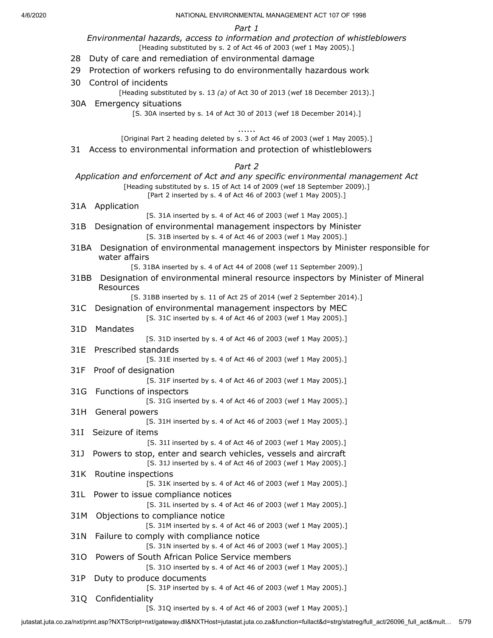#### *Part 1*

*Environmental hazards, access to information and protection of whistleblowers* [Heading substituted by s. 2 of Act 46 of 2003 (wef 1 May 2005).]

- 28 Duty of care and remediation of environmental damage
- 29 Protection of workers refusing to do environmentally hazardous work
- 30 Control of incidents
	- [Heading substituted by s. 13 *(a)* of Act 30 of 2013 (wef 18 December 2013).]
- 30A Emergency situations

[S. 30A inserted by s. 14 of Act 30 of 2013 (wef 18 December 2014).]

- ...... [Original Part 2 heading deleted by s. 3 of Act 46 of 2003 (wef 1 May 2005).]
- 31 Access to environmental information and protection of whistleblowers

# *Part 2*

|      | rart z                                                                                                                                                        |
|------|---------------------------------------------------------------------------------------------------------------------------------------------------------------|
|      | Application and enforcement of Act and any specific environmental management Act<br>[Heading substituted by s. 15 of Act 14 of 2009 (wef 18 September 2009).] |
|      | [Part 2 inserted by s. 4 of Act 46 of 2003 (wef 1 May 2005).]                                                                                                 |
| 31A  | Application                                                                                                                                                   |
|      | [S. 31A inserted by s. 4 of Act 46 of 2003 (wef 1 May 2005).]                                                                                                 |
| 31B  | Designation of environmental management inspectors by Minister                                                                                                |
|      | [S. 31B inserted by s. 4 of Act 46 of 2003 (wef 1 May 2005).]                                                                                                 |
| 31BA | Designation of environmental management inspectors by Minister responsible for<br>water affairs                                                               |
|      | [S. 31BA inserted by s. 4 of Act 44 of 2008 (wef 11 September 2009).]                                                                                         |
| 31BB | Designation of environmental mineral resource inspectors by Minister of Mineral                                                                               |
|      | Resources                                                                                                                                                     |
|      | [S. 31BB inserted by s. 11 of Act 25 of 2014 (wef 2 September 2014).]                                                                                         |
| 31C  | Designation of environmental management inspectors by MEC                                                                                                     |
|      | [S. 31C inserted by s. 4 of Act 46 of 2003 (wef 1 May 2005).]                                                                                                 |
| 31D  | Mandates                                                                                                                                                      |
|      | [S. 31D inserted by s. 4 of Act 46 of 2003 (wef 1 May 2005).]                                                                                                 |
| 31E  | Prescribed standards                                                                                                                                          |
|      | [S. 31E inserted by s. 4 of Act 46 of 2003 (wef 1 May 2005).]                                                                                                 |
| 31F  | Proof of designation                                                                                                                                          |
|      | [S. 31F inserted by s. 4 of Act 46 of 2003 (wef 1 May 2005).]                                                                                                 |
| 31G  | Functions of inspectors                                                                                                                                       |
|      | [S. 31G inserted by s. 4 of Act 46 of 2003 (wef 1 May 2005).]                                                                                                 |
| 31H  | General powers                                                                                                                                                |
|      | [S. 31H inserted by s. 4 of Act 46 of 2003 (wef 1 May 2005).]                                                                                                 |
| 31I  | Seizure of items                                                                                                                                              |
|      | [S. 31I inserted by s. 4 of Act 46 of 2003 (wef 1 May 2005).]                                                                                                 |
| 31J  | Powers to stop, enter and search vehicles, vessels and aircraft                                                                                               |
|      | [S. 31J inserted by s. 4 of Act 46 of 2003 (wef 1 May 2005).]                                                                                                 |
| 31K  | Routine inspections                                                                                                                                           |
|      | [S. 31K inserted by s. 4 of Act 46 of 2003 (wef 1 May 2005).]                                                                                                 |
| 31L  | Power to issue compliance notices                                                                                                                             |
|      | [S. 31L inserted by s. 4 of Act 46 of 2003 (wef 1 May 2005).]                                                                                                 |
| 31M  | Objections to compliance notice                                                                                                                               |
|      | [S. 31M inserted by s. 4 of Act 46 of 2003 (wef 1 May 2005).]                                                                                                 |
| 31N  | Failure to comply with compliance notice                                                                                                                      |
|      | [S. 31N inserted by s. 4 of Act 46 of 2003 (wef 1 May 2005).]                                                                                                 |
| 310  | Powers of South African Police Service members                                                                                                                |
|      | [S. 310 inserted by s. 4 of Act 46 of 2003 (wef 1 May 2005).]                                                                                                 |
| 31P  | Duty to produce documents                                                                                                                                     |
|      | [S. 31P inserted by s. 4 of Act 46 of 2003 (wef 1 May 2005).]                                                                                                 |
| 31Q  | Confidentiality                                                                                                                                               |
|      |                                                                                                                                                               |

[S. 31Q inserted by s. 4 of Act 46 of 2003 (wef 1 May 2005).]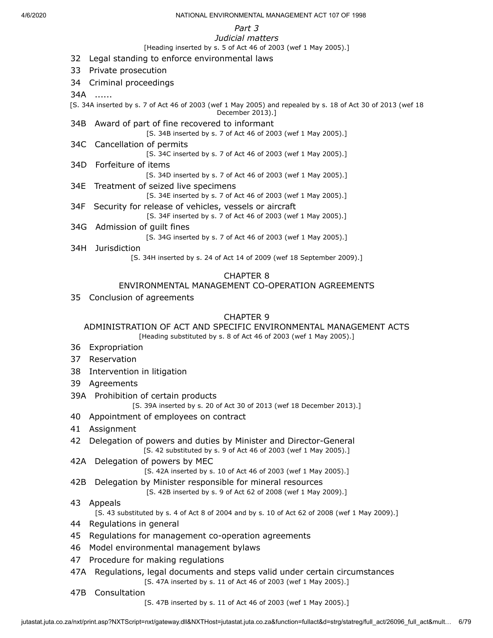#### *Part 3 Judicial matters*

[Heading inserted by s. 5 of Act 46 of 2003 (wef 1 May 2005).]

- 32 Legal standing to enforce environmental laws
- 33 Private prosecution
- 34 Criminal proceedings
- 34A ......

[S. 34A inserted by s. 7 of Act 46 of 2003 (wef 1 May 2005) and repealed by s. 18 of Act 30 of 2013 (wef 18 December 2013).]

34B Award of part of fine recovered to informant

[S. 34B inserted by s. 7 of Act 46 of 2003 (wef 1 May 2005).]

34C Cancellation of permits

[S. 34C inserted by s. 7 of Act 46 of 2003 (wef 1 May 2005).]

34D Forfeiture of items

[S. 34D inserted by s. 7 of Act 46 of 2003 (wef 1 May 2005).]

34E Treatment of seized live specimens

[S. 34E inserted by s. 7 of Act 46 of 2003 (wef 1 May 2005).]

34F Security for release of vehicles, vessels or aircraft

[S. 34F inserted by s. 7 of Act 46 of 2003 (wef 1 May 2005).]

34G Admission of guilt fines

[S. 34G inserted by s. 7 of Act 46 of 2003 (wef 1 May 2005).]

34H Jurisdiction

[S. 34H inserted by s. 24 of Act 14 of 2009 (wef 18 September 2009).]

#### CHAPTER 8

#### ENVIRONMENTAL MANAGEMENT CO-OPERATION AGREEMENTS

35 Conclusion of agreements

#### CHAPTER 9

#### ADMINISTRATION OF ACT AND SPECIFIC ENVIRONMENTAL MANAGEMENT ACTS [Heading substituted by s. 8 of Act 46 of 2003 (wef 1 May 2005).]

- 36 Expropriation
- 37 Reservation
- 38 Intervention in litigation
- 39 Agreements
- 39A Prohibition of certain products

[S. 39A inserted by s. 20 of Act 30 of 2013 (wef 18 December 2013).]

- 40 Appointment of employees on contract
- 41 Assignment
- 42 Delegation of powers and duties by Minister and Director-General [S. 42 substituted by s. 9 of Act 46 of 2003 (wef 1 May 2005).]
- 42A Delegation of powers by MEC

[S. 42A inserted by s. 10 of Act 46 of 2003 (wef 1 May 2005).]

42B Delegation by Minister responsible for mineral resources

[S. 42B inserted by s. 9 of Act 62 of 2008 (wef 1 May 2009).]

- 43 Appeals
	- [S. 43 substituted by s. 4 of Act 8 of 2004 and by s. 10 of Act 62 of 2008 (wef 1 May 2009).]
- 44 Regulations in general
- 45 Regulations for management co-operation agreements
- 46 Model environmental management bylaws
- 47 Procedure for making regulations
- 47A Regulations, legal documents and steps valid under certain circumstances [S. 47A inserted by s. 11 of Act 46 of 2003 (wef 1 May 2005).]
- 47B Consultation

[S. 47B inserted by s. 11 of Act 46 of 2003 (wef 1 May 2005).]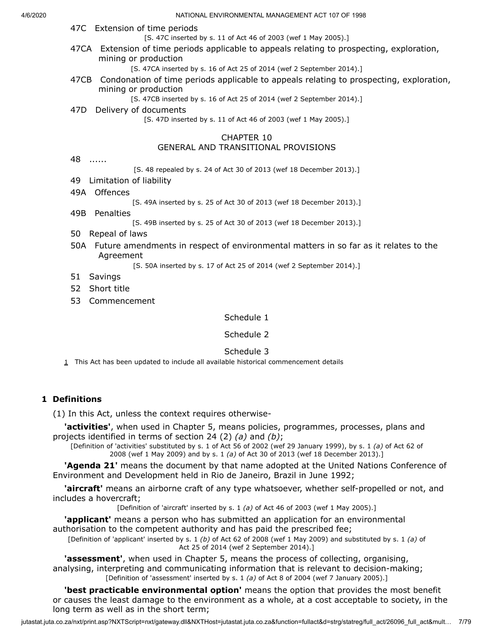47C Extension of time periods

[S. 47C inserted by s. 11 of Act 46 of 2003 (wef 1 May 2005).]

47CA Extension of time periods applicable to appeals relating to prospecting, exploration, mining or production

[S. 47CA inserted by s. 16 of Act 25 of 2014 (wef 2 September 2014).]

47CB Condonation of time periods applicable to appeals relating to prospecting, exploration, mining or production

[S. 47CB inserted by s. 16 of Act 25 of 2014 (wef 2 September 2014).]

47D Delivery of documents

[S. 47D inserted by s. 11 of Act 46 of 2003 (wef 1 May 2005).]

# CHAPTER 10

#### GENERAL AND TRANSITIONAL PROVISIONS

#### 48 ......

[S. 48 repealed by s. 24 of Act 30 of 2013 (wef 18 December 2013).]

- 49 Limitation of liability
- 49A Offences

[S. 49A inserted by s. 25 of Act 30 of 2013 (wef 18 December 2013).]

49B Penalties

[S. 49B inserted by s. 25 of Act 30 of 2013 (wef 18 December 2013).]

- 50 Repeal of laws
- 50A Future amendments in respect of environmental matters in so far as it relates to the Agreement

[S. 50A inserted by s. 17 of Act 25 of 2014 (wef 2 September 2014).]

- 51 Savings
- 52 Short title
- 53 Commencement

#### Schedule 1

Schedule 2

Schedule 3

<span id="page-6-0"></span> $1$  This Act has been updated to include all available historical commencement details

# **1 Definitions**

(1) In this Act, unless the context requires otherwise-

**'activities'**, when used in Chapter 5, means policies, programmes, processes, plans and projects identified in terms of section 24 (2) *(a)* and *(b)*;

[Definition of 'activities' substituted by s. 1 of Act 56 of 2002 (wef 29 January 1999), by s. 1 *(a)* of Act 62 of 2008 (wef 1 May 2009) and by s. 1 *(a)* of Act 30 of 2013 (wef 18 December 2013).]

**'Agenda 21'** means the document by that name adopted at the United Nations Conference of Environment and Development held in Rio de Janeiro, Brazil in June 1992;

**'aircraft'** means an airborne craft of any type whatsoever, whether self-propelled or not, and includes a hovercraft;

[Definition of 'aircraft' inserted by s. 1 *(a)* of Act 46 of 2003 (wef 1 May 2005).]

**'applicant'** means a person who has submitted an application for an environmental authorisation to the competent authority and has paid the prescribed fee;

[Definition of 'applicant' inserted by s. 1 *(b)* of Act 62 of 2008 (wef 1 May 2009) and substituted by s. 1 *(a)* of Act 25 of 2014 (wef 2 September 2014).]

**'assessment'**, when used in Chapter 5, means the process of collecting, organising, analysing, interpreting and communicating information that is relevant to decision-making; [Definition of 'assessment' inserted by s. 1 *(a)* of Act 8 of 2004 (wef 7 January 2005).]

**'best practicable environmental option'** means the option that provides the most benefit or causes the least damage to the environment as a whole, at a cost acceptable to society, in the long term as well as in the short term;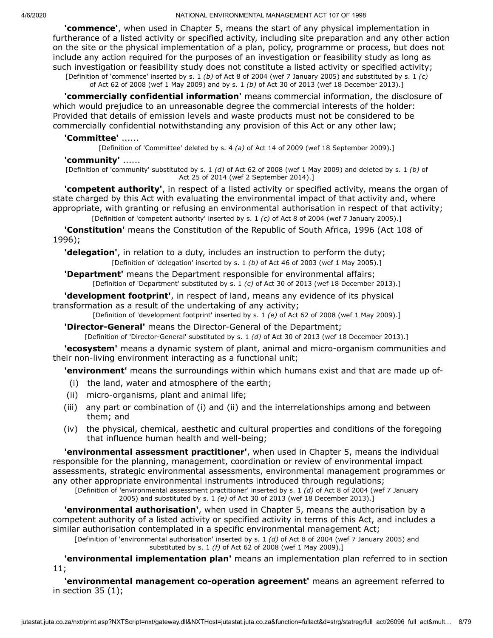**'commence'**, when used in Chapter 5, means the start of any physical implementation in furtherance of a listed activity or specified activity, including site preparation and any other action on the site or the physical implementation of a plan, policy, programme or process, but does not include any action required for the purposes of an investigation or feasibility study as long as such investigation or feasibility study does not constitute a listed activity or specified activity; [Definition of 'commence' inserted by s. 1 *(b)* of Act 8 of 2004 (wef 7 January 2005) and substituted by s. 1 *(c)*

of Act 62 of 2008 (wef 1 May 2009) and by s. 1 *(b)* of Act 30 of 2013 (wef 18 December 2013).]

**'commercially confidential information'** means commercial information, the disclosure of which would prejudice to an unreasonable degree the commercial interests of the holder: Provided that details of emission levels and waste products must not be considered to be commercially confidential notwithstanding any provision of this Act or any other law;

#### **'Committee'** ......

[Definition of 'Committee' deleted by s. 4 *(a)* of Act 14 of 2009 (wef 18 September 2009).]

#### **'community'** ......

[Definition of 'community' substituted by s. 1 *(d)* of Act 62 of 2008 (wef 1 May 2009) and deleted by s. 1 *(b)* of Act 25 of 2014 (wef 2 September 2014).]

**'competent authority'**, in respect of a listed activity or specified activity, means the organ of state charged by this Act with evaluating the environmental impact of that activity and, where appropriate, with granting or refusing an environmental authorisation in respect of that activity; [Definition of 'competent authority' inserted by s. 1 *(c)* of Act 8 of 2004 (wef 7 January 2005).]

**'Constitution'** means the Constitution of the Republic of South Africa, 1996 (Act 108 of 1996);

**'delegation'**, in relation to a duty, includes an instruction to perform the duty; [Definition of 'delegation' inserted by s. 1 *(b)* of Act 46 of 2003 (wef 1 May 2005).]

**'Department'** means the Department responsible for environmental affairs; [Definition of 'Department' substituted by s. 1 *(c)* of Act 30 of 2013 (wef 18 December 2013).]

**'development footprint'**, in respect of land, means any evidence of its physical transformation as a result of the undertaking of any activity;

[Definition of 'development footprint' inserted by s. 1 *(e)* of Act 62 of 2008 (wef 1 May 2009).]

**'Director-General'** means the Director-General of the Department;

[Definition of 'Director-General' substituted by s. 1 *(d)* of Act 30 of 2013 (wef 18 December 2013).]

**'ecosystem'** means a dynamic system of plant, animal and micro-organism communities and their non-living environment interacting as a functional unit;

**'environment'** means the surroundings within which humans exist and that are made up of-

- (i) the land, water and atmosphere of the earth;
- (ii) micro-organisms, plant and animal life;
- (iii) any part or combination of (i) and (ii) and the interrelationships among and between them; and
- (iv) the physical, chemical, aesthetic and cultural properties and conditions of the foregoing that influence human health and well-being;

**'environmental assessment practitioner'**, when used in Chapter 5, means the individual responsible for the planning, management, coordination or review of environmental impact assessments, strategic environmental assessments, environmental management programmes or any other appropriate environmental instruments introduced through regulations;

[Definition of 'environmental assessment practitioner' inserted by s. 1 *(d)* of Act 8 of 2004 (wef 7 January 2005) and substituted by s. 1 *(e)* of Act 30 of 2013 (wef 18 December 2013).]

**'environmental authorisation'**, when used in Chapter 5, means the authorisation by a competent authority of a listed activity or specified activity in terms of this Act, and includes a similar authorisation contemplated in a specific environmental management Act;

[Definition of 'environmental authorisation' inserted by s. 1 *(d)* of Act 8 of 2004 (wef 7 January 2005) and substituted by s. 1 *(f)* of Act 62 of 2008 (wef 1 May 2009).]

**'environmental implementation plan'** means an implementation plan referred to in section 11;

**'environmental management co-operation agreement'** means an agreement referred to in section  $35(1)$ ;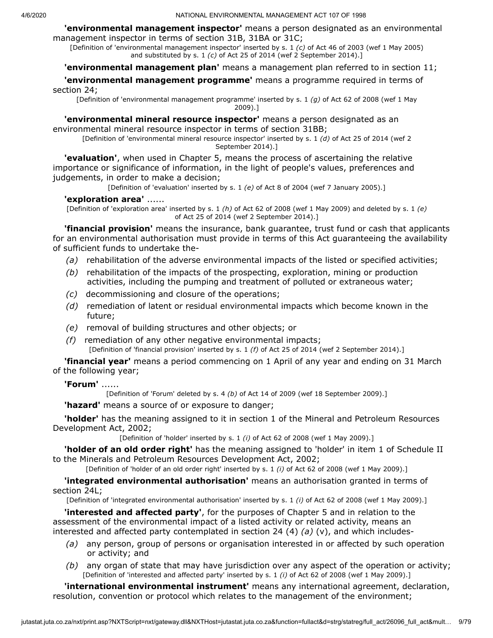**'environmental management inspector'** means a person designated as an environmental management inspector in terms of section 31B, 31BA or 31C;

[Definition of 'environmental management inspector' inserted by s. 1 *(c)* of Act 46 of 2003 (wef 1 May 2005) and substituted by s. 1 *(c)* of Act 25 of 2014 (wef 2 September 2014).]

**'environmental management plan'** means a management plan referred to in section 11;

**'environmental management programme'** means a programme required in terms of section 24;

[Definition of 'environmental management programme' inserted by s. 1 *(g)* of Act 62 of 2008 (wef 1 May 2009).]

**'environmental mineral resource inspector'** means a person designated as an environmental mineral resource inspector in terms of section 31BB;

[Definition of 'environmental mineral resource inspector' inserted by s. 1 *(d)* of Act 25 of 2014 (wef 2 September 2014).]

**'evaluation'**, when used in Chapter 5, means the process of ascertaining the relative importance or significance of information, in the light of people's values, preferences and judgements, in order to make a decision;

[Definition of 'evaluation' inserted by s. 1 *(e)* of Act 8 of 2004 (wef 7 January 2005).]

#### **'exploration area'** ......

[Definition of 'exploration area' inserted by s. 1 *(h)* of Act 62 of 2008 (wef 1 May 2009) and deleted by s. 1 *(e)* of Act 25 of 2014 (wef 2 September 2014).]

**'financial provision'** means the insurance, bank guarantee, trust fund or cash that applicants for an environmental authorisation must provide in terms of this Act guaranteeing the availability of sufficient funds to undertake the-

- *(a)* rehabilitation of the adverse environmental impacts of the listed or specified activities;
- *(b)* rehabilitation of the impacts of the prospecting, exploration, mining or production activities, including the pumping and treatment of polluted or extraneous water;
- *(c)* decommissioning and closure of the operations;
- *(d)* remediation of latent or residual environmental impacts which become known in the future;
- *(e)* removal of building structures and other objects; or
- *(f)* remediation of any other negative environmental impacts; [Definition of 'financial provision' inserted by s. 1 *(f)* of Act 25 of 2014 (wef 2 September 2014).]

**'financial year'** means a period commencing on 1 April of any year and ending on 31 March of the following year;

**'Forum'** ......

[Definition of 'Forum' deleted by s. 4 *(b)* of Act 14 of 2009 (wef 18 September 2009).]

**'hazard'** means a source of or exposure to danger;

**'holder'** has the meaning assigned to it in section 1 of the Mineral and Petroleum Resources Development Act, 2002;

[Definition of 'holder' inserted by s. 1 *(i)* of Act 62 of 2008 (wef 1 May 2009).]

**'holder of an old order right'** has the meaning assigned to 'holder' in item 1 of Schedule II to the Minerals and Petroleum Resources Development Act, 2002;

[Definition of 'holder of an old order right' inserted by s. 1 *(i)* of Act 62 of 2008 (wef 1 May 2009).]

**'integrated environmental authorisation'** means an authorisation granted in terms of section 24L;

[Definition of 'integrated environmental authorisation' inserted by s. 1 *(i)* of Act 62 of 2008 (wef 1 May 2009).]

**'interested and affected party'**, for the purposes of Chapter 5 and in relation to the assessment of the environmental impact of a listed activity or related activity, means an interested and affected party contemplated in section 24 (4) *(a)* (v), and which includes-

- *(a)* any person, group of persons or organisation interested in or affected by such operation or activity; and
- *(b)* any organ of state that may have jurisdiction over any aspect of the operation or activity; [Definition of 'interested and affected party' inserted by s. 1 *(i)* of Act 62 of 2008 (wef 1 May 2009).]

**'international environmental instrument'** means any international agreement, declaration, resolution, convention or protocol which relates to the management of the environment;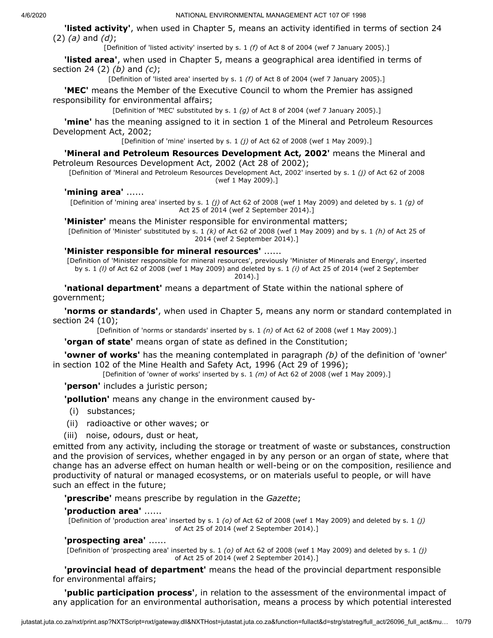**'listed activity'**, when used in Chapter 5, means an activity identified in terms of section 24 (2) *(a)* and *(d)*;

[Definition of 'listed activity' inserted by s. 1 *(f)* of Act 8 of 2004 (wef 7 January 2005).]

**'listed area'**, when used in Chapter 5, means a geographical area identified in terms of section 24 (2) *(b)* and *(c)*;

[Definition of 'listed area' inserted by s. 1 *(f)* of Act 8 of 2004 (wef 7 January 2005).]

**'MEC'** means the Member of the Executive Council to whom the Premier has assigned responsibility for environmental affairs;

[Definition of 'MEC' substituted by s. 1 *(g)* of Act 8 of 2004 (wef 7 January 2005).]

**'mine'** has the meaning assigned to it in section 1 of the Mineral and Petroleum Resources Development Act, 2002;

[Definition of 'mine' inserted by s. 1 *(j)* of Act 62 of 2008 (wef 1 May 2009).]

**'Mineral and Petroleum Resources Development Act, 2002'** means the Mineral and Petroleum Resources Development Act, 2002 (Act 28 of 2002);

[Definition of 'Mineral and Petroleum Resources Development Act, 2002' inserted by s. 1 *(j)* of Act 62 of 2008 (wef 1 May 2009).]

**'mining area'** ......

[Definition of 'mining area' inserted by s. 1 *(j)* of Act 62 of 2008 (wef 1 May 2009) and deleted by s. 1 *(g)* of Act 25 of 2014 (wef 2 September 2014).]

**'Minister'** means the Minister responsible for environmental matters;

[Definition of 'Minister' substituted by s. 1 *(k)* of Act 62 of 2008 (wef 1 May 2009) and by s. 1 *(h)* of Act 25 of 2014 (wef 2 September 2014).]

**'Minister responsible for mineral resources'** ......

[Definition of 'Minister responsible for mineral resources', previously 'Minister of Minerals and Energy', inserted by s. 1 *(l)* of Act 62 of 2008 (wef 1 May 2009) and deleted by s. 1 *(i)* of Act 25 of 2014 (wef 2 September 2014).]

**'national department'** means a department of State within the national sphere of government;

**'norms or standards'**, when used in Chapter 5, means any norm or standard contemplated in section 24 (10);

[Definition of 'norms or standards' inserted by s. 1 *(n)* of Act 62 of 2008 (wef 1 May 2009).]

**'organ of state'** means organ of state as defined in the Constitution;

**'owner of works'** has the meaning contemplated in paragraph *(b)* of the definition of 'owner' in section 102 of the Mine Health and Safety Act, 1996 (Act 29 of 1996);

[Definition of 'owner of works' inserted by s. 1 *(m)* of Act 62 of 2008 (wef 1 May 2009).]

**'person'** includes a juristic person;

**'pollution'** means any change in the environment caused by-

- (i) substances;
- (ii) radioactive or other waves; or
- (iii) noise, odours, dust or heat,

emitted from any activity, including the storage or treatment of waste or substances, construction and the provision of services, whether engaged in by any person or an organ of state, where that change has an adverse effect on human health or well-being or on the composition, resilience and productivity of natural or managed ecosystems, or on materials useful to people, or will have such an effect in the future;

**'prescribe'** means prescribe by regulation in the *Gazette*;

#### **'production area'** ......

[Definition of 'production area' inserted by s. 1 *(o)* of Act 62 of 2008 (wef 1 May 2009) and deleted by s. 1 *(j)* of Act 25 of 2014 (wef 2 September 2014).]

## **'prospecting area'** ......

[Definition of 'prospecting area' inserted by s. 1 *(o)* of Act 62 of 2008 (wef 1 May 2009) and deleted by s. 1 *(j)* of Act 25 of 2014 (wef 2 September 2014).]

**'provincial head of department'** means the head of the provincial department responsible for environmental affairs;

**'public participation process'**, in relation to the assessment of the environmental impact of any application for an environmental authorisation, means a process by which potential interested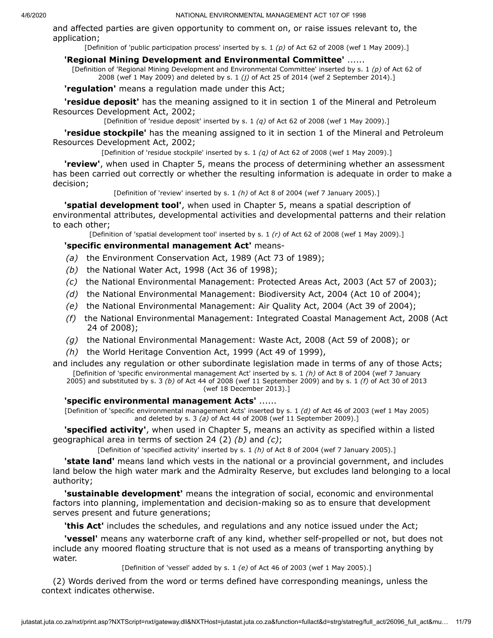and affected parties are given opportunity to comment on, or raise issues relevant to, the application;

[Definition of 'public participation process' inserted by s. 1 *(p)* of Act 62 of 2008 (wef 1 May 2009).]

#### **'Regional Mining Development and Environmental Committee'** ......

[Definition of 'Regional Mining Development and Environmental Committee' inserted by s. 1 *(p)* of Act 62 of 2008 (wef 1 May 2009) and deleted by s. 1 *(j)* of Act 25 of 2014 (wef 2 September 2014).]

**'regulation'** means a regulation made under this Act;

**'residue deposit'** has the meaning assigned to it in section 1 of the Mineral and Petroleum Resources Development Act, 2002;

[Definition of 'residue deposit' inserted by s. 1 *(q)* of Act 62 of 2008 (wef 1 May 2009).]

**'residue stockpile'** has the meaning assigned to it in section 1 of the Mineral and Petroleum Resources Development Act, 2002;

[Definition of 'residue stockpile' inserted by s. 1 *(q)* of Act 62 of 2008 (wef 1 May 2009).]

**'review'**, when used in Chapter 5, means the process of determining whether an assessment has been carried out correctly or whether the resulting information is adequate in order to make a decision;

[Definition of 'review' inserted by s. 1 *(h)* of Act 8 of 2004 (wef 7 January 2005).]

**'spatial development tool'**, when used in Chapter 5, means a spatial description of environmental attributes, developmental activities and developmental patterns and their relation to each other;

[Definition of 'spatial development tool' inserted by s. 1 *(r)* of Act 62 of 2008 (wef 1 May 2009).]

#### **'specific environmental management Act'** means-

- *(a)* the Environment Conservation Act, 1989 (Act 73 of 1989);
- *(b)* the National Water Act, 1998 (Act 36 of 1998);
- *(c)* the National Environmental Management: Protected Areas Act, 2003 (Act 57 of 2003);
- *(d)* the National Environmental Management: Biodiversity Act, 2004 (Act 10 of 2004);
- *(e)* the National Environmental Management: Air Quality Act, 2004 (Act 39 of 2004);
- *(f)* the National Environmental Management: Integrated Coastal Management Act, 2008 (Act 24 of 2008);
- *(g)* the National Environmental Management: Waste Act, 2008 (Act 59 of 2008); or
- *(h)* the World Heritage Convention Act, 1999 (Act 49 of 1999),

and includes any regulation or other subordinate legislation made in terms of any of those Acts; [Definition of 'specific environmental management Act' inserted by s. 1 *(h)* of Act 8 of 2004 (wef 7 January

2005) and substituted by s. 3 *(b)* of Act 44 of 2008 (wef 11 September 2009) and by s. 1 *(f)* of Act 30 of 2013 (wef 18 December 2013).]

#### **'specific environmental management Acts'** ......

[Definition of 'specific environmental management Acts' inserted by s. 1 *(d)* of Act 46 of 2003 (wef 1 May 2005) and deleted by s. 3 *(a)* of Act 44 of 2008 (wef 11 September 2009).]

**'specified activity'**, when used in Chapter 5, means an activity as specified within a listed geographical area in terms of section 24 (2) *(b)* and *(c)*;

[Definition of 'specified activity' inserted by s. 1 *(h)* of Act 8 of 2004 (wef 7 January 2005).]

**'state land'** means land which vests in the national or a provincial government, and includes land below the high water mark and the Admiralty Reserve, but excludes land belonging to a local authority;

**'sustainable development'** means the integration of social, economic and environmental factors into planning, implementation and decision-making so as to ensure that development serves present and future generations;

**'this Act'** includes the schedules, and regulations and any notice issued under the Act;

**'vessel'** means any waterborne craft of any kind, whether self-propelled or not, but does not include any moored floating structure that is not used as a means of transporting anything by water.

[Definition of 'vessel' added by s. 1 *(e)* of Act 46 of 2003 (wef 1 May 2005).]

(2) Words derived from the word or terms defined have corresponding meanings, unless the context indicates otherwise.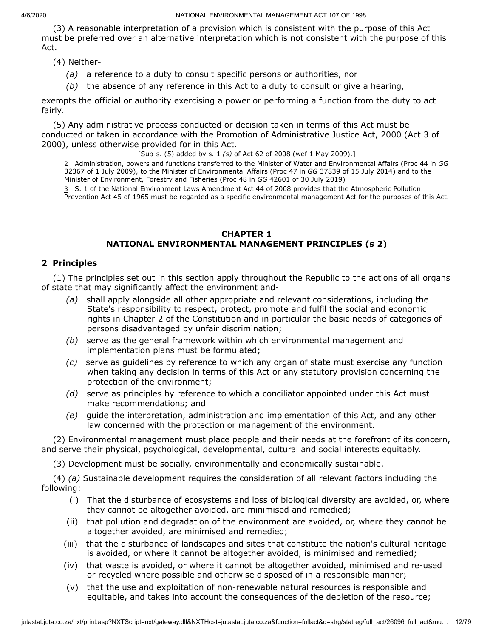(3) A reasonable interpretation of a provision which is consistent with the purpose of this Act must be preferred over an alternative interpretation which is not consistent with the purpose of this Act.

(4) Neither-

- *(a)* a reference to a duty to consult specific persons or authorities, nor
- *(b)* the absence of any reference in this Act to a duty to consult or give a hearing,

exempts the official or authority exercising a power or performing a function from the duty to act fairly.

(5) Any administrative process conducted or decision taken in terms of this Act must be conducted or taken in accordance with the Promotion of Administrative Justice Act, 2000 (Act 3 of 2000), unless otherwise provided for in this Act.

[Sub-s. (5) added by s. 1 *(s)* of Act 62 of 2008 (wef 1 May 2009).]

2 Administration, powers and functions transferred to the Minister of Water and Environmental Affairs (Proc 44 in *GG* 32367 of 1 July 2009), to the Minister of Environmental Affairs (Proc 47 in *GG* 37839 of 15 July 2014) and to the Minister of Environment, Forestry and Fisheries (Proc 48 in *GG* 42601 of 30 July 2019)

3 S. 1 of the National Environment Laws Amendment Act 44 of 2008 provides that the Atmospheric Pollution Prevention Act 45 of 1965 must be regarded as a specific environmental management Act for the purposes of this Act.

## **CHAPTER 1 NATIONAL ENVIRONMENTAL MANAGEMENT PRINCIPLES (s 2)**

# **2 Principles**

(1) The principles set out in this section apply throughout the Republic to the actions of all organs of state that may significantly affect the environment and-

- *(a)* shall apply alongside all other appropriate and relevant considerations, including the State's responsibility to respect, protect, promote and fulfil the social and economic rights in Chapter 2 of the Constitution and in particular the basic needs of categories of persons disadvantaged by unfair discrimination;
- *(b)* serve as the general framework within which environmental management and implementation plans must be formulated;
- *(c)* serve as guidelines by reference to which any organ of state must exercise any function when taking any decision in terms of this Act or any statutory provision concerning the protection of the environment;
- *(d)* serve as principles by reference to which a conciliator appointed under this Act must make recommendations; and
- *(e)* guide the interpretation, administration and implementation of this Act, and any other law concerned with the protection or management of the environment.

(2) Environmental management must place people and their needs at the forefront of its concern, and serve their physical, psychological, developmental, cultural and social interests equitably.

(3) Development must be socially, environmentally and economically sustainable.

(4) *(a)* Sustainable development requires the consideration of all relevant factors including the following:

- (i) That the disturbance of ecosystems and loss of biological diversity are avoided, or, where they cannot be altogether avoided, are minimised and remedied;
- (ii) that pollution and degradation of the environment are avoided, or, where they cannot be altogether avoided, are minimised and remedied;
- (iii) that the disturbance of landscapes and sites that constitute the nation's cultural heritage is avoided, or where it cannot be altogether avoided, is minimised and remedied;
- (iv) that waste is avoided, or where it cannot be altogether avoided, minimised and re-used or recycled where possible and otherwise disposed of in a responsible manner;
- (v) that the use and exploitation of non-renewable natural resources is responsible and equitable, and takes into account the consequences of the depletion of the resource;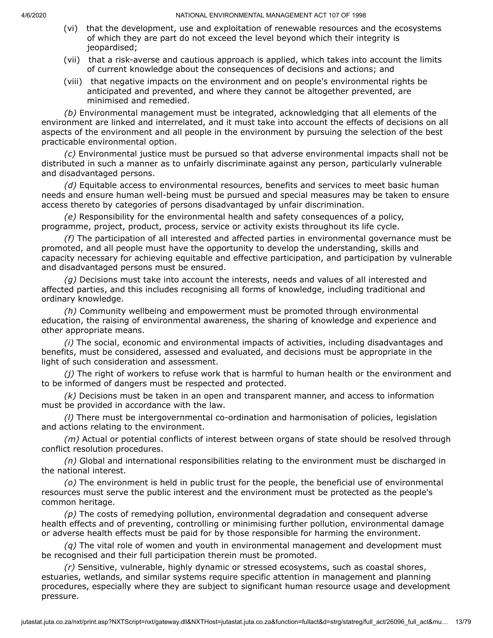- (vi) that the development, use and exploitation of renewable resources and the ecosystems of which they are part do not exceed the level beyond which their integrity is jeopardised;
- (vii) that a risk-averse and cautious approach is applied, which takes into account the limits of current knowledge about the consequences of decisions and actions; and
- (viii) that negative impacts on the environment and on people's environmental rights be anticipated and prevented, and where they cannot be altogether prevented, are minimised and remedied.

*(b)* Environmental management must be integrated, acknowledging that all elements of the environment are linked and interrelated, and it must take into account the effects of decisions on all aspects of the environment and all people in the environment by pursuing the selection of the best practicable environmental option.

*(c)* Environmental justice must be pursued so that adverse environmental impacts shall not be distributed in such a manner as to unfairly discriminate against any person, particularly vulnerable and disadvantaged persons.

*(d)* Equitable access to environmental resources, benefits and services to meet basic human needs and ensure human well-being must be pursued and special measures may be taken to ensure access thereto by categories of persons disadvantaged by unfair discrimination.

*(e)* Responsibility for the environmental health and safety consequences of a policy, programme, project, product, process, service or activity exists throughout its life cycle.

*(f)* The participation of all interested and affected parties in environmental governance must be promoted, and all people must have the opportunity to develop the understanding, skills and capacity necessary for achieving equitable and effective participation, and participation by vulnerable and disadvantaged persons must be ensured.

*(g)* Decisions must take into account the interests, needs and values of all interested and affected parties, and this includes recognising all forms of knowledge, including traditional and ordinary knowledge.

*(h)* Community wellbeing and empowerment must be promoted through environmental education, the raising of environmental awareness, the sharing of knowledge and experience and other appropriate means.

*(i)* The social, economic and environmental impacts of activities, including disadvantages and benefits, must be considered, assessed and evaluated, and decisions must be appropriate in the light of such consideration and assessment.

*(j)* The right of workers to refuse work that is harmful to human health or the environment and to be informed of dangers must be respected and protected.

*(k)* Decisions must be taken in an open and transparent manner, and access to information must be provided in accordance with the law.

*(l)* There must be intergovernmental co-ordination and harmonisation of policies, legislation and actions relating to the environment.

*(m)* Actual or potential conflicts of interest between organs of state should be resolved through conflict resolution procedures.

*(n)* Global and international responsibilities relating to the environment must be discharged in the national interest.

*(o)* The environment is held in public trust for the people, the beneficial use of environmental resources must serve the public interest and the environment must be protected as the people's common heritage.

*(p)* The costs of remedying pollution, environmental degradation and consequent adverse health effects and of preventing, controlling or minimising further pollution, environmental damage or adverse health effects must be paid for by those responsible for harming the environment.

*(q)* The vital role of women and youth in environmental management and development must be recognised and their full participation therein must be promoted.

*(r)* Sensitive, vulnerable, highly dynamic or stressed ecosystems, such as coastal shores, estuaries, wetlands, and similar systems require specific attention in management and planning procedures, especially where they are subject to significant human resource usage and development pressure.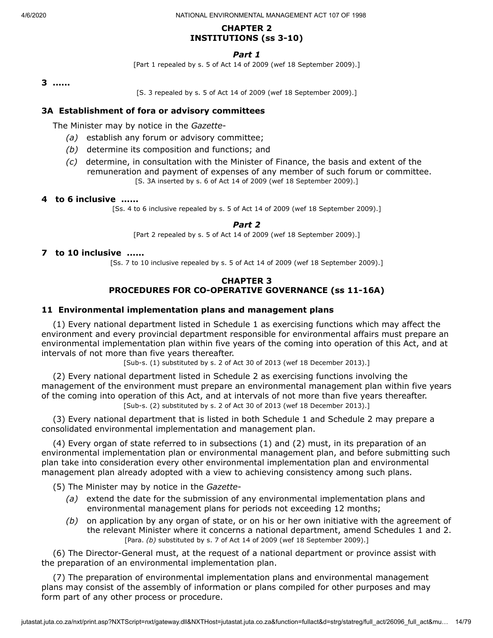## **CHAPTER 2 INSTITUTIONS (ss 3-10)**

#### *Part 1*

[Part 1 repealed by s. 5 of Act 14 of 2009 (wef 18 September 2009).]

#### **3 ......**

[S. 3 repealed by s. 5 of Act 14 of 2009 (wef 18 September 2009).]

## **3A Establishment of fora or advisory committees**

The Minister may by notice in the *Gazette*-

- *(a)* establish any forum or advisory committee;
- *(b)* determine its composition and functions; and
- *(c)* determine, in consultation with the Minister of Finance, the basis and extent of the remuneration and payment of expenses of any member of such forum or committee. [S. 3A inserted by s. 6 of Act 14 of 2009 (wef 18 September 2009).]

## **4 to 6 inclusive ......**

[Ss. 4 to 6 inclusive repealed by s. 5 of Act 14 of 2009 (wef 18 September 2009).]

#### *Part 2*

[Part 2 repealed by s. 5 of Act 14 of 2009 (wef 18 September 2009).]

#### **7 to 10 inclusive ......**

[Ss. 7 to 10 inclusive repealed by s. 5 of Act 14 of 2009 (wef 18 September 2009).]

## **CHAPTER 3 PROCEDURES FOR CO-OPERATIVE GOVERNANCE (ss 11-16A)**

#### **11 Environmental implementation plans and management plans**

(1) Every national department listed in Schedule 1 as exercising functions which may affect the environment and every provincial department responsible for environmental affairs must prepare an environmental implementation plan within five years of the coming into operation of this Act, and at intervals of not more than five years thereafter.

[Sub-s. (1) substituted by s. 2 of Act 30 of 2013 (wef 18 December 2013).]

(2) Every national department listed in Schedule 2 as exercising functions involving the management of the environment must prepare an environmental management plan within five years of the coming into operation of this Act, and at intervals of not more than five years thereafter. [Sub-s. (2) substituted by s. 2 of Act 30 of 2013 (wef 18 December 2013).]

(3) Every national department that is listed in both Schedule 1 and Schedule 2 may prepare a consolidated environmental implementation and management plan.

(4) Every organ of state referred to in subsections (1) and (2) must, in its preparation of an environmental implementation plan or environmental management plan, and before submitting such plan take into consideration every other environmental implementation plan and environmental management plan already adopted with a view to achieving consistency among such plans.

(5) The Minister may by notice in the *Gazette*-

- *(a)* extend the date for the submission of any environmental implementation plans and environmental management plans for periods not exceeding 12 months;
- *(b)* on application by any organ of state, or on his or her own initiative with the agreement of the relevant Minister where it concerns a national department, amend Schedules 1 and 2. [Para. *(b)* substituted by s. 7 of Act 14 of 2009 (wef 18 September 2009).]

(6) The Director-General must, at the request of a national department or province assist with the preparation of an environmental implementation plan.

(7) The preparation of environmental implementation plans and environmental management plans may consist of the assembly of information or plans compiled for other purposes and may form part of any other process or procedure.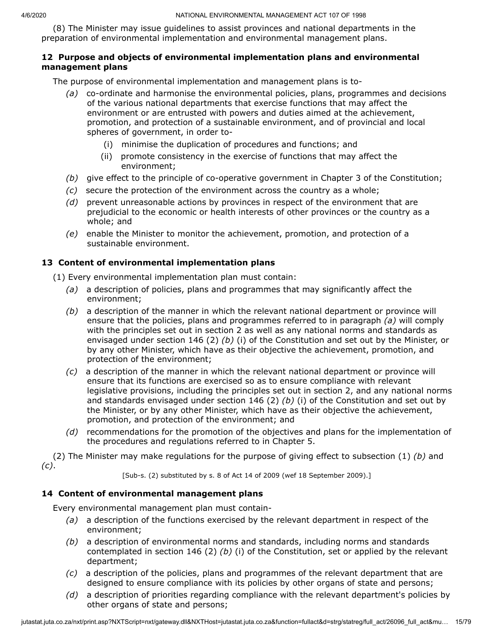(8) The Minister may issue guidelines to assist provinces and national departments in the preparation of environmental implementation and environmental management plans.

## **12 Purpose and objects of environmental implementation plans and environmental management plans**

The purpose of environmental implementation and management plans is to-

- *(a)* co-ordinate and harmonise the environmental policies, plans, programmes and decisions of the various national departments that exercise functions that may affect the environment or are entrusted with powers and duties aimed at the achievement, promotion, and protection of a sustainable environment, and of provincial and local spheres of government, in order to-
	- (i) minimise the duplication of procedures and functions; and
	- (ii) promote consistency in the exercise of functions that may affect the environment;
- *(b)* give effect to the principle of co-operative government in Chapter 3 of the Constitution;
- *(c)* secure the protection of the environment across the country as a whole;
- *(d)* prevent unreasonable actions by provinces in respect of the environment that are prejudicial to the economic or health interests of other provinces or the country as a whole; and
- *(e)* enable the Minister to monitor the achievement, promotion, and protection of a sustainable environment.

## **13 Content of environmental implementation plans**

(1) Every environmental implementation plan must contain:

- *(a)* a description of policies, plans and programmes that may significantly affect the environment;
- *(b)* a description of the manner in which the relevant national department or province will ensure that the policies, plans and programmes referred to in paragraph *(a)* will comply with the principles set out in section 2 as well as any national norms and standards as envisaged under section 146 (2) *(b)* (i) of the Constitution and set out by the Minister, or by any other Minister, which have as their objective the achievement, promotion, and protection of the environment;
- *(c)* a description of the manner in which the relevant national department or province will ensure that its functions are exercised so as to ensure compliance with relevant legislative provisions, including the principles set out in section 2, and any national norms and standards envisaged under section 146 (2) *(b)* (i) of the Constitution and set out by the Minister, or by any other Minister, which have as their objective the achievement, promotion, and protection of the environment; and
- *(d)* recommendations for the promotion of the objectives and plans for the implementation of the procedures and regulations referred to in Chapter 5.

(2) The Minister may make regulations for the purpose of giving effect to subsection (1) *(b)* and *(c)*.

[Sub-s. (2) substituted by s. 8 of Act 14 of 2009 (wef 18 September 2009).]

# **14 Content of environmental management plans**

Every environmental management plan must contain-

- *(a)* a description of the functions exercised by the relevant department in respect of the environment;
- *(b)* a description of environmental norms and standards, including norms and standards contemplated in section 146 (2) *(b)* (i) of the Constitution, set or applied by the relevant department;
- *(c)* a description of the policies, plans and programmes of the relevant department that are designed to ensure compliance with its policies by other organs of state and persons;
- *(d)* a description of priorities regarding compliance with the relevant department's policies by other organs of state and persons;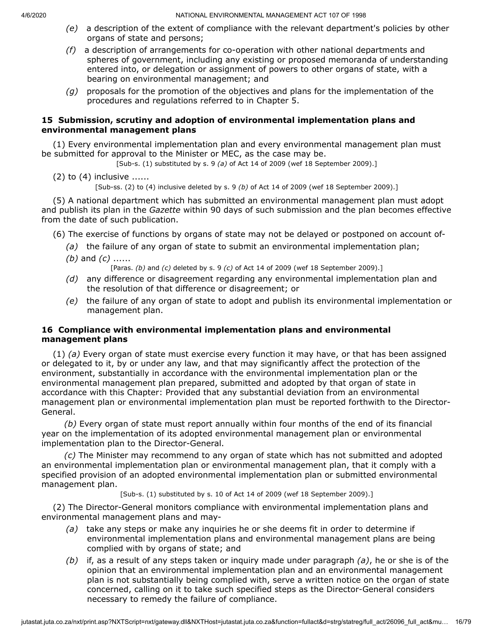- *(e)* a description of the extent of compliance with the relevant department's policies by other organs of state and persons;
- *(f)* a description of arrangements for co-operation with other national departments and spheres of government, including any existing or proposed memoranda of understanding entered into, or delegation or assignment of powers to other organs of state, with a bearing on environmental management; and
- *(g)* proposals for the promotion of the objectives and plans for the implementation of the procedures and regulations referred to in Chapter 5.

#### **15 Submission, scrutiny and adoption of environmental implementation plans and environmental management plans**

(1) Every environmental implementation plan and every environmental management plan must be submitted for approval to the Minister or MEC, as the case may be.

[Sub-s. (1) substituted by s. 9 *(a)* of Act 14 of 2009 (wef 18 September 2009).]

 $(2)$  to  $(4)$  inclusive ......

[Sub-ss. (2) to (4) inclusive deleted by s. 9 *(b)* of Act 14 of 2009 (wef 18 September 2009).]

(5) A national department which has submitted an environmental management plan must adopt and publish its plan in the *Gazette* within 90 days of such submission and the plan becomes effective from the date of such publication.

- (6) The exercise of functions by organs of state may not be delayed or postponed on account of-
	- *(a)* the failure of any organ of state to submit an environmental implementation plan;
	- *(b)* and *(c)* ......
		- [Paras. *(b)* and *(c)* deleted by s. 9 *(c)* of Act 14 of 2009 (wef 18 September 2009).]
	- *(d)* any difference or disagreement regarding any environmental implementation plan and the resolution of that difference or disagreement; or
	- *(e)* the failure of any organ of state to adopt and publish its environmental implementation or management plan.

## **16 Compliance with environmental implementation plans and environmental management plans**

(1) *(a)* Every organ of state must exercise every function it may have, or that has been assigned or delegated to it, by or under any law, and that may significantly affect the protection of the environment, substantially in accordance with the environmental implementation plan or the environmental management plan prepared, submitted and adopted by that organ of state in accordance with this Chapter: Provided that any substantial deviation from an environmental management plan or environmental implementation plan must be reported forthwith to the Director-General.

*(b)* Every organ of state must report annually within four months of the end of its financial year on the implementation of its adopted environmental management plan or environmental implementation plan to the Director-General.

*(c)* The Minister may recommend to any organ of state which has not submitted and adopted an environmental implementation plan or environmental management plan, that it comply with a specified provision of an adopted environmental implementation plan or submitted environmental management plan.

[Sub-s. (1) substituted by s. 10 of Act 14 of 2009 (wef 18 September 2009).]

(2) The Director-General monitors compliance with environmental implementation plans and environmental management plans and may-

- *(a)* take any steps or make any inquiries he or she deems fit in order to determine if environmental implementation plans and environmental management plans are being complied with by organs of state; and
- *(b)* if, as a result of any steps taken or inquiry made under paragraph *(a)*, he or she is of the opinion that an environmental implementation plan and an environmental management plan is not substantially being complied with, serve a written notice on the organ of state concerned, calling on it to take such specified steps as the Director-General considers necessary to remedy the failure of compliance.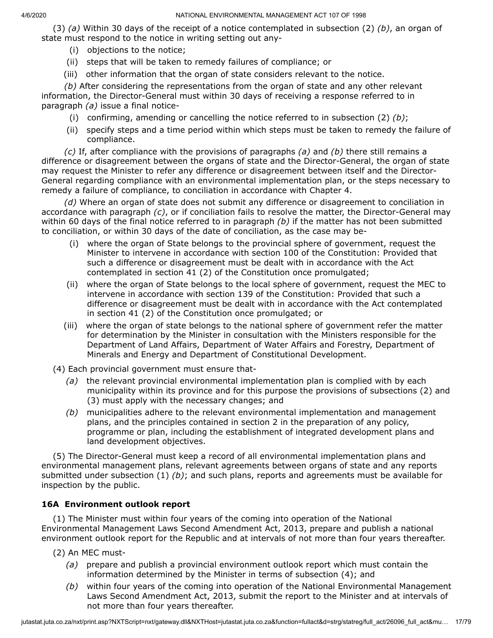(3) *(a)* Within 30 days of the receipt of a notice contemplated in subsection (2) *(b)*, an organ of state must respond to the notice in writing setting out any-

- (i) objections to the notice;
- (ii) steps that will be taken to remedy failures of compliance; or
- (iii) other information that the organ of state considers relevant to the notice.

*(b)* After considering the representations from the organ of state and any other relevant information, the Director-General must within 30 days of receiving a response referred to in paragraph *(a)* issue a final notice-

- (i) confirming, amending or cancelling the notice referred to in subsection (2) *(b)*;
- (ii) specify steps and a time period within which steps must be taken to remedy the failure of compliance.

*(c)* If, after compliance with the provisions of paragraphs *(a)* and *(b)* there still remains a difference or disagreement between the organs of state and the Director-General, the organ of state may request the Minister to refer any difference or disagreement between itself and the Director-General regarding compliance with an environmental implementation plan, or the steps necessary to remedy a failure of compliance, to conciliation in accordance with Chapter 4.

*(d)* Where an organ of state does not submit any difference or disagreement to conciliation in accordance with paragraph *(c)*, or if conciliation fails to resolve the matter, the Director-General may within 60 days of the final notice referred to in paragraph *(b)* if the matter has not been submitted to conciliation, or within 30 days of the date of conciliation, as the case may be-

- (i) where the organ of State belongs to the provincial sphere of government, request the Minister to intervene in accordance with section 100 of the Constitution: Provided that such a difference or disagreement must be dealt with in accordance with the Act contemplated in section 41 (2) of the Constitution once promulgated;
- (ii) where the organ of State belongs to the local sphere of government, request the MEC to intervene in accordance with section 139 of the Constitution: Provided that such a difference or disagreement must be dealt with in accordance with the Act contemplated in section 41 (2) of the Constitution once promulgated; or
- (iii) where the organ of state belongs to the national sphere of government refer the matter for determination by the Minister in consultation with the Ministers responsible for the Department of Land Affairs, Department of Water Affairs and Forestry, Department of Minerals and Energy and Department of Constitutional Development.
- (4) Each provincial government must ensure that-
	- *(a)* the relevant provincial environmental implementation plan is complied with by each municipality within its province and for this purpose the provisions of subsections (2) and (3) must apply with the necessary changes; and
	- *(b)* municipalities adhere to the relevant environmental implementation and management plans, and the principles contained in section 2 in the preparation of any policy, programme or plan, including the establishment of integrated development plans and land development objectives.

(5) The Director-General must keep a record of all environmental implementation plans and environmental management plans, relevant agreements between organs of state and any reports submitted under subsection (1) *(b)*; and such plans, reports and agreements must be available for inspection by the public.

## **16A Environment outlook report**

(1) The Minister must within four years of the coming into operation of the National Environmental Management Laws Second Amendment Act, 2013, prepare and publish a national environment outlook report for the Republic and at intervals of not more than four years thereafter.

(2) An MEC must-

- *(a)* prepare and publish a provincial environment outlook report which must contain the information determined by the Minister in terms of subsection (4); and
- *(b)* within four years of the coming into operation of the National Environmental Management Laws Second Amendment Act, 2013, submit the report to the Minister and at intervals of not more than four years thereafter.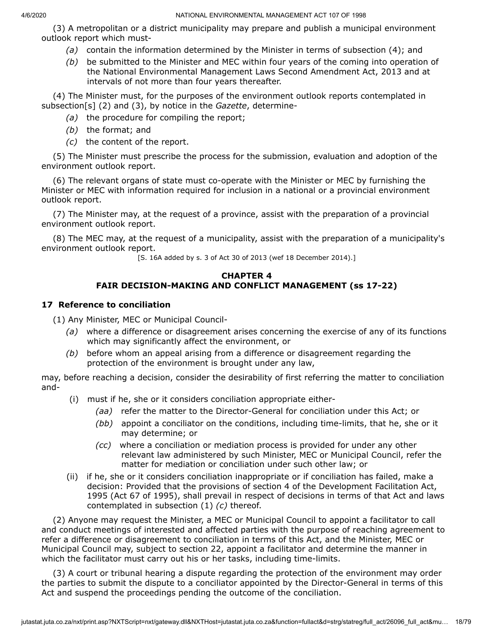(3) A metropolitan or a district municipality may prepare and publish a municipal environment outlook report which must-

- *(a)* contain the information determined by the Minister in terms of subsection (4); and
- *(b)* be submitted to the Minister and MEC within four years of the coming into operation of the National Environmental Management Laws Second Amendment Act, 2013 and at intervals of not more than four years thereafter.

(4) The Minister must, for the purposes of the environment outlook reports contemplated in subsection[s] (2) and (3), by notice in the *Gazette*, determine-

- *(a)* the procedure for compiling the report;
- *(b)* the format; and
- *(c)* the content of the report.

(5) The Minister must prescribe the process for the submission, evaluation and adoption of the environment outlook report.

(6) The relevant organs of state must co-operate with the Minister or MEC by furnishing the Minister or MEC with information required for inclusion in a national or a provincial environment outlook report.

(7) The Minister may, at the request of a province, assist with the preparation of a provincial environment outlook report.

(8) The MEC may, at the request of a municipality, assist with the preparation of a municipality's environment outlook report.

[S. 16A added by s. 3 of Act 30 of 2013 (wef 18 December 2014).]

#### **CHAPTER 4 FAIR DECISION-MAKING AND CONFLICT MANAGEMENT (ss 17-22)**

#### **17 Reference to conciliation**

(1) Any Minister, MEC or Municipal Council-

- *(a)* where a difference or disagreement arises concerning the exercise of any of its functions which may significantly affect the environment, or
- *(b)* before whom an appeal arising from a difference or disagreement regarding the protection of the environment is brought under any law,

may, before reaching a decision, consider the desirability of first referring the matter to conciliation and-

- (i) must if he, she or it considers conciliation appropriate either-
	- *(aa)* refer the matter to the Director-General for conciliation under this Act; or
	- *(bb)* appoint a conciliator on the conditions, including time-limits, that he, she or it may determine; or
	- *(cc)* where a conciliation or mediation process is provided for under any other relevant law administered by such Minister, MEC or Municipal Council, refer the matter for mediation or conciliation under such other law; or
- (ii) if he, she or it considers conciliation inappropriate or if conciliation has failed, make a decision: Provided that the provisions of section 4 of the Development Facilitation Act, 1995 (Act 67 of 1995), shall prevail in respect of decisions in terms of that Act and laws contemplated in subsection (1) *(c)* thereof.

(2) Anyone may request the Minister, a MEC or Municipal Council to appoint a facilitator to call and conduct meetings of interested and affected parties with the purpose of reaching agreement to refer a difference or disagreement to conciliation in terms of this Act, and the Minister, MEC or Municipal Council may, subject to section 22, appoint a facilitator and determine the manner in which the facilitator must carry out his or her tasks, including time-limits.

(3) A court or tribunal hearing a dispute regarding the protection of the environment may order the parties to submit the dispute to a conciliator appointed by the Director-General in terms of this Act and suspend the proceedings pending the outcome of the conciliation.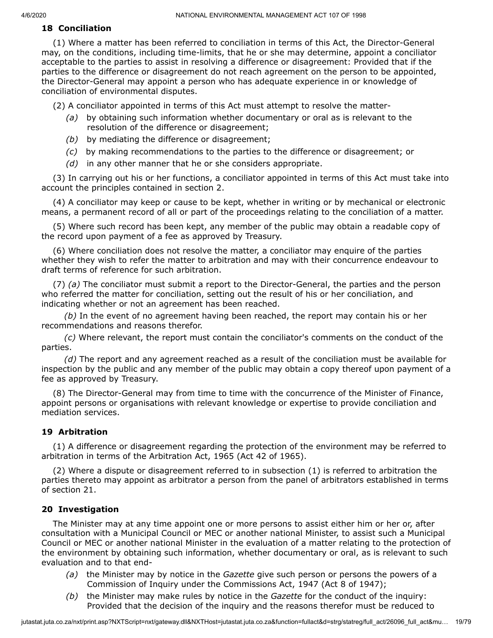# **18 Conciliation**

(1) Where a matter has been referred to conciliation in terms of this Act, the Director-General may, on the conditions, including time-limits, that he or she may determine, appoint a conciliator acceptable to the parties to assist in resolving a difference or disagreement: Provided that if the parties to the difference or disagreement do not reach agreement on the person to be appointed, the Director-General may appoint a person who has adequate experience in or knowledge of conciliation of environmental disputes.

(2) A conciliator appointed in terms of this Act must attempt to resolve the matter-

- *(a)* by obtaining such information whether documentary or oral as is relevant to the resolution of the difference or disagreement;
- *(b)* by mediating the difference or disagreement;
- *(c)* by making recommendations to the parties to the difference or disagreement; or
- *(d)* in any other manner that he or she considers appropriate.

(3) In carrying out his or her functions, a conciliator appointed in terms of this Act must take into account the principles contained in section 2.

(4) A conciliator may keep or cause to be kept, whether in writing or by mechanical or electronic means, a permanent record of all or part of the proceedings relating to the conciliation of a matter.

(5) Where such record has been kept, any member of the public may obtain a readable copy of the record upon payment of a fee as approved by Treasury.

(6) Where conciliation does not resolve the matter, a conciliator may enquire of the parties whether they wish to refer the matter to arbitration and may with their concurrence endeavour to draft terms of reference for such arbitration.

(7) *(a)* The conciliator must submit a report to the Director-General, the parties and the person who referred the matter for conciliation, setting out the result of his or her conciliation, and indicating whether or not an agreement has been reached.

*(b)* In the event of no agreement having been reached, the report may contain his or her recommendations and reasons therefor.

*(c)* Where relevant, the report must contain the conciliator's comments on the conduct of the parties.

*(d)* The report and any agreement reached as a result of the conciliation must be available for inspection by the public and any member of the public may obtain a copy thereof upon payment of a fee as approved by Treasury.

(8) The Director-General may from time to time with the concurrence of the Minister of Finance, appoint persons or organisations with relevant knowledge or expertise to provide conciliation and mediation services.

# **19 Arbitration**

(1) A difference or disagreement regarding the protection of the environment may be referred to arbitration in terms of the Arbitration Act, 1965 (Act 42 of 1965).

(2) Where a dispute or disagreement referred to in subsection (1) is referred to arbitration the parties thereto may appoint as arbitrator a person from the panel of arbitrators established in terms of section 21.

# **20 Investigation**

The Minister may at any time appoint one or more persons to assist either him or her or, after consultation with a Municipal Council or MEC or another national Minister, to assist such a Municipal Council or MEC or another national Minister in the evaluation of a matter relating to the protection of the environment by obtaining such information, whether documentary or oral, as is relevant to such evaluation and to that end-

- *(a)* the Minister may by notice in the *Gazette* give such person or persons the powers of a Commission of Inquiry under the Commissions Act, 1947 (Act 8 of 1947);
- *(b)* the Minister may make rules by notice in the *Gazette* for the conduct of the inquiry: Provided that the decision of the inquiry and the reasons therefor must be reduced to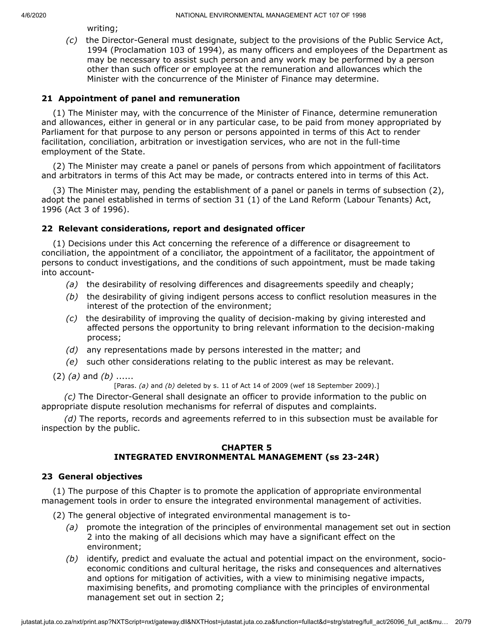writing;

*(c)* the Director-General must designate, subject to the provisions of the Public Service Act, 1994 (Proclamation 103 of 1994), as many officers and employees of the Department as may be necessary to assist such person and any work may be performed by a person other than such officer or employee at the remuneration and allowances which the Minister with the concurrence of the Minister of Finance may determine.

## **21 Appointment of panel and remuneration**

(1) The Minister may, with the concurrence of the Minister of Finance, determine remuneration and allowances, either in general or in any particular case, to be paid from money appropriated by Parliament for that purpose to any person or persons appointed in terms of this Act to render facilitation, conciliation, arbitration or investigation services, who are not in the full-time employment of the State.

(2) The Minister may create a panel or panels of persons from which appointment of facilitators and arbitrators in terms of this Act may be made, or contracts entered into in terms of this Act.

(3) The Minister may, pending the establishment of a panel or panels in terms of subsection (2), adopt the panel established in terms of section 31 (1) of the Land Reform (Labour Tenants) Act, 1996 (Act 3 of 1996).

# **22 Relevant considerations, report and designated officer**

(1) Decisions under this Act concerning the reference of a difference or disagreement to conciliation, the appointment of a conciliator, the appointment of a facilitator, the appointment of persons to conduct investigations, and the conditions of such appointment, must be made taking into account-

- *(a)* the desirability of resolving differences and disagreements speedily and cheaply;
- *(b)* the desirability of giving indigent persons access to conflict resolution measures in the interest of the protection of the environment;
- *(c)* the desirability of improving the quality of decision-making by giving interested and affected persons the opportunity to bring relevant information to the decision-making process;
- *(d)* any representations made by persons interested in the matter; and
- *(e)* such other considerations relating to the public interest as may be relevant.
- (2) *(a)* and *(b)* ......

[Paras. *(a)* and *(b)* deleted by s. 11 of Act 14 of 2009 (wef 18 September 2009).]

*(c)* The Director-General shall designate an officer to provide information to the public on appropriate dispute resolution mechanisms for referral of disputes and complaints.

*(d)* The reports, records and agreements referred to in this subsection must be available for inspection by the public.

## **CHAPTER 5 INTEGRATED ENVIRONMENTAL MANAGEMENT (ss 23-24R)**

## **23 General objectives**

(1) The purpose of this Chapter is to promote the application of appropriate environmental management tools in order to ensure the integrated environmental management of activities.

(2) The general objective of integrated environmental management is to-

- *(a)* promote the integration of the principles of environmental management set out in section 2 into the making of all decisions which may have a significant effect on the environment;
- *(b)* identify, predict and evaluate the actual and potential impact on the environment, socioeconomic conditions and cultural heritage, the risks and consequences and alternatives and options for mitigation of activities, with a view to minimising negative impacts, maximising benefits, and promoting compliance with the principles of environmental management set out in section 2;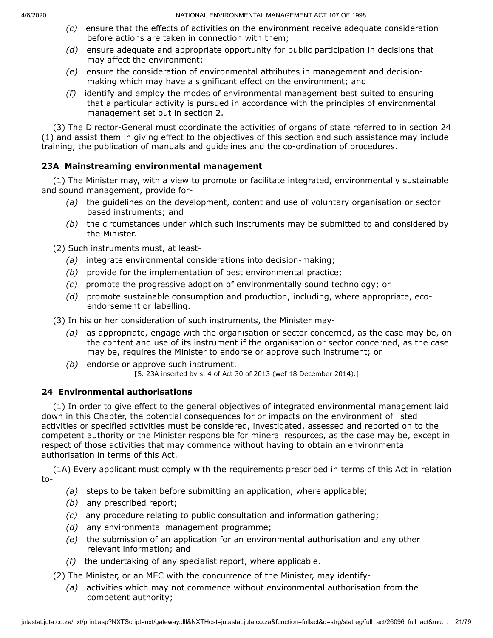- *(c)* ensure that the effects of activities on the environment receive adequate consideration before actions are taken in connection with them;
- *(d)* ensure adequate and appropriate opportunity for public participation in decisions that may affect the environment;
- *(e)* ensure the consideration of environmental attributes in management and decisionmaking which may have a significant effect on the environment; and
- *(f)* identify and employ the modes of environmental management best suited to ensuring that a particular activity is pursued in accordance with the principles of environmental management set out in section 2.

(3) The Director-General must coordinate the activities of organs of state referred to in section 24 (1) and assist them in giving effect to the objectives of this section and such assistance may include training, the publication of manuals and guidelines and the co-ordination of procedures.

# **23A Mainstreaming environmental management**

(1) The Minister may, with a view to promote or facilitate integrated, environmentally sustainable and sound management, provide for-

- *(a)* the guidelines on the development, content and use of voluntary organisation or sector based instruments; and
- *(b)* the circumstances under which such instruments may be submitted to and considered by the Minister.

(2) Such instruments must, at least-

- *(a)* integrate environmental considerations into decision-making;
- *(b)* provide for the implementation of best environmental practice;
- *(c)* promote the progressive adoption of environmentally sound technology; or
- *(d)* promote sustainable consumption and production, including, where appropriate, ecoendorsement or labelling.

(3) In his or her consideration of such instruments, the Minister may-

- *(a)* as appropriate, engage with the organisation or sector concerned, as the case may be, on the content and use of its instrument if the organisation or sector concerned, as the case may be, requires the Minister to endorse or approve such instrument; or
- *(b)* endorse or approve such instrument.

[S. 23A inserted by s. 4 of Act 30 of 2013 (wef 18 December 2014).]

# **24 Environmental authorisations**

(1) In order to give effect to the general objectives of integrated environmental management laid down in this Chapter, the potential consequences for or impacts on the environment of listed activities or specified activities must be considered, investigated, assessed and reported on to the competent authority or the Minister responsible for mineral resources, as the case may be, except in respect of those activities that may commence without having to obtain an environmental authorisation in terms of this Act.

(1A) Every applicant must comply with the requirements prescribed in terms of this Act in relation to-

- *(a)* steps to be taken before submitting an application, where applicable;
- *(b)* any prescribed report;
- *(c)* any procedure relating to public consultation and information gathering;
- *(d)* any environmental management programme;
- *(e)* the submission of an application for an environmental authorisation and any other relevant information; and
- *(f)* the undertaking of any specialist report, where applicable.

(2) The Minister, or an MEC with the concurrence of the Minister, may identify-

*(a)* activities which may not commence without environmental authorisation from the competent authority;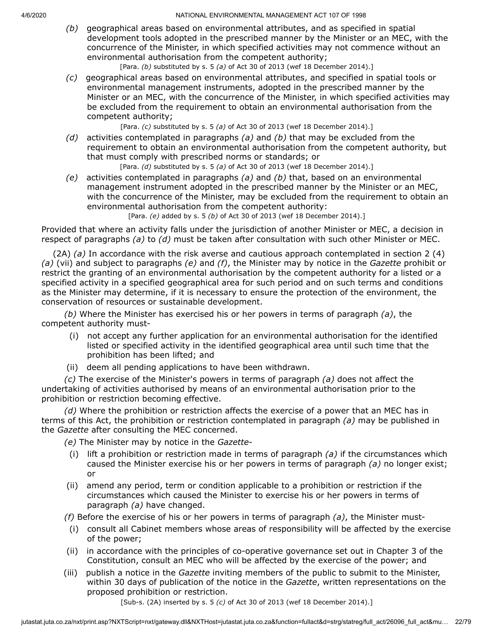*(b)* geographical areas based on environmental attributes, and as specified in spatial development tools adopted in the prescribed manner by the Minister or an MEC, with the concurrence of the Minister, in which specified activities may not commence without an environmental authorisation from the competent authority;

[Para. *(b)* substituted by s. 5 *(a)* of Act 30 of 2013 (wef 18 December 2014).]

*(c)* geographical areas based on environmental attributes, and specified in spatial tools or environmental management instruments, adopted in the prescribed manner by the Minister or an MEC, with the concurrence of the Minister, in which specified activities may be excluded from the requirement to obtain an environmental authorisation from the competent authority;

[Para. *(c)* substituted by s. 5 *(a)* of Act 30 of 2013 (wef 18 December 2014).]

*(d)* activities contemplated in paragraphs *(a)* and *(b)* that may be excluded from the requirement to obtain an environmental authorisation from the competent authority, but that must comply with prescribed norms or standards; or

[Para. *(d)* substituted by s. 5 *(a)* of Act 30 of 2013 (wef 18 December 2014).]

*(e)* activities contemplated in paragraphs *(a)* and *(b)* that, based on an environmental management instrument adopted in the prescribed manner by the Minister or an MEC, with the concurrence of the Minister, may be excluded from the requirement to obtain an environmental authorisation from the competent authority:

[Para. *(e)* added by s. 5 *(b)* of Act 30 of 2013 (wef 18 December 2014).]

Provided that where an activity falls under the jurisdiction of another Minister or MEC, a decision in respect of paragraphs *(a)* to *(d)* must be taken after consultation with such other Minister or MEC.

(2A) *(a)* In accordance with the risk averse and cautious approach contemplated in section 2 (4) *(a)* (vii) and subject to paragraphs *(e)* and *(f)*, the Minister may by notice in the *Gazette* prohibit or restrict the granting of an environmental authorisation by the competent authority for a listed or a specified activity in a specified geographical area for such period and on such terms and conditions as the Minister may determine, if it is necessary to ensure the protection of the environment, the conservation of resources or sustainable development.

*(b)* Where the Minister has exercised his or her powers in terms of paragraph *(a)*, the competent authority must-

- (i) not accept any further application for an environmental authorisation for the identified listed or specified activity in the identified geographical area until such time that the prohibition has been lifted; and
- (ii) deem all pending applications to have been withdrawn.

*(c)* The exercise of the Minister's powers in terms of paragraph *(a)* does not affect the undertaking of activities authorised by means of an environmental authorisation prior to the prohibition or restriction becoming effective.

*(d)* Where the prohibition or restriction affects the exercise of a power that an MEC has in terms of this Act, the prohibition or restriction contemplated in paragraph *(a)* may be published in the *Gazette* after consulting the MEC concerned.

*(e)* The Minister may by notice in the *Gazette*-

- (i) lift a prohibition or restriction made in terms of paragraph *(a)* if the circumstances which caused the Minister exercise his or her powers in terms of paragraph *(a)* no longer exist; or
- (ii) amend any period, term or condition applicable to a prohibition or restriction if the circumstances which caused the Minister to exercise his or her powers in terms of paragraph *(a)* have changed.
- *(f)* Before the exercise of his or her powers in terms of paragraph *(a)*, the Minister must-
- (i) consult all Cabinet members whose areas of responsibility will be affected by the exercise of the power;
- (ii) in accordance with the principles of co-operative governance set out in Chapter 3 of the Constitution, consult an MEC who will be affected by the exercise of the power; and
- (iii) publish a notice in the *Gazette* inviting members of the public to submit to the Minister, within 30 days of publication of the notice in the *Gazette*, written representations on the proposed prohibition or restriction.

[Sub-s. (2A) inserted by s. 5 *(c)* of Act 30 of 2013 (wef 18 December 2014).]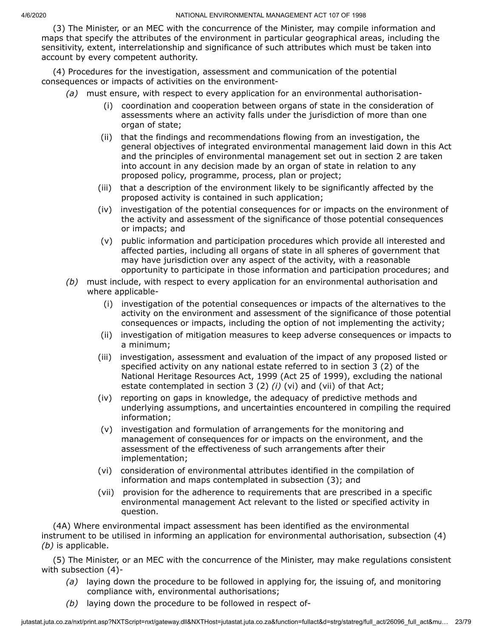(3) The Minister, or an MEC with the concurrence of the Minister, may compile information and maps that specify the attributes of the environment in particular geographical areas, including the sensitivity, extent, interrelationship and significance of such attributes which must be taken into account by every competent authority.

(4) Procedures for the investigation, assessment and communication of the potential consequences or impacts of activities on the environment-

- *(a)* must ensure, with respect to every application for an environmental authorisation-
	- (i) coordination and cooperation between organs of state in the consideration of assessments where an activity falls under the jurisdiction of more than one organ of state;
	- (ii) that the findings and recommendations flowing from an investigation, the general objectives of integrated environmental management laid down in this Act and the principles of environmental management set out in section 2 are taken into account in any decision made by an organ of state in relation to any proposed policy, programme, process, plan or project;
	- (iii) that a description of the environment likely to be significantly affected by the proposed activity is contained in such application;
	- (iv) investigation of the potential consequences for or impacts on the environment of the activity and assessment of the significance of those potential consequences or impacts; and
	- (v) public information and participation procedures which provide all interested and affected parties, including all organs of state in all spheres of government that may have jurisdiction over any aspect of the activity, with a reasonable opportunity to participate in those information and participation procedures; and
- *(b)* must include, with respect to every application for an environmental authorisation and where applicable-
	- (i) investigation of the potential consequences or impacts of the alternatives to the activity on the environment and assessment of the significance of those potential consequences or impacts, including the option of not implementing the activity;
	- (ii) investigation of mitigation measures to keep adverse consequences or impacts to a minimum;
	- (iii) investigation, assessment and evaluation of the impact of any proposed listed or specified activity on any national estate referred to in section 3 (2) of the National Heritage Resources Act, 1999 (Act 25 of 1999), excluding the national estate contemplated in section 3 (2) *(i)* (vi) and (vii) of that Act;
	- (iv) reporting on gaps in knowledge, the adequacy of predictive methods and underlying assumptions, and uncertainties encountered in compiling the required information;
	- (v) investigation and formulation of arrangements for the monitoring and management of consequences for or impacts on the environment, and the assessment of the effectiveness of such arrangements after their implementation;
	- (vi) consideration of environmental attributes identified in the compilation of information and maps contemplated in subsection (3); and
	- (vii) provision for the adherence to requirements that are prescribed in a specific environmental management Act relevant to the listed or specified activity in question.

(4A) Where environmental impact assessment has been identified as the environmental instrument to be utilised in informing an application for environmental authorisation, subsection (4) *(b)* is applicable.

(5) The Minister, or an MEC with the concurrence of the Minister, may make regulations consistent with subsection (4)-

- *(a)* laying down the procedure to be followed in applying for, the issuing of, and monitoring compliance with, environmental authorisations;
- *(b)* laying down the procedure to be followed in respect of-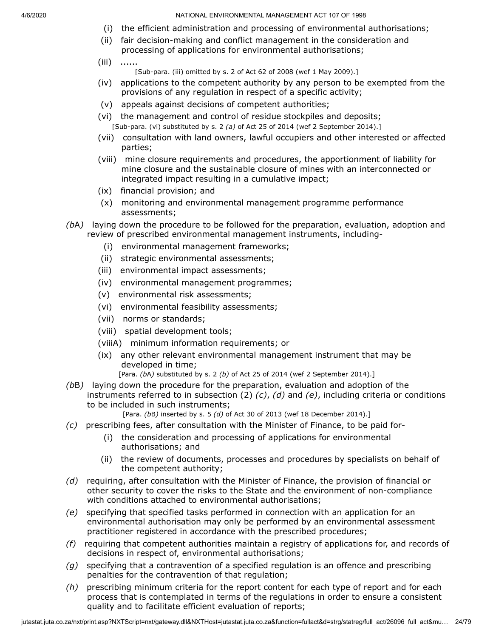- (i) the efficient administration and processing of environmental authorisations;
- (ii) fair decision-making and conflict management in the consideration and processing of applications for environmental authorisations;
- (iii) ......

[Sub-para. (iii) omitted by s. 2 of Act 62 of 2008 (wef 1 May 2009).]

- (iv) applications to the competent authority by any person to be exempted from the provisions of any regulation in respect of a specific activity;
- (v) appeals against decisions of competent authorities;
- (vi) the management and control of residue stockpiles and deposits; [Sub-para. (vi) substituted by s. 2 *(a)* of Act 25 of 2014 (wef 2 September 2014).]
- (vii) consultation with land owners, lawful occupiers and other interested or affected parties;
- (viii) mine closure requirements and procedures, the apportionment of liability for mine closure and the sustainable closure of mines with an interconnected or integrated impact resulting in a cumulative impact;
- (ix) financial provision; and
- (x) monitoring and environmental management programme performance assessments;
- *(b*A*)* laying down the procedure to be followed for the preparation, evaluation, adoption and review of prescribed environmental management instruments, including-
	- (i) environmental management frameworks;
	- (ii) strategic environmental assessments;
	- (iii) environmental impact assessments;
	- (iv) environmental management programmes;
	- (v) environmental risk assessments;
	- (vi) environmental feasibility assessments;
	- (vii) norms or standards;
	- (viii) spatial development tools;
	- (viiiA) minimum information requirements; or
	- (ix) any other relevant environmental management instrument that may be developed in time;
		- [Para. *(b*A*)* substituted by s. 2 *(b)* of Act 25 of 2014 (wef 2 September 2014).]
- *(b*B*)* laying down the procedure for the preparation, evaluation and adoption of the instruments referred to in subsection (2) *(c)*, *(d)* and *(e)*, including criteria or conditions to be included in such instruments;

[Para. *(b*B*)* inserted by s. 5 *(d)* of Act 30 of 2013 (wef 18 December 2014).]

- *(c)* prescribing fees, after consultation with the Minister of Finance, to be paid for-
	- (i) the consideration and processing of applications for environmental authorisations; and
	- (ii) the review of documents, processes and procedures by specialists on behalf of the competent authority;
- *(d)* requiring, after consultation with the Minister of Finance, the provision of financial or other security to cover the risks to the State and the environment of non-compliance with conditions attached to environmental authorisations;
- *(e)* specifying that specified tasks performed in connection with an application for an environmental authorisation may only be performed by an environmental assessment practitioner registered in accordance with the prescribed procedures;
- *(f)* requiring that competent authorities maintain a registry of applications for, and records of decisions in respect of, environmental authorisations;
- *(g)* specifying that a contravention of a specified regulation is an offence and prescribing penalties for the contravention of that regulation;
- *(h)* prescribing minimum criteria for the report content for each type of report and for each process that is contemplated in terms of the regulations in order to ensure a consistent quality and to facilitate efficient evaluation of reports;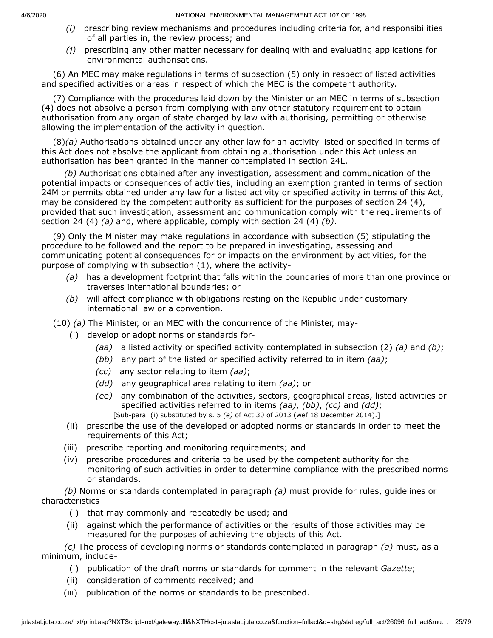- *(i)* prescribing review mechanisms and procedures including criteria for, and responsibilities of all parties in, the review process; and
- *(j)* prescribing any other matter necessary for dealing with and evaluating applications for environmental authorisations.

(6) An MEC may make regulations in terms of subsection (5) only in respect of listed activities and specified activities or areas in respect of which the MEC is the competent authority.

(7) Compliance with the procedures laid down by the Minister or an MEC in terms of subsection (4) does not absolve a person from complying with any other statutory requirement to obtain authorisation from any organ of state charged by law with authorising, permitting or otherwise allowing the implementation of the activity in question.

(8)*(a)* Authorisations obtained under any other law for an activity listed or specified in terms of this Act does not absolve the applicant from obtaining authorisation under this Act unless an authorisation has been granted in the manner contemplated in section 24L.

*(b)* Authorisations obtained after any investigation, assessment and communication of the potential impacts or consequences of activities, including an exemption granted in terms of section 24M or permits obtained under any law for a listed activity or specified activity in terms of this Act, may be considered by the competent authority as sufficient for the purposes of section 24 (4), provided that such investigation, assessment and communication comply with the requirements of section 24 (4) *(a)* and, where applicable, comply with section 24 (4) *(b)*.

(9) Only the Minister may make regulations in accordance with subsection (5) stipulating the procedure to be followed and the report to be prepared in investigating, assessing and communicating potential consequences for or impacts on the environment by activities, for the purpose of complying with subsection (1), where the activity-

- *(a)* has a development footprint that falls within the boundaries of more than one province or traverses international boundaries; or
- *(b)* will affect compliance with obligations resting on the Republic under customary international law or a convention.

(10) *(a)* The Minister, or an MEC with the concurrence of the Minister, may-

- (i) develop or adopt norms or standards for-
	- *(aa)* a listed activity or specified activity contemplated in subsection (2) *(a)* and *(b)*;
	- *(bb)* any part of the listed or specified activity referred to in item *(aa)*;
	- *(cc)* any sector relating to item *(aa)*;
	- *(dd)* any geographical area relating to item *(aa)*; or
	- *(ee)* any combination of the activities, sectors, geographical areas, listed activities or specified activities referred to in items *(aa)*, *(bb)*, *(cc)* and *(dd)*; [Sub-para. (i) substituted by s. 5 *(e)* of Act 30 of 2013 (wef 18 December 2014).]
- (ii) prescribe the use of the developed or adopted norms or standards in order to meet the requirements of this Act;
- (iii) prescribe reporting and monitoring requirements; and
- (iv) prescribe procedures and criteria to be used by the competent authority for the monitoring of such activities in order to determine compliance with the prescribed norms or standards.

*(b)* Norms or standards contemplated in paragraph *(a)* must provide for rules, guidelines or characteristics-

- (i) that may commonly and repeatedly be used; and
- (ii) against which the performance of activities or the results of those activities may be measured for the purposes of achieving the objects of this Act.

*(c)* The process of developing norms or standards contemplated in paragraph *(a)* must, as a minimum, include-

- (i) publication of the draft norms or standards for comment in the relevant *Gazette*;
- (ii) consideration of comments received; and
- (iii) publication of the norms or standards to be prescribed.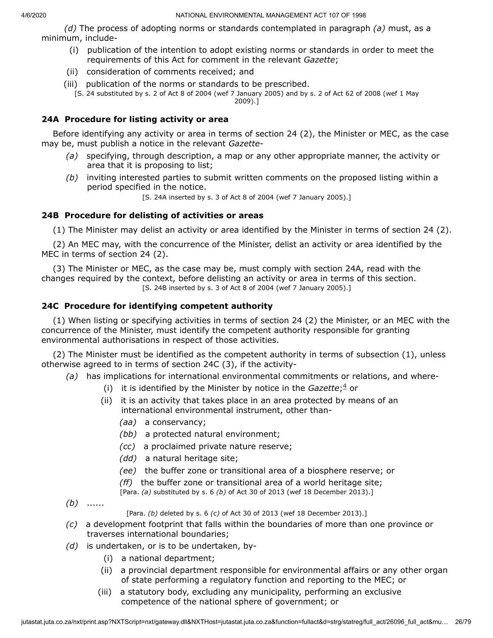*(d)* The process of adopting norms or standards contemplated in paragraph *(a)* must, as a minimum, include-

- (i) publication of the intention to adopt existing norms or standards in order to meet the requirements of this Act for comment in the relevant *Gazette*;
- (ii) consideration of comments received; and
- (iii) publication of the norms or standards to be prescribed.
- [S. 24 substituted by s. 2 of Act 8 of 2004 (wef 7 January 2005) and by s. 2 of Act 62 of 2008 (wef 1 May 2009).]

## **24A Procedure for listing activity or area**

Before identifying any activity or area in terms of section 24 (2), the Minister or MEC, as the case may be, must publish a notice in the relevant *Gazette*-

- *(a)* specifying, through description, a map or any other appropriate manner, the activity or area that it is proposing to list;
- *(b)* inviting interested parties to submit written comments on the proposed listing within a period specified in the notice.

[S. 24A inserted by s. 3 of Act 8 of 2004 (wef 7 January 2005).]

## **24B Procedure for delisting of activities or areas**

(1) The Minister may delist an activity or area identified by the Minister in terms of section 24 (2).

(2) An MEC may, with the concurrence of the Minister, delist an activity or area identified by the MEC in terms of section 24 (2).

(3) The Minister or MEC, as the case may be, must comply with section 24A, read with the changes required by the context, before delisting an activity or area in terms of this section. [S. 24B inserted by s. 3 of Act 8 of 2004 (wef 7 January 2005).]

## **24C Procedure for identifying competent authority**

(1) When listing or specifying activities in terms of section 24 (2) the Minister, or an MEC with the concurrence of the Minister, must identify the competent authority responsible for granting environmental authorisations in respect of those activities.

(2) The Minister must be identified as the competent authority in terms of subsection (1), unless otherwise agreed to in terms of section 24C (3), if the activity-

- *(a)* has implications for international environmental commitments or relations, and where-
	- (i) it is identified by the Minister by notice in the  $Gazette; <sup>4</sup>$  $Gazette; <sup>4</sup>$  $Gazette; <sup>4</sup>$  or
	- (ii) it is an activity that takes place in an area protected by means of an international environmental instrument, other than-
		- *(aa)* a conservancy;
		- *(bb)* a protected natural environment;
		- *(cc)* a proclaimed private nature reserve;
		- *(dd)* a natural heritage site;
		- *(ee)* the buffer zone or transitional area of a biosphere reserve; or
		- *(ff)* the buffer zone or transitional area of a world heritage site;
		- [Para. *(a)* substituted by s. 6 *(b)* of Act 30 of 2013 (wef 18 December 2013).]
- *(b)* ......

[Para. *(b)* deleted by s. 6 *(c)* of Act 30 of 2013 (wef 18 December 2013).]

- *(c)* a development footprint that falls within the boundaries of more than one province or traverses international boundaries;
- *(d)* is undertaken, or is to be undertaken, by-
	- (i) a national department;
	- (ii) a provincial department responsible for environmental affairs or any other organ of state performing a regulatory function and reporting to the MEC; or
	- (iii) a statutory body, excluding any municipality, performing an exclusive competence of the national sphere of government; or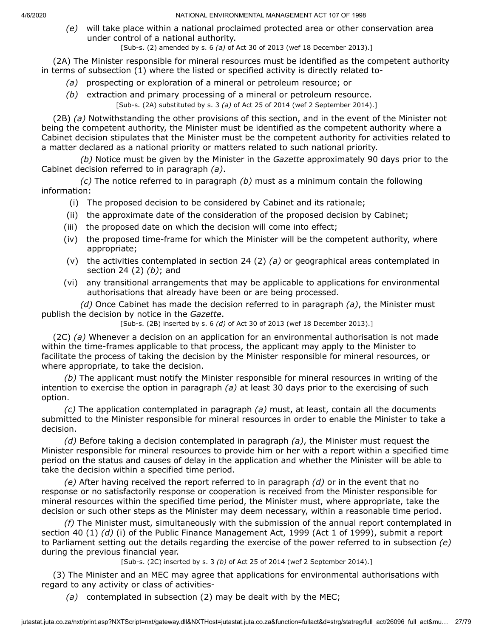*(e)* will take place within a national proclaimed protected area or other conservation area under control of a national authority.

[Sub-s. (2) amended by s. 6 *(a)* of Act 30 of 2013 (wef 18 December 2013).]

(2A) The Minister responsible for mineral resources must be identified as the competent authority in terms of subsection (1) where the listed or specified activity is directly related to-

- *(a)* prospecting or exploration of a mineral or petroleum resource; or
- *(b)* extraction and primary processing of a mineral or petroleum resource. [Sub-s. (2A) substituted by s. 3 *(a)* of Act 25 of 2014 (wef 2 September 2014).]

(2B) *(a)* Notwithstanding the other provisions of this section, and in the event of the Minister not being the competent authority, the Minister must be identified as the competent authority where a Cabinet decision stipulates that the Minister must be the competent authority for activities related to a matter declared as a national priority or matters related to such national priority.

*(b)* Notice must be given by the Minister in the *Gazette* approximately 90 days prior to the Cabinet decision referred to in paragraph *(a)*.

*(c)* The notice referred to in paragraph *(b)* must as a minimum contain the following information:

- (i) The proposed decision to be considered by Cabinet and its rationale;
- (ii) the approximate date of the consideration of the proposed decision by Cabinet;
- (iii) the proposed date on which the decision will come into effect;
- (iv) the proposed time-frame for which the Minister will be the competent authority, where appropriate;
- (v) the activities contemplated in section 24 (2) *(a)* or geographical areas contemplated in section 24 (2) *(b)*; and
- (vi) any transitional arrangements that may be applicable to applications for environmental authorisations that already have been or are being processed.

*(d)* Once Cabinet has made the decision referred to in paragraph *(a)*, the Minister must publish the decision by notice in the *Gazette*.

[Sub-s. (2B) inserted by s. 6 *(d)* of Act 30 of 2013 (wef 18 December 2013).]

(2C) *(a)* Whenever a decision on an application for an environmental authorisation is not made within the time-frames applicable to that process, the applicant may apply to the Minister to facilitate the process of taking the decision by the Minister responsible for mineral resources, or where appropriate, to take the decision.

*(b)* The applicant must notify the Minister responsible for mineral resources in writing of the intention to exercise the option in paragraph *(a)* at least 30 days prior to the exercising of such option.

*(c)* The application contemplated in paragraph *(a)* must, at least, contain all the documents submitted to the Minister responsible for mineral resources in order to enable the Minister to take a decision.

*(d)* Before taking a decision contemplated in paragraph *(a)*, the Minister must request the Minister responsible for mineral resources to provide him or her with a report within a specified time period on the status and causes of delay in the application and whether the Minister will be able to take the decision within a specified time period.

*(e)* After having received the report referred to in paragraph *(d)* or in the event that no response or no satisfactorily response or cooperation is received from the Minister responsible for mineral resources within the specified time period, the Minister must, where appropriate, take the decision or such other steps as the Minister may deem necessary, within a reasonable time period.

*(f)* The Minister must, simultaneously with the submission of the annual report contemplated in section 40 (1) *(d)* (i) of the Public Finance Management Act, 1999 (Act 1 of 1999), submit a report to Parliament setting out the details regarding the exercise of the power referred to in subsection *(e)* during the previous financial year.

[Sub-s. (2C) inserted by s. 3 *(b)* of Act 25 of 2014 (wef 2 September 2014).]

(3) The Minister and an MEC may agree that applications for environmental authorisations with regard to any activity or class of activities-

*(a)* contemplated in subsection (2) may be dealt with by the MEC;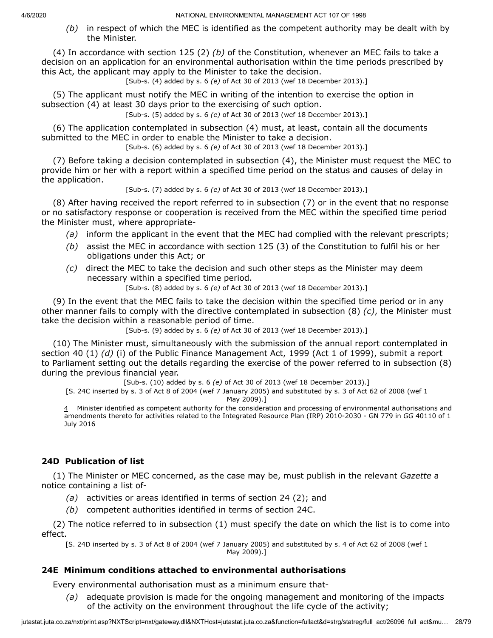*(b)* in respect of which the MEC is identified as the competent authority may be dealt with by the Minister.

(4) In accordance with section 125 (2) *(b)* of the Constitution, whenever an MEC fails to take a decision on an application for an environmental authorisation within the time periods prescribed by this Act, the applicant may apply to the Minister to take the decision.

[Sub-s. (4) added by s. 6 *(e)* of Act 30 of 2013 (wef 18 December 2013).]

(5) The applicant must notify the MEC in writing of the intention to exercise the option in subsection (4) at least 30 days prior to the exercising of such option. [Sub-s. (5) added by s. 6 *(e)* of Act 30 of 2013 (wef 18 December 2013).]

(6) The application contemplated in subsection (4) must, at least, contain all the documents submitted to the MEC in order to enable the Minister to take a decision.

[Sub-s. (6) added by s. 6 *(e)* of Act 30 of 2013 (wef 18 December 2013).]

(7) Before taking a decision contemplated in subsection (4), the Minister must request the MEC to provide him or her with a report within a specified time period on the status and causes of delay in the application.

[Sub-s. (7) added by s. 6 *(e)* of Act 30 of 2013 (wef 18 December 2013).]

(8) After having received the report referred to in subsection (7) or in the event that no response or no satisfactory response or cooperation is received from the MEC within the specified time period the Minister must, where appropriate-

- *(a)* inform the applicant in the event that the MEC had complied with the relevant prescripts;
- *(b)* assist the MEC in accordance with section 125 (3) of the Constitution to fulfil his or her obligations under this Act; or
- *(c)* direct the MEC to take the decision and such other steps as the Minister may deem necessary within a specified time period.

[Sub-s. (8) added by s. 6 *(e)* of Act 30 of 2013 (wef 18 December 2013).]

(9) In the event that the MEC fails to take the decision within the specified time period or in any other manner fails to comply with the directive contemplated in subsection (8) *(c)*, the Minister must take the decision within a reasonable period of time.

[Sub-s. (9) added by s. 6 *(e)* of Act 30 of 2013 (wef 18 December 2013).]

(10) The Minister must, simultaneously with the submission of the annual report contemplated in section 40 (1) *(d)* (i) of the Public Finance Management Act, 1999 (Act 1 of 1999), submit a report to Parliament setting out the details regarding the exercise of the power referred to in subsection (8) during the previous financial year.

[Sub-s. (10) added by s. 6 *(e)* of Act 30 of 2013 (wef 18 December 2013).]

[S. 24C inserted by s. 3 of Act 8 of 2004 (wef 7 January 2005) and substituted by s. 3 of Act 62 of 2008 (wef 1 May 2009).]

<span id="page-27-0"></span>4 Minister identified as competent authority for the consideration and processing of environmental authorisations and amendments thereto for activities related to the Integrated Resource Plan (IRP) 2010-2030 - GN 779 in *GG* 40110 of 1 July 2016

## **24D Publication of list**

(1) The Minister or MEC concerned, as the case may be, must publish in the relevant *Gazette* a notice containing a list of-

- *(a)* activities or areas identified in terms of section 24 (2); and
- *(b)* competent authorities identified in terms of section 24C.

(2) The notice referred to in subsection (1) must specify the date on which the list is to come into effect.

[S. 24D inserted by s. 3 of Act 8 of 2004 (wef 7 January 2005) and substituted by s. 4 of Act 62 of 2008 (wef 1 May 2009).]

## **24E Minimum conditions attached to environmental authorisations**

Every environmental authorisation must as a minimum ensure that-

*(a)* adequate provision is made for the ongoing management and monitoring of the impacts of the activity on the environment throughout the life cycle of the activity;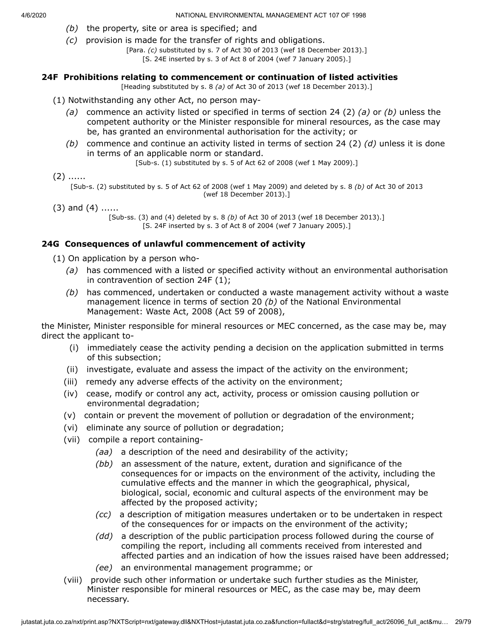- *(b)* the property, site or area is specified; and
- *(c)* provision is made for the transfer of rights and obligations.
	- [Para. *(c)* substituted by s. 7 of Act 30 of 2013 (wef 18 December 2013).]

[S. 24E inserted by s. 3 of Act 8 of 2004 (wef 7 January 2005).]

#### **24F Prohibitions relating to commencement or continuation of listed activities**

[Heading substituted by s. 8 *(a)* of Act 30 of 2013 (wef 18 December 2013).]

- (1) Notwithstanding any other Act, no person may-
	- *(a)* commence an activity listed or specified in terms of section 24 (2) *(a)* or *(b)* unless the competent authority or the Minister responsible for mineral resources, as the case may be, has granted an environmental authorisation for the activity; or
	- *(b)* commence and continue an activity listed in terms of section 24 (2) *(d)* unless it is done in terms of an applicable norm or standard.

[Sub-s. (1) substituted by s. 5 of Act 62 of 2008 (wef 1 May 2009).]

 $(2)$  ......

[Sub-s. (2) substituted by s. 5 of Act 62 of 2008 (wef 1 May 2009) and deleted by s. 8 *(b)* of Act 30 of 2013 (wef 18 December 2013).]

 $(3)$  and  $(4)$  ......

[Sub-ss. (3) and (4) deleted by s. 8 *(b)* of Act 30 of 2013 (wef 18 December 2013).] [S. 24F inserted by s. 3 of Act 8 of 2004 (wef 7 January 2005).]

## **24G Consequences of unlawful commencement of activity**

- (1) On application by a person who-
	- *(a)* has commenced with a listed or specified activity without an environmental authorisation in contravention of section 24F (1);
	- *(b)* has commenced, undertaken or conducted a waste management activity without a waste management licence in terms of section 20 *(b)* of the National Environmental Management: Waste Act, 2008 (Act 59 of 2008),

the Minister, Minister responsible for mineral resources or MEC concerned, as the case may be, may direct the applicant to-

- (i) immediately cease the activity pending a decision on the application submitted in terms of this subsection;
- (ii) investigate, evaluate and assess the impact of the activity on the environment;
- (iii) remedy any adverse effects of the activity on the environment;
- (iv) cease, modify or control any act, activity, process or omission causing pollution or environmental degradation;
- (v) contain or prevent the movement of pollution or degradation of the environment;
- (vi) eliminate any source of pollution or degradation;
- (vii) compile a report containing-
	- *(aa)* a description of the need and desirability of the activity;
	- *(bb)* an assessment of the nature, extent, duration and significance of the consequences for or impacts on the environment of the activity, including the cumulative effects and the manner in which the geographical, physical, biological, social, economic and cultural aspects of the environment may be affected by the proposed activity;
	- *(cc)* a description of mitigation measures undertaken or to be undertaken in respect of the consequences for or impacts on the environment of the activity;
	- *(dd)* a description of the public participation process followed during the course of compiling the report, including all comments received from interested and affected parties and an indication of how the issues raised have been addressed;
	- *(ee)* an environmental management programme; or
- (viii) provide such other information or undertake such further studies as the Minister, Minister responsible for mineral resources or MEC, as the case may be, may deem necessary.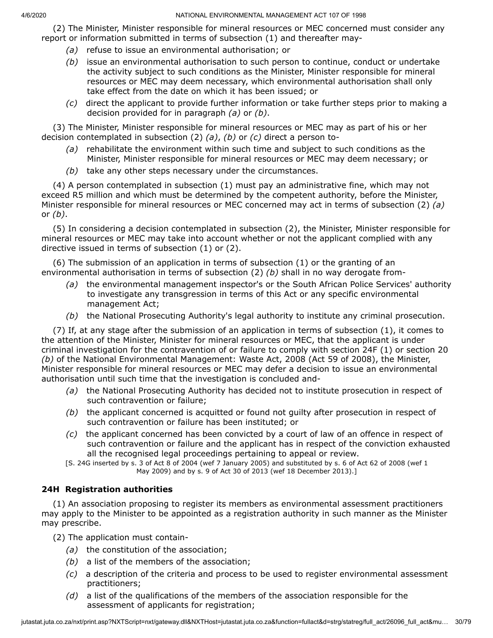(2) The Minister, Minister responsible for mineral resources or MEC concerned must consider any report or information submitted in terms of subsection (1) and thereafter may-

- *(a)* refuse to issue an environmental authorisation; or
- *(b)* issue an environmental authorisation to such person to continue, conduct or undertake the activity subject to such conditions as the Minister, Minister responsible for mineral resources or MEC may deem necessary, which environmental authorisation shall only take effect from the date on which it has been issued; or
- *(c)* direct the applicant to provide further information or take further steps prior to making a decision provided for in paragraph *(a)* or *(b)*.

(3) The Minister, Minister responsible for mineral resources or MEC may as part of his or her decision contemplated in subsection (2) *(a)*, *(b)* or *(c)* direct a person to-

- *(a)* rehabilitate the environment within such time and subject to such conditions as the Minister, Minister responsible for mineral resources or MEC may deem necessary; or
- *(b)* take any other steps necessary under the circumstances.

(4) A person contemplated in subsection (1) must pay an administrative fine, which may not exceed R5 million and which must be determined by the competent authority, before the Minister, Minister responsible for mineral resources or MEC concerned may act in terms of subsection (2) *(a)* or *(b)*.

(5) In considering a decision contemplated in subsection (2), the Minister, Minister responsible for mineral resources or MEC may take into account whether or not the applicant complied with any directive issued in terms of subsection (1) or (2).

(6) The submission of an application in terms of subsection (1) or the granting of an environmental authorisation in terms of subsection (2) *(b)* shall in no way derogate from-

- *(a)* the environmental management inspector's or the South African Police Services' authority to investigate any transgression in terms of this Act or any specific environmental management Act;
- *(b)* the National Prosecuting Authority's legal authority to institute any criminal prosecution.

(7) If, at any stage after the submission of an application in terms of subsection (1), it comes to the attention of the Minister, Minister for mineral resources or MEC, that the applicant is under criminal investigation for the contravention of or failure to comply with section 24F (1) or section 20 *(b)* of the National Environmental Management: Waste Act, 2008 (Act 59 of 2008), the Minister, Minister responsible for mineral resources or MEC may defer a decision to issue an environmental authorisation until such time that the investigation is concluded and-

- *(a)* the National Prosecuting Authority has decided not to institute prosecution in respect of such contravention or failure;
- *(b)* the applicant concerned is acquitted or found not guilty after prosecution in respect of such contravention or failure has been instituted; or
- *(c)* the applicant concerned has been convicted by a court of law of an offence in respect of such contravention or failure and the applicant has in respect of the conviction exhausted all the recognised legal proceedings pertaining to appeal or review.
- [S. 24G inserted by s. 3 of Act 8 of 2004 (wef 7 January 2005) and substituted by s. 6 of Act 62 of 2008 (wef 1 May 2009) and by s. 9 of Act 30 of 2013 (wef 18 December 2013).]

# **24H Registration authorities**

(1) An association proposing to register its members as environmental assessment practitioners may apply to the Minister to be appointed as a registration authority in such manner as the Minister may prescribe.

(2) The application must contain-

- *(a)* the constitution of the association;
- *(b)* a list of the members of the association;
- *(c)* a description of the criteria and process to be used to register environmental assessment practitioners;
- *(d)* a list of the qualifications of the members of the association responsible for the assessment of applicants for registration;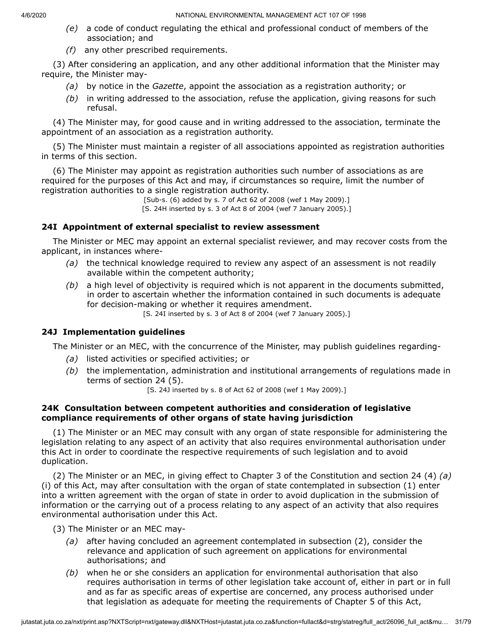- *(e)* a code of conduct regulating the ethical and professional conduct of members of the association; and
- *(f)* any other prescribed requirements.

(3) After considering an application, and any other additional information that the Minister may require, the Minister may-

- *(a)* by notice in the *Gazette*, appoint the association as a registration authority; or
- *(b)* in writing addressed to the association, refuse the application, giving reasons for such refusal.

(4) The Minister may, for good cause and in writing addressed to the association, terminate the appointment of an association as a registration authority.

(5) The Minister must maintain a register of all associations appointed as registration authorities in terms of this section.

(6) The Minister may appoint as registration authorities such number of associations as are required for the purposes of this Act and may, if circumstances so require, limit the number of registration authorities to a single registration authority.

[Sub-s. (6) added by s. 7 of Act 62 of 2008 (wef 1 May 2009).] [S. 24H inserted by s. 3 of Act 8 of 2004 (wef 7 January 2005).]

#### **24I Appointment of external specialist to review assessment**

The Minister or MEC may appoint an external specialist reviewer, and may recover costs from the applicant, in instances where-

- *(a)* the technical knowledge required to review any aspect of an assessment is not readily available within the competent authority;
- *(b)* a high level of objectivity is required which is not apparent in the documents submitted, in order to ascertain whether the information contained in such documents is adequate for decision-making or whether it requires amendment.

[S. 24I inserted by s. 3 of Act 8 of 2004 (wef 7 January 2005).]

## **24J Implementation guidelines**

The Minister or an MEC, with the concurrence of the Minister, may publish guidelines regarding-

- *(a)* listed activities or specified activities; or
- *(b)* the implementation, administration and institutional arrangements of regulations made in terms of section 24 (5).

[S. 24J inserted by s. 8 of Act 62 of 2008 (wef 1 May 2009).]

## **24K Consultation between competent authorities and consideration of legislative compliance requirements of other organs of state having jurisdiction**

(1) The Minister or an MEC may consult with any organ of state responsible for administering the legislation relating to any aspect of an activity that also requires environmental authorisation under this Act in order to coordinate the respective requirements of such legislation and to avoid duplication.

(2) The Minister or an MEC, in giving effect to Chapter 3 of the Constitution and section 24 (4) *(a)* (i) of this Act, may after consultation with the organ of state contemplated in subsection (1) enter into a written agreement with the organ of state in order to avoid duplication in the submission of information or the carrying out of a process relating to any aspect of an activity that also requires environmental authorisation under this Act.

(3) The Minister or an MEC may-

- *(a)* after having concluded an agreement contemplated in subsection (2), consider the relevance and application of such agreement on applications for environmental authorisations; and
- *(b)* when he or she considers an application for environmental authorisation that also requires authorisation in terms of other legislation take account of, either in part or in full and as far as specific areas of expertise are concerned, any process authorised under that legislation as adequate for meeting the requirements of Chapter 5 of this Act,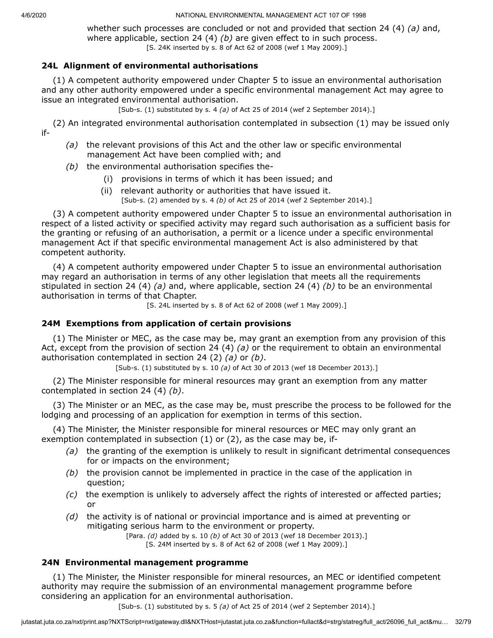whether such processes are concluded or not and provided that section 24 (4) *(a)* and, where applicable, section 24 (4) *(b)* are given effect to in such process. [S. 24K inserted by s. 8 of Act 62 of 2008 (wef 1 May 2009).]

## **24L Alignment of environmental authorisations**

(1) A competent authority empowered under Chapter 5 to issue an environmental authorisation and any other authority empowered under a specific environmental management Act may agree to issue an integrated environmental authorisation.

[Sub-s. (1) substituted by s. 4 *(a)* of Act 25 of 2014 (wef 2 September 2014).]

(2) An integrated environmental authorisation contemplated in subsection (1) may be issued only if-

- *(a)* the relevant provisions of this Act and the other law or specific environmental management Act have been complied with; and
- *(b)* the environmental authorisation specifies the-
	- (i) provisions in terms of which it has been issued; and
	- (ii) relevant authority or authorities that have issued it. [Sub-s. (2) amended by s. 4 *(b)* of Act 25 of 2014 (wef 2 September 2014).]

(3) A competent authority empowered under Chapter 5 to issue an environmental authorisation in respect of a listed activity or specified activity may regard such authorisation as a sufficient basis for the granting or refusing of an authorisation, a permit or a licence under a specific environmental management Act if that specific environmental management Act is also administered by that competent authority.

(4) A competent authority empowered under Chapter 5 to issue an environmental authorisation may regard an authorisation in terms of any other legislation that meets all the requirements stipulated in section 24 (4) *(a)* and, where applicable, section 24 (4) *(b)* to be an environmental authorisation in terms of that Chapter.

[S. 24L inserted by s. 8 of Act 62 of 2008 (wef 1 May 2009).]

## **24M Exemptions from application of certain provisions**

(1) The Minister or MEC, as the case may be, may grant an exemption from any provision of this Act, except from the provision of section 24 (4) *(a)* or the requirement to obtain an environmental authorisation contemplated in section 24 (2) *(a)* or *(b)*.

[Sub-s. (1) substituted by s. 10 *(a)* of Act 30 of 2013 (wef 18 December 2013).]

(2) The Minister responsible for mineral resources may grant an exemption from any matter contemplated in section 24 (4) *(b)*.

(3) The Minister or an MEC, as the case may be, must prescribe the process to be followed for the lodging and processing of an application for exemption in terms of this section.

(4) The Minister, the Minister responsible for mineral resources or MEC may only grant an exemption contemplated in subsection  $(1)$  or  $(2)$ , as the case may be, if-

- *(a)* the granting of the exemption is unlikely to result in significant detrimental consequences for or impacts on the environment;
- *(b)* the provision cannot be implemented in practice in the case of the application in question;
- *(c)* the exemption is unlikely to adversely affect the rights of interested or affected parties; or
- *(d)* the activity is of national or provincial importance and is aimed at preventing or mitigating serious harm to the environment or property.

[Para. *(d)* added by s. 10 *(b)* of Act 30 of 2013 (wef 18 December 2013).] [S. 24M inserted by s. 8 of Act 62 of 2008 (wef 1 May 2009).]

## **24N Environmental management programme**

(1) The Minister, the Minister responsible for mineral resources, an MEC or identified competent authority may require the submission of an environmental management programme before considering an application for an environmental authorisation.

[Sub-s. (1) substituted by s. 5 *(a)* of Act 25 of 2014 (wef 2 September 2014).]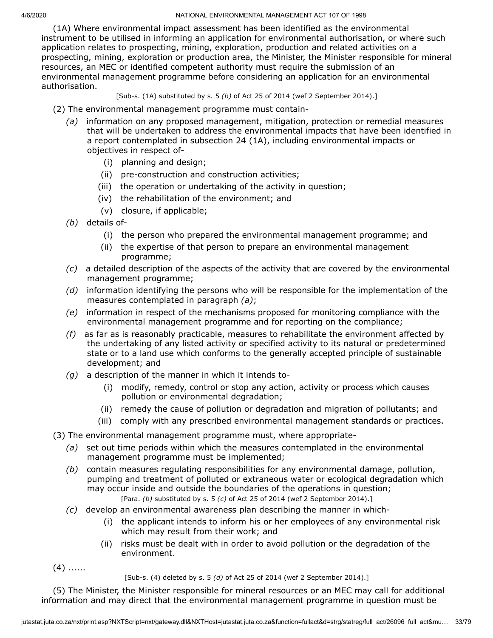(1A) Where environmental impact assessment has been identified as the environmental instrument to be utilised in informing an application for environmental authorisation, or where such application relates to prospecting, mining, exploration, production and related activities on a prospecting, mining, exploration or production area, the Minister, the Minister responsible for mineral resources, an MEC or identified competent authority must require the submission of an environmental management programme before considering an application for an environmental authorisation.

[Sub-s. (1A) substituted by s. 5 *(b)* of Act 25 of 2014 (wef 2 September 2014).]

- (2) The environmental management programme must contain-
	- *(a)* information on any proposed management, mitigation, protection or remedial measures that will be undertaken to address the environmental impacts that have been identified in a report contemplated in subsection 24 (1A), including environmental impacts or objectives in respect of-
		- (i) planning and design;
		- (ii) pre-construction and construction activities;
		- (iii) the operation or undertaking of the activity in question;
		- (iv) the rehabilitation of the environment; and
		- (v) closure, if applicable;
	- *(b)* details of-
		- (i) the person who prepared the environmental management programme; and
		- (ii) the expertise of that person to prepare an environmental management programme;
	- *(c)* a detailed description of the aspects of the activity that are covered by the environmental management programme;
	- *(d)* information identifying the persons who will be responsible for the implementation of the measures contemplated in paragraph *(a)*;
	- *(e)* information in respect of the mechanisms proposed for monitoring compliance with the environmental management programme and for reporting on the compliance;
	- *(f)* as far as is reasonably practicable, measures to rehabilitate the environment affected by the undertaking of any listed activity or specified activity to its natural or predetermined state or to a land use which conforms to the generally accepted principle of sustainable development; and
	- *(g)* a description of the manner in which it intends to-
		- (i) modify, remedy, control or stop any action, activity or process which causes pollution or environmental degradation;
		- (ii) remedy the cause of pollution or degradation and migration of pollutants; and
		- (iii) comply with any prescribed environmental management standards or practices.
- (3) The environmental management programme must, where appropriate-
	- *(a)* set out time periods within which the measures contemplated in the environmental management programme must be implemented;
	- *(b)* contain measures regulating responsibilities for any environmental damage, pollution, pumping and treatment of polluted or extraneous water or ecological degradation which may occur inside and outside the boundaries of the operations in question; [Para. *(b)* substituted by s. 5 *(c)* of Act 25 of 2014 (wef 2 September 2014).]
	- *(c)* develop an environmental awareness plan describing the manner in which-
		- (i) the applicant intends to inform his or her employees of any environmental risk which may result from their work; and
		- (ii) risks must be dealt with in order to avoid pollution or the degradation of the environment.

 $(4)$  ......

[Sub-s. (4) deleted by s. 5 *(d)* of Act 25 of 2014 (wef 2 September 2014).]

(5) The Minister, the Minister responsible for mineral resources or an MEC may call for additional information and may direct that the environmental management programme in question must be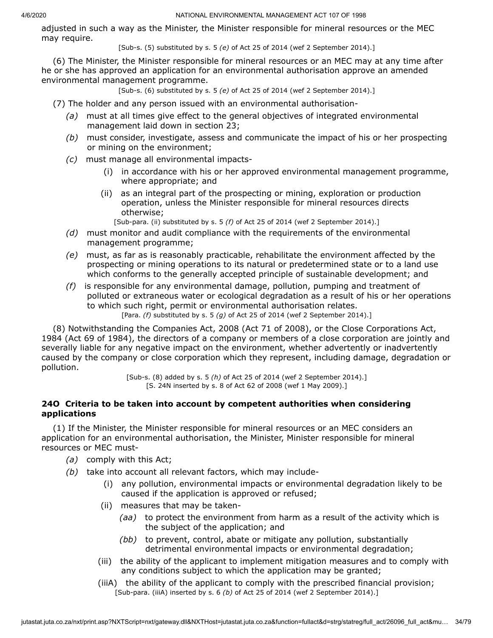adjusted in such a way as the Minister, the Minister responsible for mineral resources or the MEC may require.

[Sub-s. (5) substituted by s. 5 *(e)* of Act 25 of 2014 (wef 2 September 2014).]

(6) The Minister, the Minister responsible for mineral resources or an MEC may at any time after he or she has approved an application for an environmental authorisation approve an amended environmental management programme.

[Sub-s. (6) substituted by s. 5 *(e)* of Act 25 of 2014 (wef 2 September 2014).]

- (7) The holder and any person issued with an environmental authorisation-
	- *(a)* must at all times give effect to the general objectives of integrated environmental management laid down in section 23;
	- *(b)* must consider, investigate, assess and communicate the impact of his or her prospecting or mining on the environment;
	- *(c)* must manage all environmental impacts-
		- (i) in accordance with his or her approved environmental management programme, where appropriate; and
		- (ii) as an integral part of the prospecting or mining, exploration or production operation, unless the Minister responsible for mineral resources directs otherwise;
			- [Sub-para. (ii) substituted by s. 5 *(f)* of Act 25 of 2014 (wef 2 September 2014).]
	- *(d)* must monitor and audit compliance with the requirements of the environmental management programme;
	- *(e)* must, as far as is reasonably practicable, rehabilitate the environment affected by the prospecting or mining operations to its natural or predetermined state or to a land use which conforms to the generally accepted principle of sustainable development; and
	- *(f)* is responsible for any environmental damage, pollution, pumping and treatment of polluted or extraneous water or ecological degradation as a result of his or her operations to which such right, permit or environmental authorisation relates. [Para. *(f)* substituted by s. 5 *(g)* of Act 25 of 2014 (wef 2 September 2014).]

(8) Notwithstanding the Companies Act, 2008 (Act 71 of 2008), or the Close Corporations Act, 1984 (Act 69 of 1984), the directors of a company or members of a close corporation are jointly and severally liable for any negative impact on the environment, whether advertently or inadvertently caused by the company or close corporation which they represent, including damage, degradation or pollution.

> [Sub-s. (8) added by s. 5 *(h)* of Act 25 of 2014 (wef 2 September 2014).] [S. 24N inserted by s. 8 of Act 62 of 2008 (wef 1 May 2009).]

## **24O Criteria to be taken into account by competent authorities when considering applications**

(1) If the Minister, the Minister responsible for mineral resources or an MEC considers an application for an environmental authorisation, the Minister, Minister responsible for mineral resources or MEC must-

- *(a)* comply with this Act;
- *(b)* take into account all relevant factors, which may include-
	- (i) any pollution, environmental impacts or environmental degradation likely to be caused if the application is approved or refused;
	- (ii) measures that may be taken-
		- *(aa)* to protect the environment from harm as a result of the activity which is the subject of the application; and
		- *(bb)* to prevent, control, abate or mitigate any pollution, substantially detrimental environmental impacts or environmental degradation;
	- (iii) the ability of the applicant to implement mitigation measures and to comply with any conditions subject to which the application may be granted;
	- (iiiA) the ability of the applicant to comply with the prescribed financial provision; [Sub-para. (iiiA) inserted by s. 6 *(b)* of Act 25 of 2014 (wef 2 September 2014).]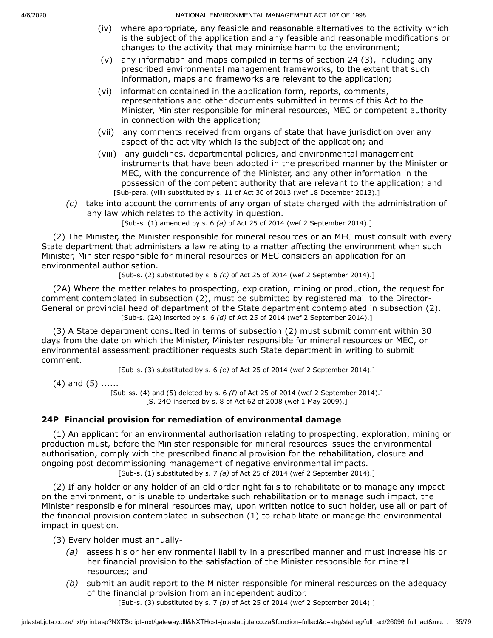- (iv) where appropriate, any feasible and reasonable alternatives to the activity which is the subject of the application and any feasible and reasonable modifications or changes to the activity that may minimise harm to the environment;
- (v) any information and maps compiled in terms of section 24 (3), including any prescribed environmental management frameworks, to the extent that such information, maps and frameworks are relevant to the application;
- (vi) information contained in the application form, reports, comments, representations and other documents submitted in terms of this Act to the Minister, Minister responsible for mineral resources, MEC or competent authority in connection with the application;
- (vii) any comments received from organs of state that have jurisdiction over any aspect of the activity which is the subject of the application; and
- (viii) any guidelines, departmental policies, and environmental management instruments that have been adopted in the prescribed manner by the Minister or MEC, with the concurrence of the Minister, and any other information in the possession of the competent authority that are relevant to the application; and [Sub-para. (viii) substituted by s. 11 of Act 30 of 2013 (wef 18 December 2013).]
- *(c)* take into account the comments of any organ of state charged with the administration of any law which relates to the activity in question.

[Sub-s. (1) amended by s. 6 *(a)* of Act 25 of 2014 (wef 2 September 2014).]

(2) The Minister, the Minister responsible for mineral resources or an MEC must consult with every State department that administers a law relating to a matter affecting the environment when such Minister, Minister responsible for mineral resources or MEC considers an application for an environmental authorisation.

[Sub-s. (2) substituted by s. 6 *(c)* of Act 25 of 2014 (wef 2 September 2014).]

(2A) Where the matter relates to prospecting, exploration, mining or production, the request for comment contemplated in subsection (2), must be submitted by registered mail to the Director-General or provincial head of department of the State department contemplated in subsection (2). [Sub-s. (2A) inserted by s. 6 *(d)* of Act 25 of 2014 (wef 2 September 2014).]

(3) A State department consulted in terms of subsection (2) must submit comment within 30 days from the date on which the Minister, Minister responsible for mineral resources or MEC, or environmental assessment practitioner requests such State department in writing to submit comment.

[Sub-s. (3) substituted by s. 6 *(e)* of Act 25 of 2014 (wef 2 September 2014).]

 $(4)$  and  $(5)$  ......

[Sub-ss. (4) and (5) deleted by s. 6 *(f)* of Act 25 of 2014 (wef 2 September 2014).] [S. 24O inserted by s. 8 of Act 62 of 2008 (wef 1 May 2009).]

## **24P Financial provision for remediation of environmental damage**

(1) An applicant for an environmental authorisation relating to prospecting, exploration, mining or production must, before the Minister responsible for mineral resources issues the environmental authorisation, comply with the prescribed financial provision for the rehabilitation, closure and ongoing post decommissioning management of negative environmental impacts.

[Sub-s. (1) substituted by s. 7 *(a)* of Act 25 of 2014 (wef 2 September 2014).]

(2) If any holder or any holder of an old order right fails to rehabilitate or to manage any impact on the environment, or is unable to undertake such rehabilitation or to manage such impact, the Minister responsible for mineral resources may, upon written notice to such holder, use all or part of the financial provision contemplated in subsection (1) to rehabilitate or manage the environmental impact in question.

(3) Every holder must annually-

- *(a)* assess his or her environmental liability in a prescribed manner and must increase his or her financial provision to the satisfaction of the Minister responsible for mineral resources; and
- *(b)* submit an audit report to the Minister responsible for mineral resources on the adequacy of the financial provision from an independent auditor.

[Sub-s. (3) substituted by s. 7 *(b)* of Act 25 of 2014 (wef 2 September 2014).]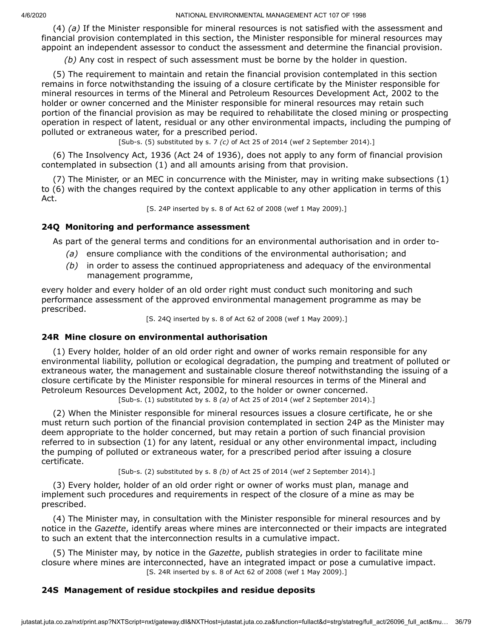(4) *(a)* If the Minister responsible for mineral resources is not satisfied with the assessment and financial provision contemplated in this section, the Minister responsible for mineral resources may appoint an independent assessor to conduct the assessment and determine the financial provision.

*(b)* Any cost in respect of such assessment must be borne by the holder in question.

(5) The requirement to maintain and retain the financial provision contemplated in this section remains in force notwithstanding the issuing of a closure certificate by the Minister responsible for mineral resources in terms of the Mineral and Petroleum Resources Development Act, 2002 to the holder or owner concerned and the Minister responsible for mineral resources may retain such portion of the financial provision as may be required to rehabilitate the closed mining or prospecting operation in respect of latent, residual or any other environmental impacts, including the pumping of polluted or extraneous water, for a prescribed period.

[Sub-s. (5) substituted by s. 7 *(c)* of Act 25 of 2014 (wef 2 September 2014).]

(6) The Insolvency Act, 1936 (Act 24 of 1936), does not apply to any form of financial provision contemplated in subsection (1) and all amounts arising from that provision.

(7) The Minister, or an MEC in concurrence with the Minister, may in writing make subsections (1) to (6) with the changes required by the context applicable to any other application in terms of this Act.

[S. 24P inserted by s. 8 of Act 62 of 2008 (wef 1 May 2009).]

#### **24Q Monitoring and performance assessment**

As part of the general terms and conditions for an environmental authorisation and in order to-

- *(a)* ensure compliance with the conditions of the environmental authorisation; and
- *(b)* in order to assess the continued appropriateness and adequacy of the environmental management programme,

every holder and every holder of an old order right must conduct such monitoring and such performance assessment of the approved environmental management programme as may be prescribed.

[S. 24Q inserted by s. 8 of Act 62 of 2008 (wef 1 May 2009).]

#### **24R Mine closure on environmental authorisation**

(1) Every holder, holder of an old order right and owner of works remain responsible for any environmental liability, pollution or ecological degradation, the pumping and treatment of polluted or extraneous water, the management and sustainable closure thereof notwithstanding the issuing of a closure certificate by the Minister responsible for mineral resources in terms of the Mineral and Petroleum Resources Development Act, 2002, to the holder or owner concerned. [Sub-s. (1) substituted by s. 8 *(a)* of Act 25 of 2014 (wef 2 September 2014).]

(2) When the Minister responsible for mineral resources issues a closure certificate, he or she must return such portion of the financial provision contemplated in section 24P as the Minister may deem appropriate to the holder concerned, but may retain a portion of such financial provision referred to in subsection (1) for any latent, residual or any other environmental impact, including the pumping of polluted or extraneous water, for a prescribed period after issuing a closure certificate.

[Sub-s. (2) substituted by s. 8 *(b)* of Act 25 of 2014 (wef 2 September 2014).]

(3) Every holder, holder of an old order right or owner of works must plan, manage and implement such procedures and requirements in respect of the closure of a mine as may be prescribed.

(4) The Minister may, in consultation with the Minister responsible for mineral resources and by notice in the *Gazette*, identify areas where mines are interconnected or their impacts are integrated to such an extent that the interconnection results in a cumulative impact.

(5) The Minister may, by notice in the *Gazette*, publish strategies in order to facilitate mine closure where mines are interconnected, have an integrated impact or pose a cumulative impact. [S. 24R inserted by s. 8 of Act 62 of 2008 (wef 1 May 2009).]

#### **24S Management of residue stockpiles and residue deposits**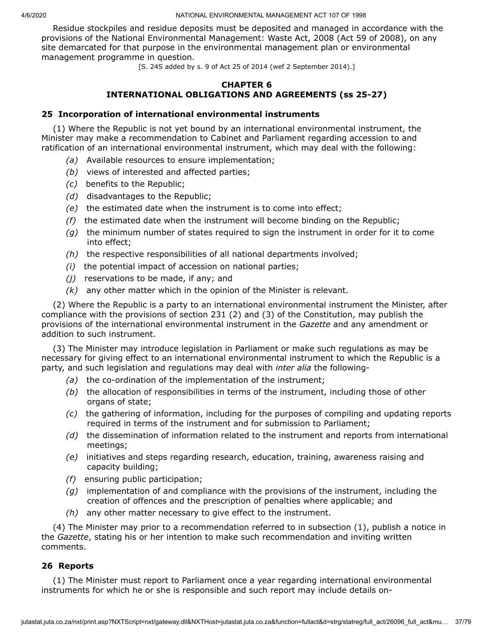Residue stockpiles and residue deposits must be deposited and managed in accordance with the provisions of the National Environmental Management: Waste Act, 2008 (Act 59 of 2008), on any site demarcated for that purpose in the environmental management plan or environmental management programme in question.

[S. 24S added by s. 9 of Act 25 of 2014 (wef 2 September 2014).]

### **CHAPTER 6 INTERNATIONAL OBLIGATIONS AND AGREEMENTS (ss 25-27)**

### **25 Incorporation of international environmental instruments**

(1) Where the Republic is not yet bound by an international environmental instrument, the Minister may make a recommendation to Cabinet and Parliament regarding accession to and ratification of an international environmental instrument, which may deal with the following:

- *(a)* Available resources to ensure implementation;
- *(b)* views of interested and affected parties;
- *(c)* benefits to the Republic;
- *(d)* disadvantages to the Republic;
- *(e)* the estimated date when the instrument is to come into effect;
- *(f)* the estimated date when the instrument will become binding on the Republic;
- *(g)* the minimum number of states required to sign the instrument in order for it to come into effect;
- *(h)* the respective responsibilities of all national departments involved;
- *(i)* the potential impact of accession on national parties;
- *(j)* reservations to be made, if any; and
- *(k)* any other matter which in the opinion of the Minister is relevant.

(2) Where the Republic is a party to an international environmental instrument the Minister, after compliance with the provisions of section 231 (2) and (3) of the Constitution, may publish the provisions of the international environmental instrument in the *Gazette* and any amendment or addition to such instrument.

(3) The Minister may introduce legislation in Parliament or make such regulations as may be necessary for giving effect to an international environmental instrument to which the Republic is a party, and such legislation and regulations may deal with *inter alia* the following-

- *(a)* the co-ordination of the implementation of the instrument;
- *(b)* the allocation of responsibilities in terms of the instrument, including those of other organs of state;
- *(c)* the gathering of information, including for the purposes of compiling and updating reports required in terms of the instrument and for submission to Parliament;
- *(d)* the dissemination of information related to the instrument and reports from international meetings;
- *(e)* initiatives and steps regarding research, education, training, awareness raising and capacity building;
- *(f)* ensuring public participation;
- *(g)* implementation of and compliance with the provisions of the instrument, including the creation of offences and the prescription of penalties where applicable; and
- *(h)* any other matter necessary to give effect to the instrument.

(4) The Minister may prior to a recommendation referred to in subsection (1), publish a notice in the *Gazette*, stating his or her intention to make such recommendation and inviting written comments.

#### **26 Reports**

(1) The Minister must report to Parliament once a year regarding international environmental instruments for which he or she is responsible and such report may include details on-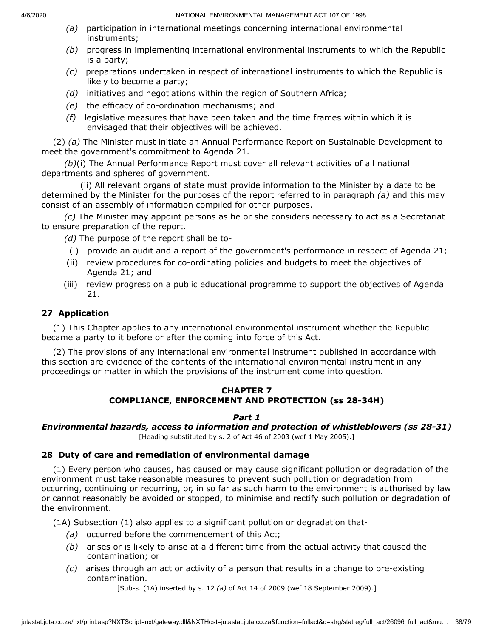- *(a)* participation in international meetings concerning international environmental instruments;
- *(b)* progress in implementing international environmental instruments to which the Republic is a party;
- *(c)* preparations undertaken in respect of international instruments to which the Republic is likely to become a party;
- *(d)* initiatives and negotiations within the region of Southern Africa;
- *(e)* the efficacy of co-ordination mechanisms; and
- *(f)* legislative measures that have been taken and the time frames within which it is envisaged that their objectives will be achieved.

(2) *(a)* The Minister must initiate an Annual Performance Report on Sustainable Development to meet the government's commitment to Agenda 21.

*(b)*(i) The Annual Performance Report must cover all relevant activities of all national departments and spheres of government.

(ii) All relevant organs of state must provide information to the Minister by a date to be determined by the Minister for the purposes of the report referred to in paragraph *(a)* and this may consist of an assembly of information compiled for other purposes.

*(c)* The Minister may appoint persons as he or she considers necessary to act as a Secretariat to ensure preparation of the report.

*(d)* The purpose of the report shall be to-

- (i) provide an audit and a report of the government's performance in respect of Agenda 21;
- (ii) review procedures for co-ordinating policies and budgets to meet the objectives of Agenda 21; and
- (iii) review progress on a public educational programme to support the objectives of Agenda 21.

### **27 Application**

(1) This Chapter applies to any international environmental instrument whether the Republic became a party to it before or after the coming into force of this Act.

(2) The provisions of any international environmental instrument published in accordance with this section are evidence of the contents of the international environmental instrument in any proceedings or matter in which the provisions of the instrument come into question.

### **CHAPTER 7 COMPLIANCE, ENFORCEMENT AND PROTECTION (ss 28-34H)**

### *Part 1*

### *Environmental hazards, access to information and protection of whistleblowers (ss 28-31)* [Heading substituted by s. 2 of Act 46 of 2003 (wef 1 May 2005).]

# **28 Duty of care and remediation of environmental damage**

(1) Every person who causes, has caused or may cause significant pollution or degradation of the environment must take reasonable measures to prevent such pollution or degradation from occurring, continuing or recurring, or, in so far as such harm to the environment is authorised by law or cannot reasonably be avoided or stopped, to minimise and rectify such pollution or degradation of the environment.

(1A) Subsection (1) also applies to a significant pollution or degradation that-

- *(a)* occurred before the commencement of this Act;
- *(b)* arises or is likely to arise at a different time from the actual activity that caused the contamination; or
- *(c)* arises through an act or activity of a person that results in a change to pre-existing contamination.

[Sub-s. (1A) inserted by s. 12 *(a)* of Act 14 of 2009 (wef 18 September 2009).]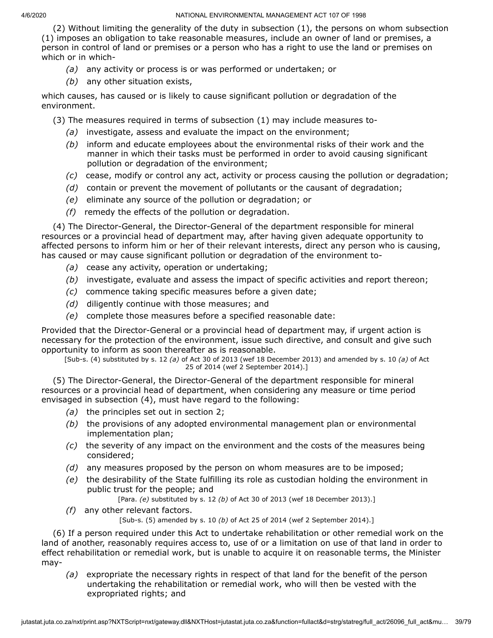(2) Without limiting the generality of the duty in subsection (1), the persons on whom subsection (1) imposes an obligation to take reasonable measures, include an owner of land or premises, a person in control of land or premises or a person who has a right to use the land or premises on which or in which-

- *(a)* any activity or process is or was performed or undertaken; or
- *(b)* any other situation exists,

which causes, has caused or is likely to cause significant pollution or degradation of the environment.

(3) The measures required in terms of subsection (1) may include measures to-

- *(a)* investigate, assess and evaluate the impact on the environment;
- *(b)* inform and educate employees about the environmental risks of their work and the manner in which their tasks must be performed in order to avoid causing significant pollution or degradation of the environment;
- *(c)* cease, modify or control any act, activity or process causing the pollution or degradation;
- *(d)* contain or prevent the movement of pollutants or the causant of degradation;
- *(e)* eliminate any source of the pollution or degradation; or
- *(f)* remedy the effects of the pollution or degradation.

(4) The Director-General, the Director-General of the department responsible for mineral resources or a provincial head of department may, after having given adequate opportunity to affected persons to inform him or her of their relevant interests, direct any person who is causing, has caused or may cause significant pollution or degradation of the environment to-

- *(a)* cease any activity, operation or undertaking;
- *(b)* investigate, evaluate and assess the impact of specific activities and report thereon;
- *(c)* commence taking specific measures before a given date;
- *(d)* diligently continue with those measures; and
- *(e)* complete those measures before a specified reasonable date:

Provided that the Director-General or a provincial head of department may, if urgent action is necessary for the protection of the environment, issue such directive, and consult and give such opportunity to inform as soon thereafter as is reasonable.

[Sub-s. (4) substituted by s. 12 *(a)* of Act 30 of 2013 (wef 18 December 2013) and amended by s. 10 *(a)* of Act 25 of 2014 (wef 2 September 2014).]

(5) The Director-General, the Director-General of the department responsible for mineral resources or a provincial head of department, when considering any measure or time period envisaged in subsection (4), must have regard to the following:

- *(a)* the principles set out in section 2;
- *(b)* the provisions of any adopted environmental management plan or environmental implementation plan;
- *(c)* the severity of any impact on the environment and the costs of the measures being considered;
- *(d)* any measures proposed by the person on whom measures are to be imposed;
- *(e)* the desirability of the State fulfilling its role as custodian holding the environment in public trust for the people; and

[Para. *(e)* substituted by s. 12 *(b)* of Act 30 of 2013 (wef 18 December 2013).]

*(f)* any other relevant factors.

[Sub-s. (5) amended by s. 10 *(b)* of Act 25 of 2014 (wef 2 September 2014).]

(6) If a person required under this Act to undertake rehabilitation or other remedial work on the land of another, reasonably requires access to, use of or a limitation on use of that land in order to effect rehabilitation or remedial work, but is unable to acquire it on reasonable terms, the Minister may-

*(a)* expropriate the necessary rights in respect of that land for the benefit of the person undertaking the rehabilitation or remedial work, who will then be vested with the expropriated rights; and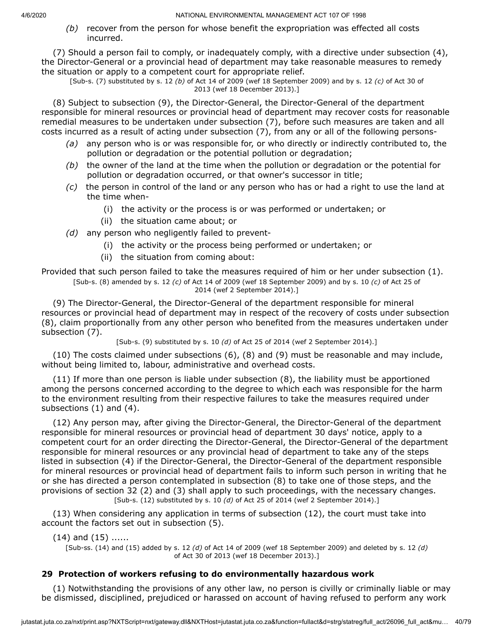*(b)* recover from the person for whose benefit the expropriation was effected all costs incurred.

(7) Should a person fail to comply, or inadequately comply, with a directive under subsection (4), the Director-General or a provincial head of department may take reasonable measures to remedy the situation or apply to a competent court for appropriate relief.

[Sub-s. (7) substituted by s. 12 *(b)* of Act 14 of 2009 (wef 18 September 2009) and by s. 12 *(c)* of Act 30 of 2013 (wef 18 December 2013).]

(8) Subject to subsection (9), the Director-General, the Director-General of the department responsible for mineral resources or provincial head of department may recover costs for reasonable remedial measures to be undertaken under subsection (7), before such measures are taken and all costs incurred as a result of acting under subsection (7), from any or all of the following persons-

- *(a)* any person who is or was responsible for, or who directly or indirectly contributed to, the pollution or degradation or the potential pollution or degradation;
- *(b)* the owner of the land at the time when the pollution or degradation or the potential for pollution or degradation occurred, or that owner's successor in title;
- *(c)* the person in control of the land or any person who has or had a right to use the land at the time when-
	- (i) the activity or the process is or was performed or undertaken; or
	- (ii) the situation came about; or
- *(d)* any person who negligently failed to prevent-
	- (i) the activity or the process being performed or undertaken; or
	- (ii) the situation from coming about:

Provided that such person failed to take the measures required of him or her under subsection (1). [Sub-s. (8) amended by s. 12 *(c)* of Act 14 of 2009 (wef 18 September 2009) and by s. 10 *(c)* of Act 25 of 2014 (wef 2 September 2014).]

(9) The Director-General, the Director-General of the department responsible for mineral resources or provincial head of department may in respect of the recovery of costs under subsection (8), claim proportionally from any other person who benefited from the measures undertaken under subsection (7).

[Sub-s. (9) substituted by s. 10 *(d)* of Act 25 of 2014 (wef 2 September 2014).]

(10) The costs claimed under subsections (6), (8) and (9) must be reasonable and may include, without being limited to, labour, administrative and overhead costs.

(11) If more than one person is liable under subsection (8), the liability must be apportioned among the persons concerned according to the degree to which each was responsible for the harm to the environment resulting from their respective failures to take the measures required under subsections (1) and (4).

(12) Any person may, after giving the Director-General, the Director-General of the department responsible for mineral resources or provincial head of department 30 days' notice, apply to a competent court for an order directing the Director-General, the Director-General of the department responsible for mineral resources or any provincial head of department to take any of the steps listed in subsection (4) if the Director-General, the Director-General of the department responsible for mineral resources or provincial head of department fails to inform such person in writing that he or she has directed a person contemplated in subsection (8) to take one of those steps, and the provisions of section 32 (2) and (3) shall apply to such proceedings, with the necessary changes. [Sub-s. (12) substituted by s. 10 *(d)* of Act 25 of 2014 (wef 2 September 2014).]

(13) When considering any application in terms of subsection (12), the court must take into account the factors set out in subsection (5).

 $(14)$  and  $(15)$  ......

[Sub-ss. (14) and (15) added by s. 12 *(d)* of Act 14 of 2009 (wef 18 September 2009) and deleted by s. 12 *(d)* of Act 30 of 2013 (wef 18 December 2013).]

### **29 Protection of workers refusing to do environmentally hazardous work**

(1) Notwithstanding the provisions of any other law, no person is civilly or criminally liable or may be dismissed, disciplined, prejudiced or harassed on account of having refused to perform any work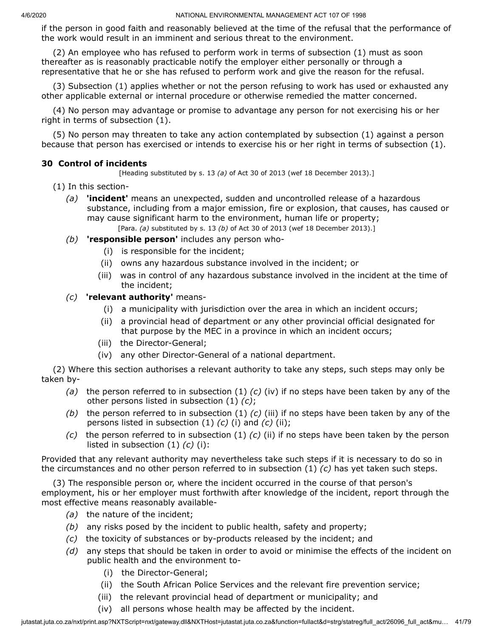if the person in good faith and reasonably believed at the time of the refusal that the performance of the work would result in an imminent and serious threat to the environment.

(2) An employee who has refused to perform work in terms of subsection (1) must as soon thereafter as is reasonably practicable notify the employer either personally or through a representative that he or she has refused to perform work and give the reason for the refusal.

(3) Subsection (1) applies whether or not the person refusing to work has used or exhausted any other applicable external or internal procedure or otherwise remedied the matter concerned.

(4) No person may advantage or promise to advantage any person for not exercising his or her right in terms of subsection (1).

(5) No person may threaten to take any action contemplated by subsection (1) against a person because that person has exercised or intends to exercise his or her right in terms of subsection (1).

### **30 Control of incidents**

[Heading substituted by s. 13 *(a)* of Act 30 of 2013 (wef 18 December 2013).]

- (1) In this section-
	- *(a)* **'incident'** means an unexpected, sudden and uncontrolled release of a hazardous substance, including from a major emission, fire or explosion, that causes, has caused or may cause significant harm to the environment, human life or property; [Para. *(a)* substituted by s. 13 *(b)* of Act 30 of 2013 (wef 18 December 2013).]
	- *(b)* **'responsible person'** includes any person who-
		- (i) is responsible for the incident;
		- (ii) owns any hazardous substance involved in the incident; or
		- (iii) was in control of any hazardous substance involved in the incident at the time of the incident;
	- *(c)* **'relevant authority'** means-
		- (i) a municipality with jurisdiction over the area in which an incident occurs;
		- (ii) a provincial head of department or any other provincial official designated for that purpose by the MEC in a province in which an incident occurs;
		- (iii) the Director-General;
		- (iv) any other Director-General of a national department.

(2) Where this section authorises a relevant authority to take any steps, such steps may only be taken by-

- *(a)* the person referred to in subsection (1) *(c)* (iv) if no steps have been taken by any of the other persons listed in subsection (1) *(c)*;
- *(b)* the person referred to in subsection (1) *(c)* (iii) if no steps have been taken by any of the persons listed in subsection (1) *(c)* (i) and *(c)* (ii);
- *(c)* the person referred to in subsection (1) *(c)* (ii) if no steps have been taken by the person listed in subsection (1) *(c)* (i):

Provided that any relevant authority may nevertheless take such steps if it is necessary to do so in the circumstances and no other person referred to in subsection (1) *(c)* has yet taken such steps.

(3) The responsible person or, where the incident occurred in the course of that person's employment, his or her employer must forthwith after knowledge of the incident, report through the most effective means reasonably available-

- *(a)* the nature of the incident;
- *(b)* any risks posed by the incident to public health, safety and property;
- *(c)* the toxicity of substances or by-products released by the incident; and
- *(d)* any steps that should be taken in order to avoid or minimise the effects of the incident on public health and the environment to-
	- (i) the Director-General;
	- (ii) the South African Police Services and the relevant fire prevention service;
	- (iii) the relevant provincial head of department or municipality; and
	- (iv) all persons whose health may be affected by the incident.

jutastat.juta.co.za/nxt/print.asp?NXTScript=nxt/gateway.dll&NXTHost=jutastat.juta.co.za&function=fullact&d=strg/statreg/full\_act/26096\_full\_act&mu... 41/79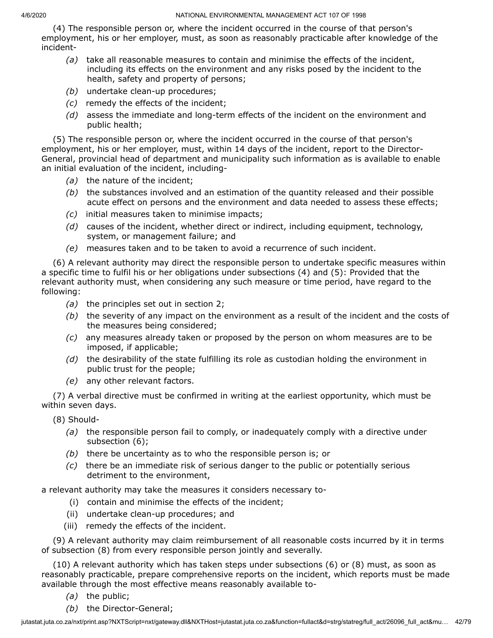(4) The responsible person or, where the incident occurred in the course of that person's employment, his or her employer, must, as soon as reasonably practicable after knowledge of the incident-

- *(a)* take all reasonable measures to contain and minimise the effects of the incident, including its effects on the environment and any risks posed by the incident to the health, safety and property of persons;
- *(b)* undertake clean-up procedures;
- *(c)* remedy the effects of the incident;
- *(d)* assess the immediate and long-term effects of the incident on the environment and public health;

(5) The responsible person or, where the incident occurred in the course of that person's employment, his or her employer, must, within 14 days of the incident, report to the Director-General, provincial head of department and municipality such information as is available to enable an initial evaluation of the incident, including-

- *(a)* the nature of the incident;
- *(b)* the substances involved and an estimation of the quantity released and their possible acute effect on persons and the environment and data needed to assess these effects;
- *(c)* initial measures taken to minimise impacts;
- *(d)* causes of the incident, whether direct or indirect, including equipment, technology, system, or management failure; and
- *(e)* measures taken and to be taken to avoid a recurrence of such incident.

(6) A relevant authority may direct the responsible person to undertake specific measures within a specific time to fulfil his or her obligations under subsections (4) and (5): Provided that the relevant authority must, when considering any such measure or time period, have regard to the following:

- *(a)* the principles set out in section 2;
- *(b)* the severity of any impact on the environment as a result of the incident and the costs of the measures being considered;
- *(c)* any measures already taken or proposed by the person on whom measures are to be imposed, if applicable;
- *(d)* the desirability of the state fulfilling its role as custodian holding the environment in public trust for the people;
- *(e)* any other relevant factors.

(7) A verbal directive must be confirmed in writing at the earliest opportunity, which must be within seven days.

(8) Should-

- *(a)* the responsible person fail to comply, or inadequately comply with a directive under subsection (6);
- *(b)* there be uncertainty as to who the responsible person is; or
- *(c)* there be an immediate risk of serious danger to the public or potentially serious detriment to the environment,

a relevant authority may take the measures it considers necessary to-

- (i) contain and minimise the effects of the incident;
- (ii) undertake clean-up procedures; and
- (iii) remedy the effects of the incident.

(9) A relevant authority may claim reimbursement of all reasonable costs incurred by it in terms of subsection (8) from every responsible person jointly and severally.

(10) A relevant authority which has taken steps under subsections (6) or (8) must, as soon as reasonably practicable, prepare comprehensive reports on the incident, which reports must be made available through the most effective means reasonably available to-

- *(a)* the public;
- *(b)* the Director-General;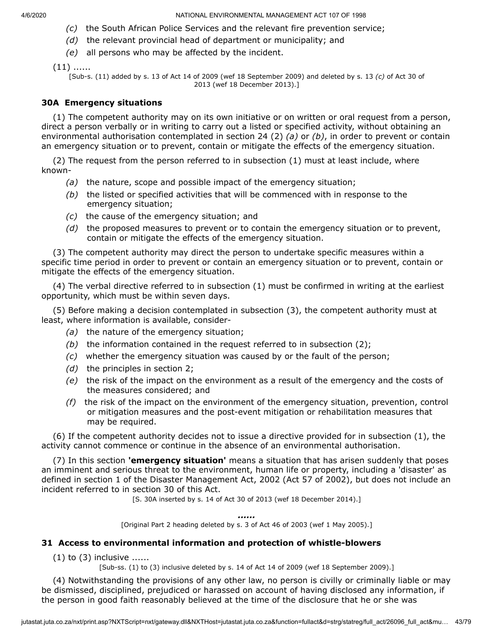- *(c)* the South African Police Services and the relevant fire prevention service;
- *(d)* the relevant provincial head of department or municipality; and
- *(e)* all persons who may be affected by the incident.

 $(11)$  ......

[Sub-s. (11) added by s. 13 of Act 14 of 2009 (wef 18 September 2009) and deleted by s. 13 *(c)* of Act 30 of 2013 (wef 18 December 2013).]

### **30A Emergency situations**

(1) The competent authority may on its own initiative or on written or oral request from a person, direct a person verbally or in writing to carry out a listed or specified activity, without obtaining an environmental authorisation contemplated in section 24 (2) *(a)* or *(b)*, in order to prevent or contain an emergency situation or to prevent, contain or mitigate the effects of the emergency situation.

(2) The request from the person referred to in subsection (1) must at least include, where known-

- *(a)* the nature, scope and possible impact of the emergency situation;
- *(b)* the listed or specified activities that will be commenced with in response to the emergency situation;
- *(c)* the cause of the emergency situation; and
- *(d)* the proposed measures to prevent or to contain the emergency situation or to prevent, contain or mitigate the effects of the emergency situation.

(3) The competent authority may direct the person to undertake specific measures within a specific time period in order to prevent or contain an emergency situation or to prevent, contain or mitigate the effects of the emergency situation.

(4) The verbal directive referred to in subsection (1) must be confirmed in writing at the earliest opportunity, which must be within seven days.

(5) Before making a decision contemplated in subsection (3), the competent authority must at least, where information is available, consider-

- *(a)* the nature of the emergency situation;
- *(b)* the information contained in the request referred to in subsection (2);
- *(c)* whether the emergency situation was caused by or the fault of the person;
- *(d)* the principles in section 2;
- *(e)* the risk of the impact on the environment as a result of the emergency and the costs of the measures considered; and
- *(f)* the risk of the impact on the environment of the emergency situation, prevention, control or mitigation measures and the post-event mitigation or rehabilitation measures that may be required.

(6) If the competent authority decides not to issue a directive provided for in subsection (1), the activity cannot commence or continue in the absence of an environmental authorisation.

(7) In this section **'emergency situation'** means a situation that has arisen suddenly that poses an imminent and serious threat to the environment, human life or property, including a 'disaster' as defined in section 1 of the Disaster Management Act, 2002 (Act 57 of 2002), but does not include an incident referred to in section 30 of this Act.

[S. 30A inserted by s. 14 of Act 30 of 2013 (wef 18 December 2014).]

*......*

[Original Part 2 heading deleted by s. 3 of Act 46 of 2003 (wef 1 May 2005).]

#### **31 Access to environmental information and protection of whistle-blowers**

 $(1)$  to  $(3)$  inclusive ......

[Sub-ss. (1) to (3) inclusive deleted by s. 14 of Act 14 of 2009 (wef 18 September 2009).]

(4) Notwithstanding the provisions of any other law, no person is civilly or criminally liable or may be dismissed, disciplined, prejudiced or harassed on account of having disclosed any information, if the person in good faith reasonably believed at the time of the disclosure that he or she was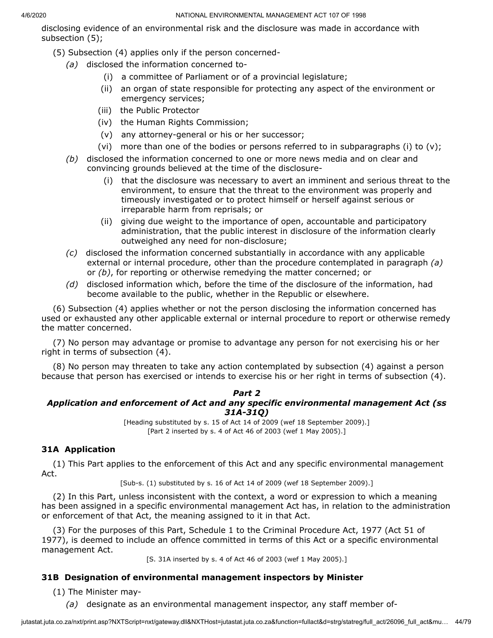disclosing evidence of an environmental risk and the disclosure was made in accordance with subsection (5);

- (5) Subsection (4) applies only if the person concerned-
	- *(a)* disclosed the information concerned to-
		- (i) a committee of Parliament or of a provincial legislature;
		- (ii) an organ of state responsible for protecting any aspect of the environment or emergency services;
		- (iii) the Public Protector
		- (iv) the Human Rights Commission;
		- (v) any attorney-general or his or her successor;
		- (vi) more than one of the bodies or persons referred to in subparagraphs (i) to  $(v)$ ;
	- *(b)* disclosed the information concerned to one or more news media and on clear and convincing grounds believed at the time of the disclosure-
		- (i) that the disclosure was necessary to avert an imminent and serious threat to the environment, to ensure that the threat to the environment was properly and timeously investigated or to protect himself or herself against serious or irreparable harm from reprisals; or
		- (ii) giving due weight to the importance of open, accountable and participatory administration, that the public interest in disclosure of the information clearly outweighed any need for non-disclosure;
	- *(c)* disclosed the information concerned substantially in accordance with any applicable external or internal procedure, other than the procedure contemplated in paragraph *(a)* or *(b)*, for reporting or otherwise remedying the matter concerned; or
	- *(d)* disclosed information which, before the time of the disclosure of the information, had become available to the public, whether in the Republic or elsewhere.

(6) Subsection (4) applies whether or not the person disclosing the information concerned has used or exhausted any other applicable external or internal procedure to report or otherwise remedy the matter concerned.

(7) No person may advantage or promise to advantage any person for not exercising his or her right in terms of subsection (4).

(8) No person may threaten to take any action contemplated by subsection (4) against a person because that person has exercised or intends to exercise his or her right in terms of subsection (4).

#### *Part 2 Application and enforcement of Act and any specific environmental management Act (ss 31A-31Q)*

[Heading substituted by s. 15 of Act 14 of 2009 (wef 18 September 2009).] [Part 2 inserted by s. 4 of Act 46 of 2003 (wef 1 May 2005).]

# **31A Application**

(1) This Part applies to the enforcement of this Act and any specific environmental management Act.

[Sub-s. (1) substituted by s. 16 of Act 14 of 2009 (wef 18 September 2009).]

(2) In this Part, unless inconsistent with the context, a word or expression to which a meaning has been assigned in a specific environmental management Act has, in relation to the administration or enforcement of that Act, the meaning assigned to it in that Act.

(3) For the purposes of this Part, Schedule 1 to the Criminal Procedure Act, 1977 (Act 51 of 1977), is deemed to include an offence committed in terms of this Act or a specific environmental management Act.

[S. 31A inserted by s. 4 of Act 46 of 2003 (wef 1 May 2005).]

# **31B Designation of environmental management inspectors by Minister**

(1) The Minister may-

*(a)* designate as an environmental management inspector, any staff member of-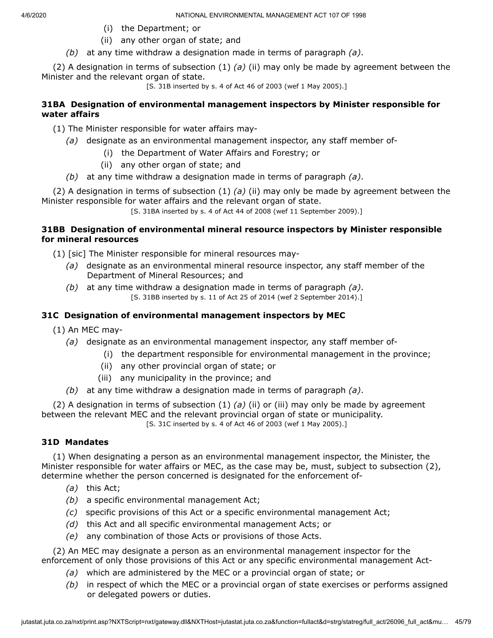- (i) the Department; or
- (ii) any other organ of state; and
- *(b)* at any time withdraw a designation made in terms of paragraph *(a)*.

(2) A designation in terms of subsection (1) *(a)* (ii) may only be made by agreement between the Minister and the relevant organ of state.

[S. 31B inserted by s. 4 of Act 46 of 2003 (wef 1 May 2005).]

# **31BA Designation of environmental management inspectors by Minister responsible for water affairs**

(1) The Minister responsible for water affairs may-

- *(a)* designate as an environmental management inspector, any staff member of-
	- (i) the Department of Water Affairs and Forestry; or
	- (ii) any other organ of state; and
- *(b)* at any time withdraw a designation made in terms of paragraph *(a)*.

(2) A designation in terms of subsection (1) *(a)* (ii) may only be made by agreement between the Minister responsible for water affairs and the relevant organ of state.

[S. 31BA inserted by s. 4 of Act 44 of 2008 (wef 11 September 2009).]

### **31BB Designation of environmental mineral resource inspectors by Minister responsible for mineral resources**

(1) [sic] The Minister responsible for mineral resources may-

- *(a)* designate as an environmental mineral resource inspector, any staff member of the Department of Mineral Resources; and
- *(b)* at any time withdraw a designation made in terms of paragraph *(a)*. [S. 31BB inserted by s. 11 of Act 25 of 2014 (wef 2 September 2014).]

# **31C Designation of environmental management inspectors by MEC**

(1) An MEC may-

- *(a)* designate as an environmental management inspector, any staff member of-
	- (i) the department responsible for environmental management in the province;
	- (ii) any other provincial organ of state; or
	- (iii) any municipality in the province; and
- *(b)* at any time withdraw a designation made in terms of paragraph *(a)*.

(2) A designation in terms of subsection (1) *(a)* (ii) or (iii) may only be made by agreement between the relevant MEC and the relevant provincial organ of state or municipality. [S. 31C inserted by s. 4 of Act 46 of 2003 (wef 1 May 2005).]

# **31D Mandates**

(1) When designating a person as an environmental management inspector, the Minister, the Minister responsible for water affairs or MEC, as the case may be, must, subject to subsection (2), determine whether the person concerned is designated for the enforcement of-

- *(a)* this Act;
- *(b)* a specific environmental management Act;
- *(c)* specific provisions of this Act or a specific environmental management Act;
- *(d)* this Act and all specific environmental management Acts; or
- *(e)* any combination of those Acts or provisions of those Acts.

(2) An MEC may designate a person as an environmental management inspector for the enforcement of only those provisions of this Act or any specific environmental management Act-

- *(a)* which are administered by the MEC or a provincial organ of state; or
- *(b)* in respect of which the MEC or a provincial organ of state exercises or performs assigned or delegated powers or duties.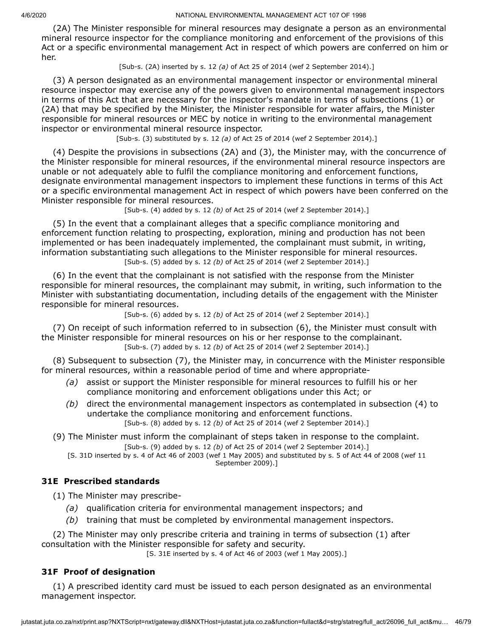(2A) The Minister responsible for mineral resources may designate a person as an environmental mineral resource inspector for the compliance monitoring and enforcement of the provisions of this Act or a specific environmental management Act in respect of which powers are conferred on him or her.

[Sub-s. (2A) inserted by s. 12 *(a)* of Act 25 of 2014 (wef 2 September 2014).]

(3) A person designated as an environmental management inspector or environmental mineral resource inspector may exercise any of the powers given to environmental management inspectors in terms of this Act that are necessary for the inspector's mandate in terms of subsections (1) or (2A) that may be specified by the Minister, the Minister responsible for water affairs, the Minister responsible for mineral resources or MEC by notice in writing to the environmental management inspector or environmental mineral resource inspector.

[Sub-s. (3) substituted by s. 12 *(a)* of Act 25 of 2014 (wef 2 September 2014).]

(4) Despite the provisions in subsections (2A) and (3), the Minister may, with the concurrence of the Minister responsible for mineral resources, if the environmental mineral resource inspectors are unable or not adequately able to fulfil the compliance monitoring and enforcement functions, designate environmental management inspectors to implement these functions in terms of this Act or a specific environmental management Act in respect of which powers have been conferred on the Minister responsible for mineral resources.

[Sub-s. (4) added by s. 12 *(b)* of Act 25 of 2014 (wef 2 September 2014).]

(5) In the event that a complainant alleges that a specific compliance monitoring and enforcement function relating to prospecting, exploration, mining and production has not been implemented or has been inadequately implemented, the complainant must submit, in writing, information substantiating such allegations to the Minister responsible for mineral resources. [Sub-s. (5) added by s. 12 *(b)* of Act 25 of 2014 (wef 2 September 2014).]

(6) In the event that the complainant is not satisfied with the response from the Minister responsible for mineral resources, the complainant may submit, in writing, such information to the Minister with substantiating documentation, including details of the engagement with the Minister responsible for mineral resources.

[Sub-s. (6) added by s. 12 *(b)* of Act 25 of 2014 (wef 2 September 2014).]

(7) On receipt of such information referred to in subsection (6), the Minister must consult with the Minister responsible for mineral resources on his or her response to the complainant. [Sub-s. (7) added by s. 12 *(b)* of Act 25 of 2014 (wef 2 September 2014).]

(8) Subsequent to subsection (7), the Minister may, in concurrence with the Minister responsible for mineral resources, within a reasonable period of time and where appropriate-

- *(a)* assist or support the Minister responsible for mineral resources to fulfill his or her compliance monitoring and enforcement obligations under this Act; or
- *(b)* direct the environmental management inspectors as contemplated in subsection (4) to undertake the compliance monitoring and enforcement functions. [Sub-s. (8) added by s. 12 *(b)* of Act 25 of 2014 (wef 2 September 2014).]

(9) The Minister must inform the complainant of steps taken in response to the complaint. [Sub-s. (9) added by s. 12 *(b)* of Act 25 of 2014 (wef 2 September 2014).]

[S. 31D inserted by s. 4 of Act 46 of 2003 (wef 1 May 2005) and substituted by s. 5 of Act 44 of 2008 (wef 11 September 2009).]

### **31E Prescribed standards**

(1) The Minister may prescribe-

- *(a)* qualification criteria for environmental management inspectors; and
- *(b)* training that must be completed by environmental management inspectors.

(2) The Minister may only prescribe criteria and training in terms of subsection (1) after consultation with the Minister responsible for safety and security.

[S. 31E inserted by s. 4 of Act 46 of 2003 (wef 1 May 2005).]

### **31F Proof of designation**

(1) A prescribed identity card must be issued to each person designated as an environmental management inspector.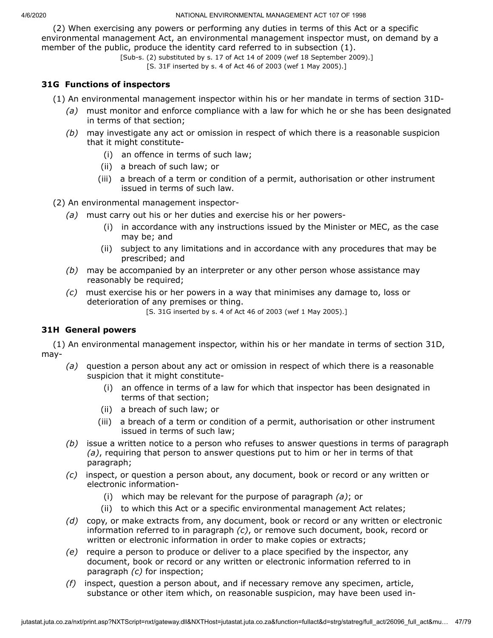(2) When exercising any powers or performing any duties in terms of this Act or a specific environmental management Act, an environmental management inspector must, on demand by a member of the public, produce the identity card referred to in subsection (1).

[Sub-s. (2) substituted by s. 17 of Act 14 of 2009 (wef 18 September 2009).]

[S. 31F inserted by s. 4 of Act 46 of 2003 (wef 1 May 2005).]

### **31G Functions of inspectors**

- (1) An environmental management inspector within his or her mandate in terms of section 31D-
	- *(a)* must monitor and enforce compliance with a law for which he or she has been designated in terms of that section;
	- *(b)* may investigate any act or omission in respect of which there is a reasonable suspicion that it might constitute-
		- (i) an offence in terms of such law;
		- (ii) a breach of such law; or
		- (iii) a breach of a term or condition of a permit, authorisation or other instrument issued in terms of such law.

(2) An environmental management inspector-

- *(a)* must carry out his or her duties and exercise his or her powers-
	- (i) in accordance with any instructions issued by the Minister or MEC, as the case may be; and
	- (ii) subject to any limitations and in accordance with any procedures that may be prescribed; and
- *(b)* may be accompanied by an interpreter or any other person whose assistance may reasonably be required;
- *(c)* must exercise his or her powers in a way that minimises any damage to, loss or deterioration of any premises or thing.

[S. 31G inserted by s. 4 of Act 46 of 2003 (wef 1 May 2005).]

### **31H General powers**

(1) An environmental management inspector, within his or her mandate in terms of section 31D, may-

- *(a)* question a person about any act or omission in respect of which there is a reasonable suspicion that it might constitute-
	- (i) an offence in terms of a law for which that inspector has been designated in terms of that section;
	- (ii) a breach of such law; or
	- (iii) a breach of a term or condition of a permit, authorisation or other instrument issued in terms of such law;
- *(b)* issue a written notice to a person who refuses to answer questions in terms of paragraph *(a)*, requiring that person to answer questions put to him or her in terms of that paragraph;
- *(c)* inspect, or question a person about, any document, book or record or any written or electronic information-
	- (i) which may be relevant for the purpose of paragraph *(a)*; or
	- (ii) to which this Act or a specific environmental management Act relates;
- *(d)* copy, or make extracts from, any document, book or record or any written or electronic information referred to in paragraph *(c)*, or remove such document, book, record or written or electronic information in order to make copies or extracts;
- *(e)* require a person to produce or deliver to a place specified by the inspector, any document, book or record or any written or electronic information referred to in paragraph *(c)* for inspection;
- *(f)* inspect, question a person about, and if necessary remove any specimen, article, substance or other item which, on reasonable suspicion, may have been used in-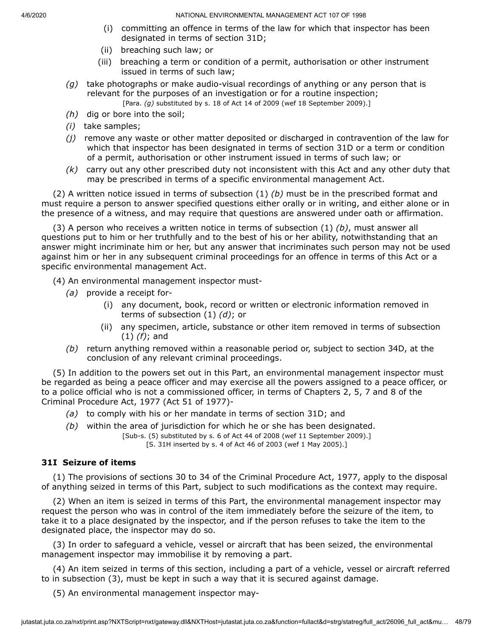- (i) committing an offence in terms of the law for which that inspector has been designated in terms of section 31D;
- (ii) breaching such law; or
- (iii) breaching a term or condition of a permit, authorisation or other instrument issued in terms of such law;
- *(g)* take photographs or make audio-visual recordings of anything or any person that is relevant for the purposes of an investigation or for a routine inspection;
	- [Para. *(g)* substituted by s. 18 of Act 14 of 2009 (wef 18 September 2009).]
- *(h)* dig or bore into the soil;
- *(i)* take samples;
- *(j)* remove any waste or other matter deposited or discharged in contravention of the law for which that inspector has been designated in terms of section 31D or a term or condition of a permit, authorisation or other instrument issued in terms of such law; or
- *(k)* carry out any other prescribed duty not inconsistent with this Act and any other duty that may be prescribed in terms of a specific environmental management Act.

(2) A written notice issued in terms of subsection (1) *(b)* must be in the prescribed format and must require a person to answer specified questions either orally or in writing, and either alone or in the presence of a witness, and may require that questions are answered under oath or affirmation.

(3) A person who receives a written notice in terms of subsection (1) *(b)*, must answer all questions put to him or her truthfully and to the best of his or her ability, notwithstanding that an answer might incriminate him or her, but any answer that incriminates such person may not be used against him or her in any subsequent criminal proceedings for an offence in terms of this Act or a specific environmental management Act.

- (4) An environmental management inspector must-
	- *(a)* provide a receipt for-
		- (i) any document, book, record or written or electronic information removed in terms of subsection (1) *(d)*; or
		- (ii) any specimen, article, substance or other item removed in terms of subsection (1) *(f)*; and
	- *(b)* return anything removed within a reasonable period or, subject to section 34D, at the conclusion of any relevant criminal proceedings.

(5) In addition to the powers set out in this Part, an environmental management inspector must be regarded as being a peace officer and may exercise all the powers assigned to a peace officer, or to a police official who is not a commissioned officer, in terms of Chapters 2, 5, 7 and 8 of the Criminal Procedure Act, 1977 (Act 51 of 1977)-

- *(a)* to comply with his or her mandate in terms of section 31D; and
- *(b)* within the area of jurisdiction for which he or she has been designated.

[Sub-s. (5) substituted by s. 6 of Act 44 of 2008 (wef 11 September 2009).]

[S. 31H inserted by s. 4 of Act 46 of 2003 (wef 1 May 2005).]

# **31I Seizure of items**

(1) The provisions of sections 30 to 34 of the Criminal Procedure Act, 1977, apply to the disposal of anything seized in terms of this Part, subject to such modifications as the context may require.

(2) When an item is seized in terms of this Part, the environmental management inspector may request the person who was in control of the item immediately before the seizure of the item, to take it to a place designated by the inspector, and if the person refuses to take the item to the designated place, the inspector may do so.

(3) In order to safeguard a vehicle, vessel or aircraft that has been seized, the environmental management inspector may immobilise it by removing a part.

(4) An item seized in terms of this section, including a part of a vehicle, vessel or aircraft referred to in subsection (3), must be kept in such a way that it is secured against damage.

(5) An environmental management inspector may-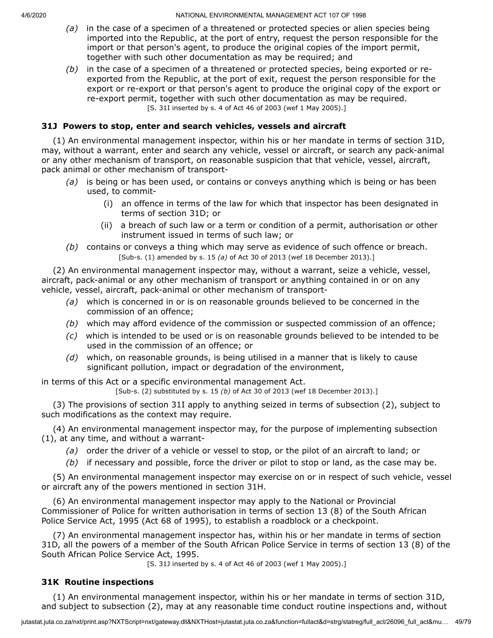- *(a)* in the case of a specimen of a threatened or protected species or alien species being imported into the Republic, at the port of entry, request the person responsible for the import or that person's agent, to produce the original copies of the import permit, together with such other documentation as may be required; and
- *(b)* in the case of a specimen of a threatened or protected species, being exported or reexported from the Republic, at the port of exit, request the person responsible for the export or re-export or that person's agent to produce the original copy of the export or re-export permit, together with such other documentation as may be required. [S. 31I inserted by s. 4 of Act 46 of 2003 (wef 1 May 2005).]

### **31J Powers to stop, enter and search vehicles, vessels and aircraft**

(1) An environmental management inspector, within his or her mandate in terms of section 31D, may, without a warrant, enter and search any vehicle, vessel or aircraft, or search any pack-animal or any other mechanism of transport, on reasonable suspicion that that vehicle, vessel, aircraft, pack animal or other mechanism of transport-

- *(a)* is being or has been used, or contains or conveys anything which is being or has been used, to commit-
	- (i) an offence in terms of the law for which that inspector has been designated in terms of section 31D; or
	- (ii) a breach of such law or a term or condition of a permit, authorisation or other instrument issued in terms of such law; or
- *(b)* contains or conveys a thing which may serve as evidence of such offence or breach. [Sub-s. (1) amended by s. 15 *(a)* of Act 30 of 2013 (wef 18 December 2013).]

(2) An environmental management inspector may, without a warrant, seize a vehicle, vessel, aircraft, pack-animal or any other mechanism of transport or anything contained in or on any vehicle, vessel, aircraft, pack-animal or other mechanism of transport-

- *(a)* which is concerned in or is on reasonable grounds believed to be concerned in the commission of an offence;
- *(b)* which may afford evidence of the commission or suspected commission of an offence;
- *(c)* which is intended to be used or is on reasonable grounds believed to be intended to be used in the commission of an offence; or
- *(d)* which, on reasonable grounds, is being utilised in a manner that is likely to cause significant pollution, impact or degradation of the environment,

in terms of this Act or a specific environmental management Act. [Sub-s. (2) substituted by s. 15 *(b)* of Act 30 of 2013 (wef 18 December 2013).]

(3) The provisions of section 31I apply to anything seized in terms of subsection (2), subject to such modifications as the context may require.

(4) An environmental management inspector may, for the purpose of implementing subsection (1), at any time, and without a warrant-

- *(a)* order the driver of a vehicle or vessel to stop, or the pilot of an aircraft to land; or
- *(b)* if necessary and possible, force the driver or pilot to stop or land, as the case may be.

(5) An environmental management inspector may exercise on or in respect of such vehicle, vessel or aircraft any of the powers mentioned in section 31H.

(6) An environmental management inspector may apply to the National or Provincial Commissioner of Police for written authorisation in terms of section 13 (8) of the South African Police Service Act, 1995 (Act 68 of 1995), to establish a roadblock or a checkpoint.

(7) An environmental management inspector has, within his or her mandate in terms of section 31D, all the powers of a member of the South African Police Service in terms of section 13 (8) of the South African Police Service Act, 1995.

[S. 31J inserted by s. 4 of Act 46 of 2003 (wef 1 May 2005).]

### **31K Routine inspections**

(1) An environmental management inspector, within his or her mandate in terms of section 31D, and subject to subsection (2), may at any reasonable time conduct routine inspections and, without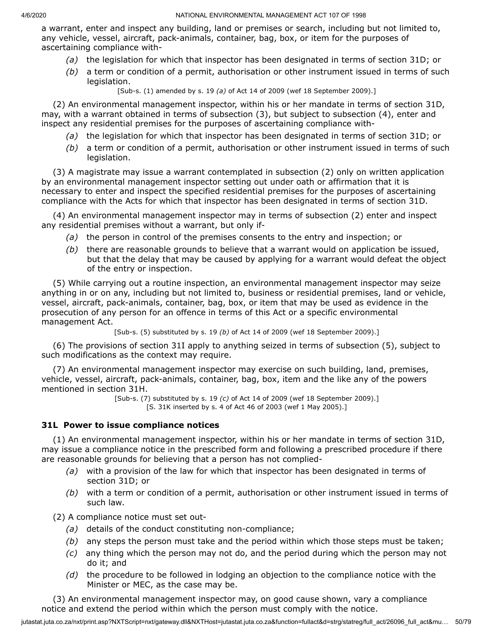a warrant, enter and inspect any building, land or premises or search, including but not limited to, any vehicle, vessel, aircraft, pack-animals, container, bag, box, or item for the purposes of ascertaining compliance with-

- *(a)* the legislation for which that inspector has been designated in terms of section 31D; or
- *(b)* a term or condition of a permit, authorisation or other instrument issued in terms of such legislation.
	- [Sub-s. (1) amended by s. 19 *(a)* of Act 14 of 2009 (wef 18 September 2009).]

(2) An environmental management inspector, within his or her mandate in terms of section 31D, may, with a warrant obtained in terms of subsection (3), but subject to subsection (4), enter and inspect any residential premises for the purposes of ascertaining compliance with-

- *(a)* the legislation for which that inspector has been designated in terms of section 31D; or
- *(b)* a term or condition of a permit, authorisation or other instrument issued in terms of such legislation.

(3) A magistrate may issue a warrant contemplated in subsection (2) only on written application by an environmental management inspector setting out under oath or affirmation that it is necessary to enter and inspect the specified residential premises for the purposes of ascertaining compliance with the Acts for which that inspector has been designated in terms of section 31D.

(4) An environmental management inspector may in terms of subsection (2) enter and inspect any residential premises without a warrant, but only if-

- *(a)* the person in control of the premises consents to the entry and inspection; or
- *(b)* there are reasonable grounds to believe that a warrant would on application be issued, but that the delay that may be caused by applying for a warrant would defeat the object of the entry or inspection.

(5) While carrying out a routine inspection, an environmental management inspector may seize anything in or on any, including but not limited to, business or residential premises, land or vehicle, vessel, aircraft, pack-animals, container, bag, box, or item that may be used as evidence in the prosecution of any person for an offence in terms of this Act or a specific environmental management Act.

[Sub-s. (5) substituted by s. 19 *(b)* of Act 14 of 2009 (wef 18 September 2009).]

(6) The provisions of section 31I apply to anything seized in terms of subsection (5), subject to such modifications as the context may require.

(7) An environmental management inspector may exercise on such building, land, premises, vehicle, vessel, aircraft, pack-animals, container, bag, box, item and the like any of the powers mentioned in section 31H.

[Sub-s. (7) substituted by s. 19 *(c)* of Act 14 of 2009 (wef 18 September 2009).] [S. 31K inserted by s. 4 of Act 46 of 2003 (wef 1 May 2005).]

### **31L Power to issue compliance notices**

(1) An environmental management inspector, within his or her mandate in terms of section 31D, may issue a compliance notice in the prescribed form and following a prescribed procedure if there are reasonable grounds for believing that a person has not complied-

- *(a)* with a provision of the law for which that inspector has been designated in terms of section 31D; or
- *(b)* with a term or condition of a permit, authorisation or other instrument issued in terms of such law.

(2) A compliance notice must set out-

- *(a)* details of the conduct constituting non-compliance;
- *(b)* any steps the person must take and the period within which those steps must be taken;
- *(c)* any thing which the person may not do, and the period during which the person may not do it; and
- *(d)* the procedure to be followed in lodging an objection to the compliance notice with the Minister or MEC, as the case may be.

(3) An environmental management inspector may, on good cause shown, vary a compliance notice and extend the period within which the person must comply with the notice.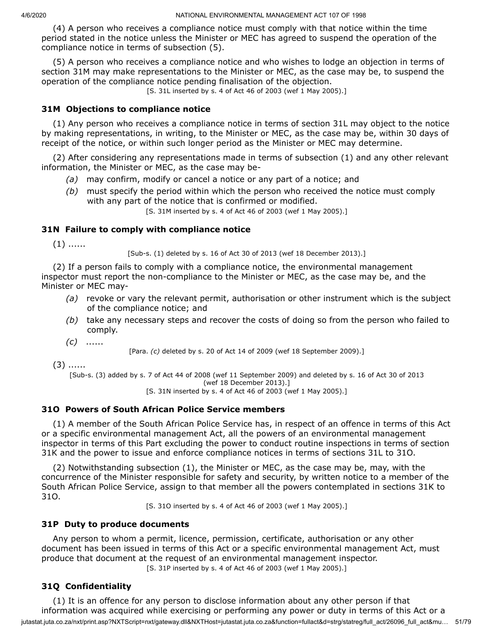(4) A person who receives a compliance notice must comply with that notice within the time period stated in the notice unless the Minister or MEC has agreed to suspend the operation of the compliance notice in terms of subsection (5).

(5) A person who receives a compliance notice and who wishes to lodge an objection in terms of section 31M may make representations to the Minister or MEC, as the case may be, to suspend the operation of the compliance notice pending finalisation of the objection.

[S. 31L inserted by s. 4 of Act 46 of 2003 (wef 1 May 2005).]

### **31M Objections to compliance notice**

(1) Any person who receives a compliance notice in terms of section 31L may object to the notice by making representations, in writing, to the Minister or MEC, as the case may be, within 30 days of receipt of the notice, or within such longer period as the Minister or MEC may determine.

(2) After considering any representations made in terms of subsection (1) and any other relevant information, the Minister or MEC, as the case may be-

*(a)* may confirm, modify or cancel a notice or any part of a notice; and

*(b)* must specify the period within which the person who received the notice must comply with any part of the notice that is confirmed or modified.

[S. 31M inserted by s. 4 of Act 46 of 2003 (wef 1 May 2005).]

### **31N Failure to comply with compliance notice**

 $(1)$  ......

[Sub-s. (1) deleted by s. 16 of Act 30 of 2013 (wef 18 December 2013).]

(2) If a person fails to comply with a compliance notice, the environmental management inspector must report the non-compliance to the Minister or MEC, as the case may be, and the Minister or MEC may-

- *(a)* revoke or vary the relevant permit, authorisation or other instrument which is the subject of the compliance notice; and
- *(b)* take any necessary steps and recover the costs of doing so from the person who failed to comply.

*(c)* ......

[Para. *(c)* deleted by s. 20 of Act 14 of 2009 (wef 18 September 2009).]

 $(3)$  ......

[Sub-s. (3) added by s. 7 of Act 44 of 2008 (wef 11 September 2009) and deleted by s. 16 of Act 30 of 2013 (wef 18 December 2013).]

[S. 31N inserted by s. 4 of Act 46 of 2003 (wef 1 May 2005).]

### **31O Powers of South African Police Service members**

(1) A member of the South African Police Service has, in respect of an offence in terms of this Act or a specific environmental management Act, all the powers of an environmental management inspector in terms of this Part excluding the power to conduct routine inspections in terms of section 31K and the power to issue and enforce compliance notices in terms of sections 31L to 31O.

(2) Notwithstanding subsection (1), the Minister or MEC, as the case may be, may, with the concurrence of the Minister responsible for safety and security, by written notice to a member of the South African Police Service, assign to that member all the powers contemplated in sections 31K to 31O.

[S. 31O inserted by s. 4 of Act 46 of 2003 (wef 1 May 2005).]

### **31P Duty to produce documents**

Any person to whom a permit, licence, permission, certificate, authorisation or any other document has been issued in terms of this Act or a specific environmental management Act, must produce that document at the request of an environmental management inspector. [S. 31P inserted by s. 4 of Act 46 of 2003 (wef 1 May 2005).]

# **31Q Confidentiality**

jutastat.juta.co.za/nxt/print.asp?NXTScript=nxt/gateway.dll&NXTHost=jutastat.juta.co.za&function=fullact&d=strg/statreg/full\_act/26096\_full\_act&mu... 51/79 (1) It is an offence for any person to disclose information about any other person if that information was acquired while exercising or performing any power or duty in terms of this Act or a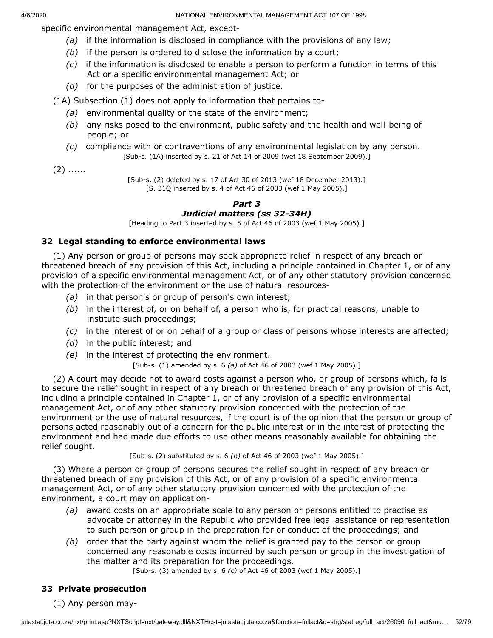specific environmental management Act, except-

- *(a)* if the information is disclosed in compliance with the provisions of any law;
- *(b)* if the person is ordered to disclose the information by a court;
- *(c)* if the information is disclosed to enable a person to perform a function in terms of this Act or a specific environmental management Act; or
- *(d)* for the purposes of the administration of justice.

(1A) Subsection (1) does not apply to information that pertains to-

- *(a)* environmental quality or the state of the environment;
- *(b)* any risks posed to the environment, public safety and the health and well-being of people; or
- *(c)* compliance with or contraventions of any environmental legislation by any person. [Sub-s. (1A) inserted by s. 21 of Act 14 of 2009 (wef 18 September 2009).]

```
(2) ......
```
[Sub-s. (2) deleted by s. 17 of Act 30 of 2013 (wef 18 December 2013).] [S. 31Q inserted by s. 4 of Act 46 of 2003 (wef 1 May 2005).]

### *Part 3 Judicial matters (ss 32-34H)*

[Heading to Part 3 inserted by s. 5 of Act 46 of 2003 (wef 1 May 2005).]

# **32 Legal standing to enforce environmental laws**

(1) Any person or group of persons may seek appropriate relief in respect of any breach or threatened breach of any provision of this Act, including a principle contained in Chapter 1, or of any provision of a specific environmental management Act, or of any other statutory provision concerned with the protection of the environment or the use of natural resources-

- *(a)* in that person's or group of person's own interest;
- *(b)* in the interest of, or on behalf of, a person who is, for practical reasons, unable to institute such proceedings;
- *(c)* in the interest of or on behalf of a group or class of persons whose interests are affected;
- *(d)* in the public interest; and
- *(e)* in the interest of protecting the environment.

[Sub-s. (1) amended by s. 6 *(a)* of Act 46 of 2003 (wef 1 May 2005).]

(2) A court may decide not to award costs against a person who, or group of persons which, fails to secure the relief sought in respect of any breach or threatened breach of any provision of this Act, including a principle contained in Chapter 1, or of any provision of a specific environmental management Act, or of any other statutory provision concerned with the protection of the environment or the use of natural resources, if the court is of the opinion that the person or group of persons acted reasonably out of a concern for the public interest or in the interest of protecting the environment and had made due efforts to use other means reasonably available for obtaining the relief sought.

[Sub-s. (2) substituted by s. 6 *(b)* of Act 46 of 2003 (wef 1 May 2005).]

(3) Where a person or group of persons secures the relief sought in respect of any breach or threatened breach of any provision of this Act, or of any provision of a specific environmental management Act, or of any other statutory provision concerned with the protection of the environment, a court may on application-

- *(a)* award costs on an appropriate scale to any person or persons entitled to practise as advocate or attorney in the Republic who provided free legal assistance or representation to such person or group in the preparation for or conduct of the proceedings; and
- *(b)* order that the party against whom the relief is granted pay to the person or group concerned any reasonable costs incurred by such person or group in the investigation of the matter and its preparation for the proceedings.

[Sub-s. (3) amended by s. 6 *(c)* of Act 46 of 2003 (wef 1 May 2005).]

# **33 Private prosecution**

(1) Any person may-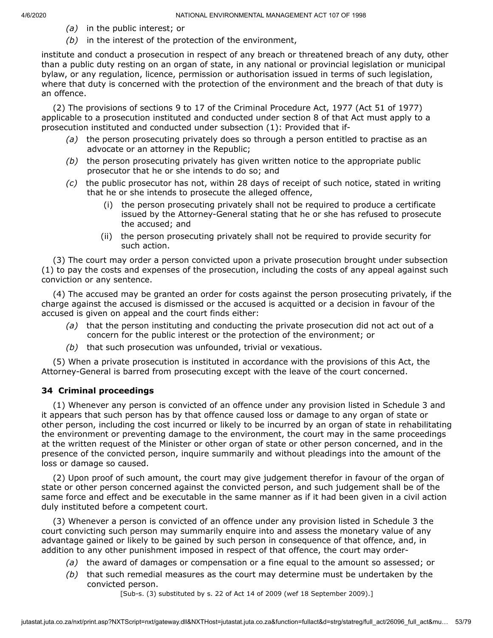- *(a)* in the public interest; or
- *(b)* in the interest of the protection of the environment,

institute and conduct a prosecution in respect of any breach or threatened breach of any duty, other than a public duty resting on an organ of state, in any national or provincial legislation or municipal bylaw, or any regulation, licence, permission or authorisation issued in terms of such legislation, where that duty is concerned with the protection of the environment and the breach of that duty is an offence.

(2) The provisions of sections 9 to 17 of the Criminal Procedure Act, 1977 (Act 51 of 1977) applicable to a prosecution instituted and conducted under section 8 of that Act must apply to a prosecution instituted and conducted under subsection (1): Provided that if-

- *(a)* the person prosecuting privately does so through a person entitled to practise as an advocate or an attorney in the Republic;
- *(b)* the person prosecuting privately has given written notice to the appropriate public prosecutor that he or she intends to do so; and
- *(c)* the public prosecutor has not, within 28 days of receipt of such notice, stated in writing that he or she intends to prosecute the alleged offence,
	- (i) the person prosecuting privately shall not be required to produce a certificate issued by the Attorney-General stating that he or she has refused to prosecute the accused; and
	- (ii) the person prosecuting privately shall not be required to provide security for such action.

(3) The court may order a person convicted upon a private prosecution brought under subsection (1) to pay the costs and expenses of the prosecution, including the costs of any appeal against such conviction or any sentence.

(4) The accused may be granted an order for costs against the person prosecuting privately, if the charge against the accused is dismissed or the accused is acquitted or a decision in favour of the accused is given on appeal and the court finds either:

- *(a)* that the person instituting and conducting the private prosecution did not act out of a concern for the public interest or the protection of the environment; or
- *(b)* that such prosecution was unfounded, trivial or vexatious.

(5) When a private prosecution is instituted in accordance with the provisions of this Act, the Attorney-General is barred from prosecuting except with the leave of the court concerned.

### **34 Criminal proceedings**

(1) Whenever any person is convicted of an offence under any provision listed in Schedule 3 and it appears that such person has by that offence caused loss or damage to any organ of state or other person, including the cost incurred or likely to be incurred by an organ of state in rehabilitating the environment or preventing damage to the environment, the court may in the same proceedings at the written request of the Minister or other organ of state or other person concerned, and in the presence of the convicted person, inquire summarily and without pleadings into the amount of the loss or damage so caused.

(2) Upon proof of such amount, the court may give judgement therefor in favour of the organ of state or other person concerned against the convicted person, and such judgement shall be of the same force and effect and be executable in the same manner as if it had been given in a civil action duly instituted before a competent court.

(3) Whenever a person is convicted of an offence under any provision listed in Schedule 3 the court convicting such person may summarily enquire into and assess the monetary value of any advantage gained or likely to be gained by such person in consequence of that offence, and, in addition to any other punishment imposed in respect of that offence, the court may order-

- *(a)* the award of damages or compensation or a fine equal to the amount so assessed; or
- *(b)* that such remedial measures as the court may determine must be undertaken by the convicted person.

[Sub-s. (3) substituted by s. 22 of Act 14 of 2009 (wef 18 September 2009).]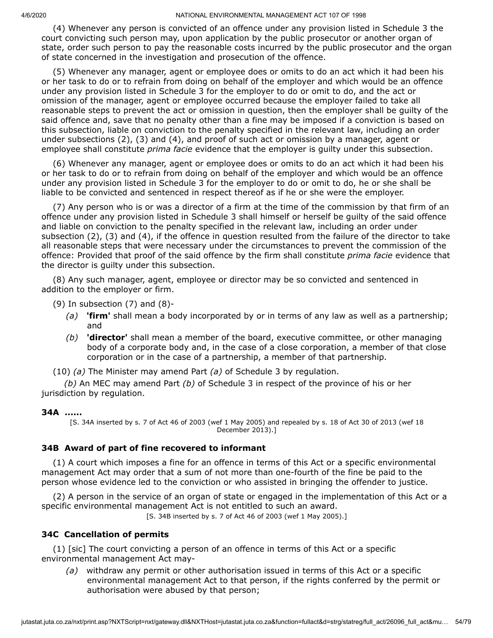(4) Whenever any person is convicted of an offence under any provision listed in Schedule 3 the court convicting such person may, upon application by the public prosecutor or another organ of state, order such person to pay the reasonable costs incurred by the public prosecutor and the organ of state concerned in the investigation and prosecution of the offence.

(5) Whenever any manager, agent or employee does or omits to do an act which it had been his or her task to do or to refrain from doing on behalf of the employer and which would be an offence under any provision listed in Schedule 3 for the employer to do or omit to do, and the act or omission of the manager, agent or employee occurred because the employer failed to take all reasonable steps to prevent the act or omission in question, then the employer shall be guilty of the said offence and, save that no penalty other than a fine may be imposed if a conviction is based on this subsection, liable on conviction to the penalty specified in the relevant law, including an order under subsections (2), (3) and (4), and proof of such act or omission by a manager, agent or employee shall constitute *prima facie* evidence that the employer is guilty under this subsection.

(6) Whenever any manager, agent or employee does or omits to do an act which it had been his or her task to do or to refrain from doing on behalf of the employer and which would be an offence under any provision listed in Schedule 3 for the employer to do or omit to do, he or she shall be liable to be convicted and sentenced in respect thereof as if he or she were the employer.

(7) Any person who is or was a director of a firm at the time of the commission by that firm of an offence under any provision listed in Schedule 3 shall himself or herself be guilty of the said offence and liable on conviction to the penalty specified in the relevant law, including an order under subsection (2), (3) and (4), if the offence in question resulted from the failure of the director to take all reasonable steps that were necessary under the circumstances to prevent the commission of the offence: Provided that proof of the said offence by the firm shall constitute *prima facie* evidence that the director is guilty under this subsection.

(8) Any such manager, agent, employee or director may be so convicted and sentenced in addition to the employer or firm.

 $(9)$  In subsection  $(7)$  and  $(8)$ -

- *(a)* **'firm'** shall mean a body incorporated by or in terms of any law as well as a partnership; and
- *(b)* **'director'** shall mean a member of the board, executive committee, or other managing body of a corporate body and, in the case of a close corporation, a member of that close corporation or in the case of a partnership, a member of that partnership.

(10) *(a)* The Minister may amend Part *(a)* of Schedule 3 by regulation.

*(b)* An MEC may amend Part *(b)* of Schedule 3 in respect of the province of his or her jurisdiction by regulation.

#### **34A ......**

[S. 34A inserted by s. 7 of Act 46 of 2003 (wef 1 May 2005) and repealed by s. 18 of Act 30 of 2013 (wef 18 December 2013).]

### **34B Award of part of fine recovered to informant**

(1) A court which imposes a fine for an offence in terms of this Act or a specific environmental management Act may order that a sum of not more than one-fourth of the fine be paid to the person whose evidence led to the conviction or who assisted in bringing the offender to justice.

(2) A person in the service of an organ of state or engaged in the implementation of this Act or a specific environmental management Act is not entitled to such an award.

[S. 34B inserted by s. 7 of Act 46 of 2003 (wef 1 May 2005).]

### **34C Cancellation of permits**

(1) [sic] The court convicting a person of an offence in terms of this Act or a specific environmental management Act may-

*(a)* withdraw any permit or other authorisation issued in terms of this Act or a specific environmental management Act to that person, if the rights conferred by the permit or authorisation were abused by that person;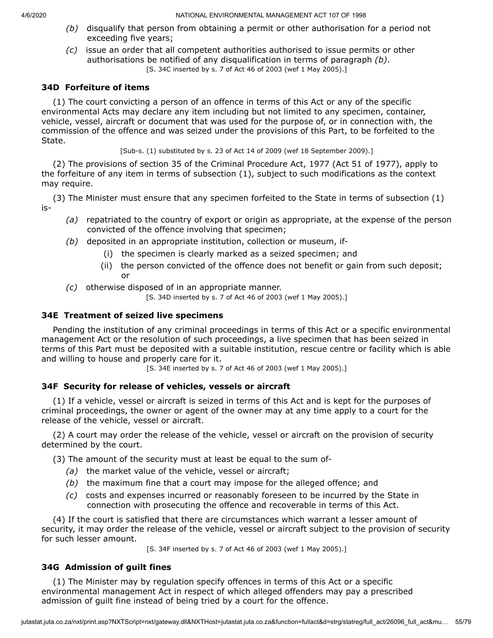- *(b)* disqualify that person from obtaining a permit or other authorisation for a period not exceeding five years;
- *(c)* issue an order that all competent authorities authorised to issue permits or other authorisations be notified of any disqualification in terms of paragraph *(b)*. [S. 34C inserted by s. 7 of Act 46 of 2003 (wef 1 May 2005).]

### **34D Forfeiture of items**

(1) The court convicting a person of an offence in terms of this Act or any of the specific environmental Acts may declare any item including but not limited to any specimen, container, vehicle, vessel, aircraft or document that was used for the purpose of, or in connection with, the commission of the offence and was seized under the provisions of this Part, to be forfeited to the State.

[Sub-s. (1) substituted by s. 23 of Act 14 of 2009 (wef 18 September 2009).]

(2) The provisions of section 35 of the Criminal Procedure Act, 1977 (Act 51 of 1977), apply to the forfeiture of any item in terms of subsection (1), subject to such modifications as the context may require.

(3) The Minister must ensure that any specimen forfeited to the State in terms of subsection (1) is-

- *(a)* repatriated to the country of export or origin as appropriate, at the expense of the person convicted of the offence involving that specimen;
- *(b)* deposited in an appropriate institution, collection or museum, if-
	- (i) the specimen is clearly marked as a seized specimen; and
	- (ii) the person convicted of the offence does not benefit or gain from such deposit; or
- *(c)* otherwise disposed of in an appropriate manner.
	- [S. 34D inserted by s. 7 of Act 46 of 2003 (wef 1 May 2005).]

### **34E Treatment of seized live specimens**

Pending the institution of any criminal proceedings in terms of this Act or a specific environmental management Act or the resolution of such proceedings, a live specimen that has been seized in terms of this Part must be deposited with a suitable institution, rescue centre or facility which is able and willing to house and properly care for it.

[S. 34E inserted by s. 7 of Act 46 of 2003 (wef 1 May 2005).]

### **34F Security for release of vehicles, vessels or aircraft**

(1) If a vehicle, vessel or aircraft is seized in terms of this Act and is kept for the purposes of criminal proceedings, the owner or agent of the owner may at any time apply to a court for the release of the vehicle, vessel or aircraft.

(2) A court may order the release of the vehicle, vessel or aircraft on the provision of security determined by the court.

(3) The amount of the security must at least be equal to the sum of-

- *(a)* the market value of the vehicle, vessel or aircraft;
- *(b)* the maximum fine that a court may impose for the alleged offence; and
- *(c)* costs and expenses incurred or reasonably foreseen to be incurred by the State in connection with prosecuting the offence and recoverable in terms of this Act.

(4) If the court is satisfied that there are circumstances which warrant a lesser amount of security, it may order the release of the vehicle, vessel or aircraft subject to the provision of security for such lesser amount.

[S. 34F inserted by s. 7 of Act 46 of 2003 (wef 1 May 2005).]

### **34G Admission of guilt fines**

(1) The Minister may by regulation specify offences in terms of this Act or a specific environmental management Act in respect of which alleged offenders may pay a prescribed admission of guilt fine instead of being tried by a court for the offence.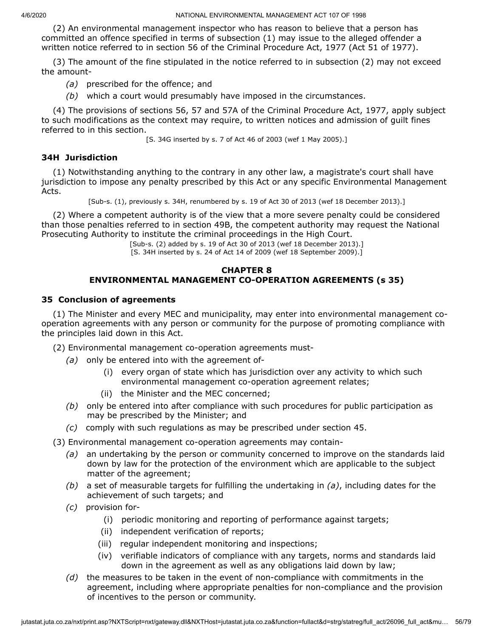(2) An environmental management inspector who has reason to believe that a person has committed an offence specified in terms of subsection (1) may issue to the alleged offender a written notice referred to in section 56 of the Criminal Procedure Act, 1977 (Act 51 of 1977).

(3) The amount of the fine stipulated in the notice referred to in subsection (2) may not exceed the amount-

- *(a)* prescribed for the offence; and
- *(b)* which a court would presumably have imposed in the circumstances.

(4) The provisions of sections 56, 57 and 57A of the Criminal Procedure Act, 1977, apply subject to such modifications as the context may require, to written notices and admission of guilt fines referred to in this section.

[S. 34G inserted by s. 7 of Act 46 of 2003 (wef 1 May 2005).]

### **34H Jurisdiction**

(1) Notwithstanding anything to the contrary in any other law, a magistrate's court shall have jurisdiction to impose any penalty prescribed by this Act or any specific Environmental Management Acts.

[Sub-s. (1), previously s. 34H, renumbered by s. 19 of Act 30 of 2013 (wef 18 December 2013).]

(2) Where a competent authority is of the view that a more severe penalty could be considered than those penalties referred to in section 49B, the competent authority may request the National Prosecuting Authority to institute the criminal proceedings in the High Court.

[Sub-s. (2) added by s. 19 of Act 30 of 2013 (wef 18 December 2013).]

[S. 34H inserted by s. 24 of Act 14 of 2009 (wef 18 September 2009).]

### **CHAPTER 8 ENVIRONMENTAL MANAGEMENT CO-OPERATION AGREEMENTS (s 35)**

### **35 Conclusion of agreements**

(1) The Minister and every MEC and municipality, may enter into environmental management cooperation agreements with any person or community for the purpose of promoting compliance with the principles laid down in this Act.

(2) Environmental management co-operation agreements must-

- *(a)* only be entered into with the agreement of-
	- (i) every organ of state which has jurisdiction over any activity to which such environmental management co-operation agreement relates;
	- (ii) the Minister and the MEC concerned;
- *(b)* only be entered into after compliance with such procedures for public participation as may be prescribed by the Minister; and
- *(c)* comply with such regulations as may be prescribed under section 45.

(3) Environmental management co-operation agreements may contain-

- *(a)* an undertaking by the person or community concerned to improve on the standards laid down by law for the protection of the environment which are applicable to the subject matter of the agreement;
- *(b)* a set of measurable targets for fulfilling the undertaking in *(a)*, including dates for the achievement of such targets; and
- *(c)* provision for-
	- (i) periodic monitoring and reporting of performance against targets;
	- (ii) independent verification of reports;
	- (iii) regular independent monitoring and inspections;
	- (iv) verifiable indicators of compliance with any targets, norms and standards laid down in the agreement as well as any obligations laid down by law;
- *(d)* the measures to be taken in the event of non-compliance with commitments in the agreement, including where appropriate penalties for non-compliance and the provision of incentives to the person or community.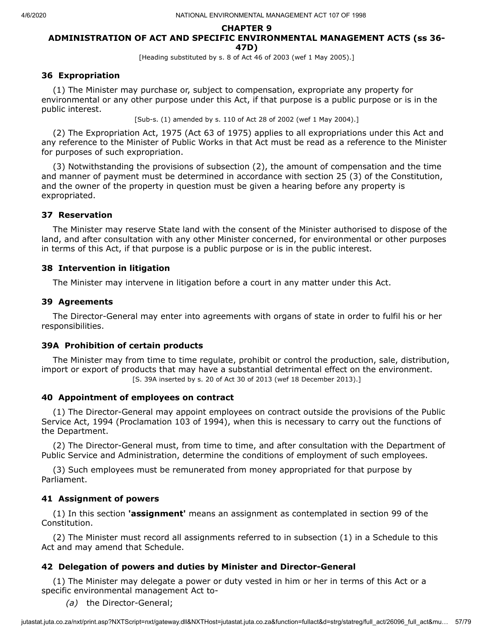#### **CHAPTER 9 ADMINISTRATION OF ACT AND SPECIFIC ENVIRONMENTAL MANAGEMENT ACTS (ss 36- 47D)**

[Heading substituted by s. 8 of Act 46 of 2003 (wef 1 May 2005).]

### **36 Expropriation**

(1) The Minister may purchase or, subject to compensation, expropriate any property for environmental or any other purpose under this Act, if that purpose is a public purpose or is in the public interest.

[Sub-s. (1) amended by s. 110 of Act 28 of 2002 (wef 1 May 2004).]

(2) The Expropriation Act, 1975 (Act 63 of 1975) applies to all expropriations under this Act and any reference to the Minister of Public Works in that Act must be read as a reference to the Minister for purposes of such expropriation.

(3) Notwithstanding the provisions of subsection (2), the amount of compensation and the time and manner of payment must be determined in accordance with section 25 (3) of the Constitution, and the owner of the property in question must be given a hearing before any property is expropriated.

# **37 Reservation**

The Minister may reserve State land with the consent of the Minister authorised to dispose of the land, and after consultation with any other Minister concerned, for environmental or other purposes in terms of this Act, if that purpose is a public purpose or is in the public interest.

### **38 Intervention in litigation**

The Minister may intervene in litigation before a court in any matter under this Act.

### **39 Agreements**

The Director-General may enter into agreements with organs of state in order to fulfil his or her responsibilities.

### **39A Prohibition of certain products**

The Minister may from time to time regulate, prohibit or control the production, sale, distribution, import or export of products that may have a substantial detrimental effect on the environment. [S. 39A inserted by s. 20 of Act 30 of 2013 (wef 18 December 2013).]

### **40 Appointment of employees on contract**

(1) The Director-General may appoint employees on contract outside the provisions of the Public Service Act, 1994 (Proclamation 103 of 1994), when this is necessary to carry out the functions of the Department.

(2) The Director-General must, from time to time, and after consultation with the Department of Public Service and Administration, determine the conditions of employment of such employees.

(3) Such employees must be remunerated from money appropriated for that purpose by Parliament.

### **41 Assignment of powers**

(1) In this section **'assignment'** means an assignment as contemplated in section 99 of the Constitution.

(2) The Minister must record all assignments referred to in subsection (1) in a Schedule to this Act and may amend that Schedule.

### **42 Delegation of powers and duties by Minister and Director-General**

(1) The Minister may delegate a power or duty vested in him or her in terms of this Act or a specific environmental management Act to-

*(a)* the Director-General;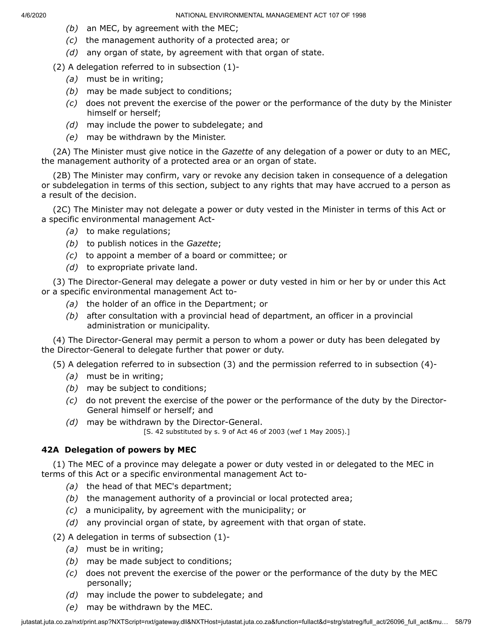- *(b)* an MEC, by agreement with the MEC;
- *(c)* the management authority of a protected area; or
- *(d)* any organ of state, by agreement with that organ of state.

(2) A delegation referred to in subsection (1)-

- *(a)* must be in writing;
- *(b)* may be made subject to conditions;
- *(c)* does not prevent the exercise of the power or the performance of the duty by the Minister himself or herself;
- *(d)* may include the power to subdelegate; and
- *(e)* may be withdrawn by the Minister.

(2A) The Minister must give notice in the *Gazette* of any delegation of a power or duty to an MEC, the management authority of a protected area or an organ of state.

(2B) The Minister may confirm, vary or revoke any decision taken in consequence of a delegation or subdelegation in terms of this section, subject to any rights that may have accrued to a person as a result of the decision.

(2C) The Minister may not delegate a power or duty vested in the Minister in terms of this Act or a specific environmental management Act-

- *(a)* to make regulations;
- *(b)* to publish notices in the *Gazette*;
- *(c)* to appoint a member of a board or committee; or
- *(d)* to expropriate private land.

(3) The Director-General may delegate a power or duty vested in him or her by or under this Act or a specific environmental management Act to-

- *(a)* the holder of an office in the Department; or
- *(b)* after consultation with a provincial head of department, an officer in a provincial administration or municipality.

(4) The Director-General may permit a person to whom a power or duty has been delegated by the Director-General to delegate further that power or duty.

(5) A delegation referred to in subsection (3) and the permission referred to in subsection (4)-

- *(a)* must be in writing;
- *(b)* may be subject to conditions;
- *(c)* do not prevent the exercise of the power or the performance of the duty by the Director-General himself or herself; and
- *(d)* may be withdrawn by the Director-General.

[S. 42 substituted by s. 9 of Act 46 of 2003 (wef 1 May 2005).]

# **42A Delegation of powers by MEC**

(1) The MEC of a province may delegate a power or duty vested in or delegated to the MEC in terms of this Act or a specific environmental management Act to-

- *(a)* the head of that MEC's department;
- *(b)* the management authority of a provincial or local protected area;
- *(c)* a municipality, by agreement with the municipality; or
- *(d)* any provincial organ of state, by agreement with that organ of state.

(2) A delegation in terms of subsection (1)-

- *(a)* must be in writing;
- *(b)* may be made subject to conditions;
- *(c)* does not prevent the exercise of the power or the performance of the duty by the MEC personally;
- *(d)* may include the power to subdelegate; and
- *(e)* may be withdrawn by the MEC.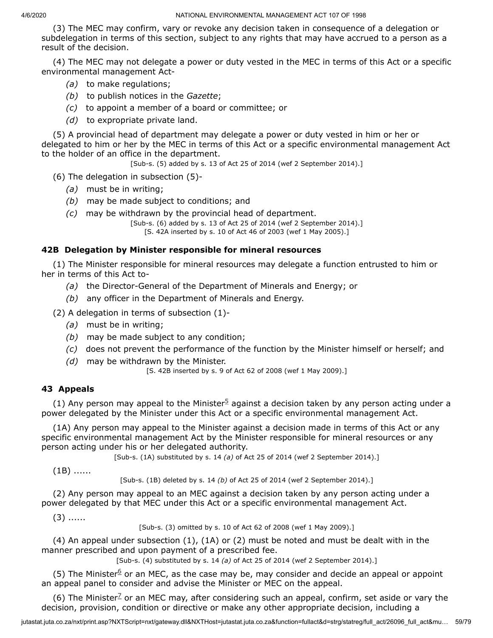(3) The MEC may confirm, vary or revoke any decision taken in consequence of a delegation or subdelegation in terms of this section, subject to any rights that may have accrued to a person as a result of the decision.

(4) The MEC may not delegate a power or duty vested in the MEC in terms of this Act or a specific environmental management Act-

- *(a)* to make regulations;
- *(b)* to publish notices in the *Gazette*;
- *(c)* to appoint a member of a board or committee; or
- *(d)* to expropriate private land.

(5) A provincial head of department may delegate a power or duty vested in him or her or delegated to him or her by the MEC in terms of this Act or a specific environmental management Act to the holder of an office in the department.

[Sub-s. (5) added by s. 13 of Act 25 of 2014 (wef 2 September 2014).]

- (6) The delegation in subsection (5)-
	- *(a)* must be in writing;
	- *(b)* may be made subject to conditions; and
	- *(c)* may be withdrawn by the provincial head of department.

[Sub-s. (6) added by s. 13 of Act 25 of 2014 (wef 2 September 2014).] [S. 42A inserted by s. 10 of Act 46 of 2003 (wef 1 May 2005).]

### **42B Delegation by Minister responsible for mineral resources**

(1) The Minister responsible for mineral resources may delegate a function entrusted to him or her in terms of this Act to-

- *(a)* the Director-General of the Department of Minerals and Energy; or
- *(b)* any officer in the Department of Minerals and Energy.

(2) A delegation in terms of subsection (1)-

- *(a)* must be in writing;
- *(b)* may be made subject to any condition;
- *(c)* does not prevent the performance of the function by the Minister himself or herself; and
- *(d)* may be withdrawn by the Minister.
	- [S. 42B inserted by s. 9 of Act 62 of 2008 (wef 1 May 2009).]

### **43 Appeals**

(1) Any person may appeal to the Minister<sup>[5](#page-59-0)</sup> against a decision taken by any person acting under a power delegated by the Minister under this Act or a specific environmental management Act.

(1A) Any person may appeal to the Minister against a decision made in terms of this Act or any specific environmental management Act by the Minister responsible for mineral resources or any person acting under his or her delegated authority.

[Sub-s. (1A) substituted by s. 14 *(a)* of Act 25 of 2014 (wef 2 September 2014).]

(1B) ......

[Sub-s. (1B) deleted by s. 14 *(b)* of Act 25 of 2014 (wef 2 September 2014).]

(2) Any person may appeal to an MEC against a decision taken by any person acting under a power delegated by that MEC under this Act or a specific environmental management Act.

 $(3)$  ......

[Sub-s. (3) omitted by s. 10 of Act 62 of 2008 (wef 1 May 2009).]

(4) An appeal under subsection (1), (1A) or (2) must be noted and must be dealt with in the manner prescribed and upon payment of a prescribed fee.

[Sub-s. (4) substituted by s. 14 *(a)* of Act 25 of 2014 (wef 2 September 2014).]

(5) The Minister<sup>[6](#page-59-1)</sup> or an MEC, as the case may be, may consider and decide an appeal or appoint an appeal panel to consider and advise the Minister or MEC on the appeal.

(6) The Minister<sup>Z</sup> or an MEC may, after considering such an appeal, confirm, set aside or vary the decision, provision, condition or directive or make any other appropriate decision, including a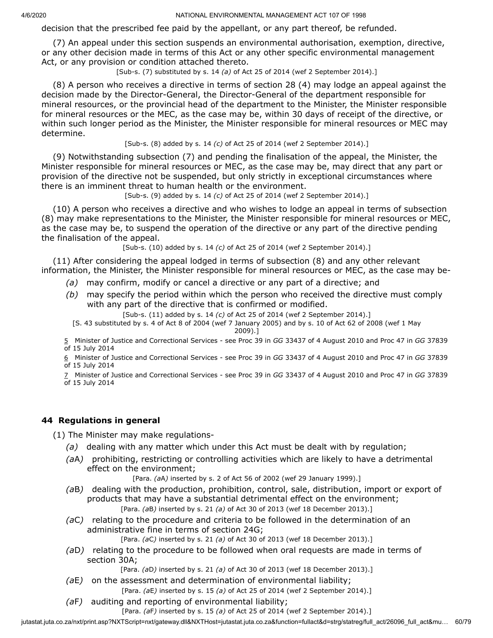decision that the prescribed fee paid by the appellant, or any part thereof, be refunded.

(7) An appeal under this section suspends an environmental authorisation, exemption, directive, or any other decision made in terms of this Act or any other specific environmental management Act, or any provision or condition attached thereto.

[Sub-s. (7) substituted by s. 14 *(a)* of Act 25 of 2014 (wef 2 September 2014).]

(8) A person who receives a directive in terms of section 28 (4) may lodge an appeal against the decision made by the Director-General, the Director-General of the department responsible for mineral resources, or the provincial head of the department to the Minister, the Minister responsible for mineral resources or the MEC, as the case may be, within 30 days of receipt of the directive, or within such longer period as the Minister, the Minister responsible for mineral resources or MEC may determine.

[Sub-s. (8) added by s. 14 *(c)* of Act 25 of 2014 (wef 2 September 2014).]

(9) Notwithstanding subsection (7) and pending the finalisation of the appeal, the Minister, the Minister responsible for mineral resources or MEC, as the case may be, may direct that any part or provision of the directive not be suspended, but only strictly in exceptional circumstances where there is an imminent threat to human health or the environment.

[Sub-s. (9) added by s. 14 *(c)* of Act 25 of 2014 (wef 2 September 2014).]

(10) A person who receives a directive and who wishes to lodge an appeal in terms of subsection (8) may make representations to the Minister, the Minister responsible for mineral resources or MEC, as the case may be, to suspend the operation of the directive or any part of the directive pending the finalisation of the appeal.

[Sub-s. (10) added by s. 14 *(c)* of Act 25 of 2014 (wef 2 September 2014).]

(11) After considering the appeal lodged in terms of subsection (8) and any other relevant information, the Minister, the Minister responsible for mineral resources or MEC, as the case may be-

- *(a)* may confirm, modify or cancel a directive or any part of a directive; and
- *(b)* may specify the period within which the person who received the directive must comply with any part of the directive that is confirmed or modified.

[Sub-s. (11) added by s. 14 *(c)* of Act 25 of 2014 (wef 2 September 2014).]

[S. 43 substituted by s. 4 of Act 8 of 2004 (wef 7 January 2005) and by s. 10 of Act 62 of 2008 (wef 1 May 2009).]

<span id="page-59-0"></span>5 Minister of Justice and Correctional Services - see Proc 39 in *GG* 33437 of 4 August 2010 and Proc 47 in *GG* 37839 of 15 July 2014

<span id="page-59-1"></span>6 Minister of Justice and Correctional Services - see Proc 39 in *GG* 33437 of 4 August 2010 and Proc 47 in *GG* 37839 of 15 July 2014

<span id="page-59-2"></span>7 Minister of Justice and Correctional Services - see Proc 39 in *GG* 33437 of 4 August 2010 and Proc 47 in *GG* 37839 of 15 July 2014

### **44 Regulations in general**

(1) The Minister may make regulations-

- *(a)* dealing with any matter which under this Act must be dealt with by regulation;
- *(a*A*)* prohibiting, restricting or controlling activities which are likely to have a detrimental effect on the environment;

[Para. *(a*A*)* inserted by s. 2 of Act 56 of 2002 (wef 29 January 1999).]

- *(a*B*)* dealing with the production, prohibition, control, sale, distribution, import or export of products that may have a substantial detrimental effect on the environment; [Para. *(a*B*)* inserted by s. 21 *(a)* of Act 30 of 2013 (wef 18 December 2013).]
- *(a*C*)* relating to the procedure and criteria to be followed in the determination of an administrative fine in terms of section 24G;

[Para. *(a*C*)* inserted by s. 21 *(a)* of Act 30 of 2013 (wef 18 December 2013).]

*(a*D*)* relating to the procedure to be followed when oral requests are made in terms of section 30A;

[Para. *(a*D*)* inserted by s. 21 *(a)* of Act 30 of 2013 (wef 18 December 2013).]

*(a*E*)* on the assessment and determination of environmental liability;

[Para. *(a*E*)* inserted by s. 15 *(a)* of Act 25 of 2014 (wef 2 September 2014).]

*(a*F*)* auditing and reporting of environmental liability;

[Para. *(a*F*)* inserted by s. 15 *(a)* of Act 25 of 2014 (wef 2 September 2014).]

jutastat.juta.co.za/nxt/print.asp?NXTScript=nxt/gateway.dll&NXTHost=jutastat.juta.co.za&function=fullact&d=strg/statreg/full\_act/26096\_full\_act&mu... 60/79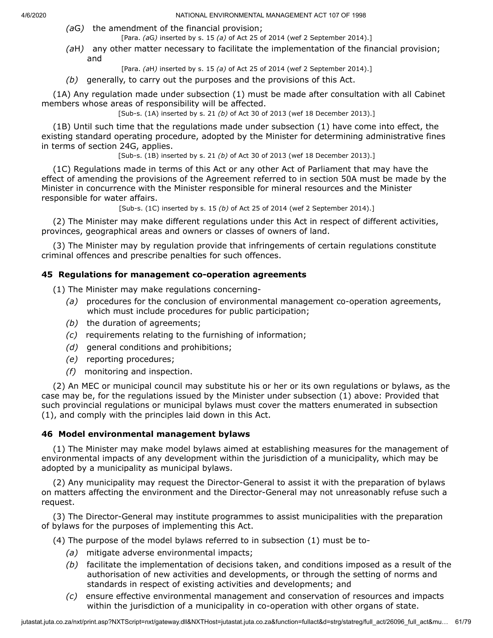*(a*G*)* the amendment of the financial provision;

[Para. *(a*G*)* inserted by s. 15 *(a)* of Act 25 of 2014 (wef 2 September 2014).]

*(a*H*)* any other matter necessary to facilitate the implementation of the financial provision; and

[Para. *(a*H*)* inserted by s. 15 *(a)* of Act 25 of 2014 (wef 2 September 2014).]

*(b)* generally, to carry out the purposes and the provisions of this Act.

(1A) Any regulation made under subsection (1) must be made after consultation with all Cabinet members whose areas of responsibility will be affected.

[Sub-s. (1A) inserted by s. 21 *(b)* of Act 30 of 2013 (wef 18 December 2013).]

(1B) Until such time that the regulations made under subsection (1) have come into effect, the existing standard operating procedure, adopted by the Minister for determining administrative fines in terms of section 24G, applies.

[Sub-s. (1B) inserted by s. 21 *(b)* of Act 30 of 2013 (wef 18 December 2013).]

(1C) Regulations made in terms of this Act or any other Act of Parliament that may have the effect of amending the provisions of the Agreement referred to in section 50A must be made by the Minister in concurrence with the Minister responsible for mineral resources and the Minister responsible for water affairs.

[Sub-s. (1C) inserted by s. 15 *(b)* of Act 25 of 2014 (wef 2 September 2014).]

(2) The Minister may make different regulations under this Act in respect of different activities, provinces, geographical areas and owners or classes of owners of land.

(3) The Minister may by regulation provide that infringements of certain regulations constitute criminal offences and prescribe penalties for such offences.

### **45 Regulations for management co-operation agreements**

(1) The Minister may make regulations concerning-

- *(a)* procedures for the conclusion of environmental management co-operation agreements, which must include procedures for public participation;
- *(b)* the duration of agreements;
- *(c)* requirements relating to the furnishing of information;
- *(d)* general conditions and prohibitions;
- *(e)* reporting procedures;
- *(f)* monitoring and inspection.

(2) An MEC or municipal council may substitute his or her or its own regulations or bylaws, as the case may be, for the regulations issued by the Minister under subsection (1) above: Provided that such provincial regulations or municipal bylaws must cover the matters enumerated in subsection (1), and comply with the principles laid down in this Act.

### **46 Model environmental management bylaws**

(1) The Minister may make model bylaws aimed at establishing measures for the management of environmental impacts of any development within the jurisdiction of a municipality, which may be adopted by a municipality as municipal bylaws.

(2) Any municipality may request the Director-General to assist it with the preparation of bylaws on matters affecting the environment and the Director-General may not unreasonably refuse such a request.

(3) The Director-General may institute programmes to assist municipalities with the preparation of bylaws for the purposes of implementing this Act.

(4) The purpose of the model bylaws referred to in subsection (1) must be to-

- *(a)* mitigate adverse environmental impacts;
- *(b)* facilitate the implementation of decisions taken, and conditions imposed as a result of the authorisation of new activities and developments, or through the setting of norms and standards in respect of existing activities and developments; and
- *(c)* ensure effective environmental management and conservation of resources and impacts within the jurisdiction of a municipality in co-operation with other organs of state.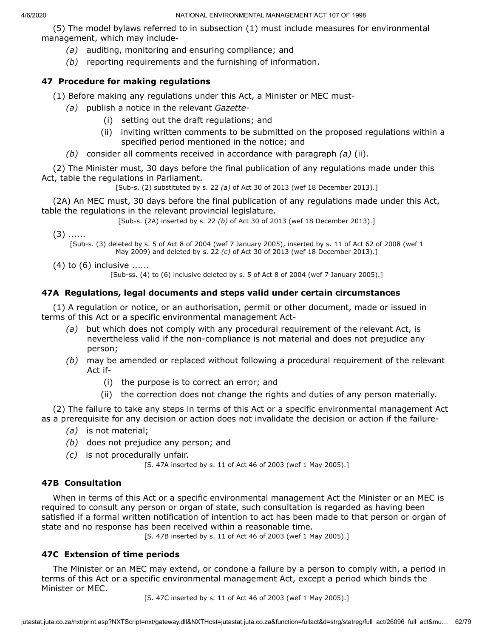(5) The model bylaws referred to in subsection (1) must include measures for environmental management, which may include-

- *(a)* auditing, monitoring and ensuring compliance; and
- *(b)* reporting requirements and the furnishing of information.

# **47 Procedure for making regulations**

(1) Before making any regulations under this Act, a Minister or MEC must-

- *(a)* publish a notice in the relevant *Gazette*
	- (i) setting out the draft regulations; and
	- (ii) inviting written comments to be submitted on the proposed regulations within a specified period mentioned in the notice; and
- *(b)* consider all comments received in accordance with paragraph *(a)* (ii).

(2) The Minister must, 30 days before the final publication of any regulations made under this Act, table the regulations in Parliament.

[Sub-s. (2) substituted by s. 22 *(a)* of Act 30 of 2013 (wef 18 December 2013).]

(2A) An MEC must, 30 days before the final publication of any regulations made under this Act, table the regulations in the relevant provincial legislature.

[Sub-s. (2A) inserted by s. 22 *(b)* of Act 30 of 2013 (wef 18 December 2013).]

 $(3)$  ......

[Sub-s. (3) deleted by s. 5 of Act 8 of 2004 (wef 7 January 2005), inserted by s. 11 of Act 62 of 2008 (wef 1 May 2009) and deleted by s. 22 *(c)* of Act 30 of 2013 (wef 18 December 2013).]

 $(4)$  to  $(6)$  inclusive ......

[Sub-ss. (4) to (6) inclusive deleted by s. 5 of Act 8 of 2004 (wef 7 January 2005).]

# **47A Regulations, legal documents and steps valid under certain circumstances**

(1) A regulation or notice, or an authorisation, permit or other document, made or issued in terms of this Act or a specific environmental management Act-

- *(a)* but which does not comply with any procedural requirement of the relevant Act, is nevertheless valid if the non-compliance is not material and does not prejudice any person;
- *(b)* may be amended or replaced without following a procedural requirement of the relevant Act if-
	- (i) the purpose is to correct an error; and
	- (ii) the correction does not change the rights and duties of any person materially.

(2) The failure to take any steps in terms of this Act or a specific environmental management Act as a prerequisite for any decision or action does not invalidate the decision or action if the failure-

- *(a)* is not material;
- *(b)* does not prejudice any person; and
- *(c)* is not procedurally unfair.

[S. 47A inserted by s. 11 of Act 46 of 2003 (wef 1 May 2005).]

# **47B Consultation**

When in terms of this Act or a specific environmental management Act the Minister or an MEC is required to consult any person or organ of state, such consultation is regarded as having been satisfied if a formal written notification of intention to act has been made to that person or organ of state and no response has been received within a reasonable time.

[S. 47B inserted by s. 11 of Act 46 of 2003 (wef 1 May 2005).]

# **47C Extension of time periods**

The Minister or an MEC may extend, or condone a failure by a person to comply with, a period in terms of this Act or a specific environmental management Act, except a period which binds the Minister or MEC.

[S. 47C inserted by s. 11 of Act 46 of 2003 (wef 1 May 2005).]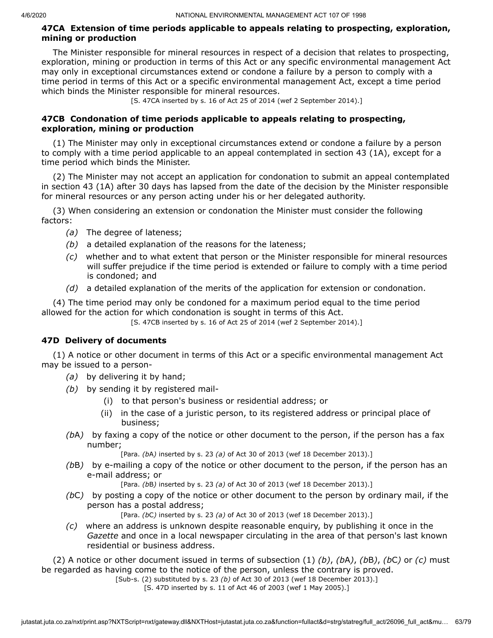#### **47CA Extension of time periods applicable to appeals relating to prospecting, exploration, mining or production**

The Minister responsible for mineral resources in respect of a decision that relates to prospecting, exploration, mining or production in terms of this Act or any specific environmental management Act may only in exceptional circumstances extend or condone a failure by a person to comply with a time period in terms of this Act or a specific environmental management Act, except a time period which binds the Minister responsible for mineral resources.

[S. 47CA inserted by s. 16 of Act 25 of 2014 (wef 2 September 2014).]

#### **47CB Condonation of time periods applicable to appeals relating to prospecting, exploration, mining or production**

(1) The Minister may only in exceptional circumstances extend or condone a failure by a person to comply with a time period applicable to an appeal contemplated in section 43 (1A), except for a time period which binds the Minister.

(2) The Minister may not accept an application for condonation to submit an appeal contemplated in section 43 (1A) after 30 days has lapsed from the date of the decision by the Minister responsible for mineral resources or any person acting under his or her delegated authority.

(3) When considering an extension or condonation the Minister must consider the following factors:

- *(a)* The degree of lateness;
- *(b)* a detailed explanation of the reasons for the lateness;
- *(c)* whether and to what extent that person or the Minister responsible for mineral resources will suffer prejudice if the time period is extended or failure to comply with a time period is condoned; and
- *(d)* a detailed explanation of the merits of the application for extension or condonation.

(4) The time period may only be condoned for a maximum period equal to the time period allowed for the action for which condonation is sought in terms of this Act.

[S. 47CB inserted by s. 16 of Act 25 of 2014 (wef 2 September 2014).]

#### **47D Delivery of documents**

(1) A notice or other document in terms of this Act or a specific environmental management Act may be issued to a person-

- *(a)* by delivering it by hand;
- *(b)* by sending it by registered mail-
	- (i) to that person's business or residential address; or
	- (ii) in the case of a juristic person, to its registered address or principal place of business;
- *(b*A*)* by faxing a copy of the notice or other document to the person, if the person has a fax number;

[Para. *(b*A*)* inserted by s. 23 *(a)* of Act 30 of 2013 (wef 18 December 2013).]

*(b*B*)* by e-mailing a copy of the notice or other document to the person, if the person has an e-mail address; or

[Para. *(b*B*)* inserted by s. 23 *(a)* of Act 30 of 2013 (wef 18 December 2013).]

*(b*C*)* by posting a copy of the notice or other document to the person by ordinary mail, if the person has a postal address;

[Para. *(b*C*)* inserted by s. 23 *(a)* of Act 30 of 2013 (wef 18 December 2013).]

*(c)* where an address is unknown despite reasonable enquiry, by publishing it once in the *Gazette* and once in a local newspaper circulating in the area of that person's last known residential or business address.

(2) A notice or other document issued in terms of subsection (1) *(b)*, *(b*A*)*, *(b*B*)*, *(b*C*)* or *(c)* must be regarded as having come to the notice of the person, unless the contrary is proved.

[Sub-s. (2) substituted by s. 23 *(b)* of Act 30 of 2013 (wef 18 December 2013).]

[S. 47D inserted by s. 11 of Act 46 of 2003 (wef 1 May 2005).]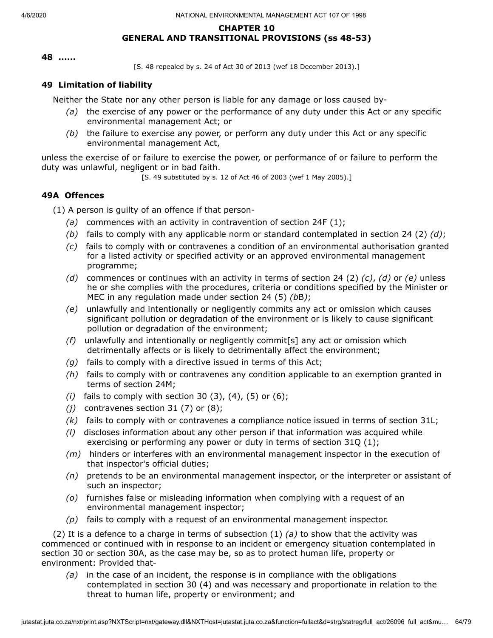# **CHAPTER 10 GENERAL AND TRANSITIONAL PROVISIONS (ss 48-53)**

### **48 ......**

[S. 48 repealed by s. 24 of Act 30 of 2013 (wef 18 December 2013).]

## **49 Limitation of liability**

Neither the State nor any other person is liable for any damage or loss caused by-

- *(a)* the exercise of any power or the performance of any duty under this Act or any specific environmental management Act; or
- *(b)* the failure to exercise any power, or perform any duty under this Act or any specific environmental management Act,

unless the exercise of or failure to exercise the power, or performance of or failure to perform the duty was unlawful, negligent or in bad faith.

[S. 49 substituted by s. 12 of Act 46 of 2003 (wef 1 May 2005).]

### **49A Offences**

(1) A person is guilty of an offence if that person-

- *(a)* commences with an activity in contravention of section 24F (1);
- *(b)* fails to comply with any applicable norm or standard contemplated in section 24 (2) *(d)*;
- *(c)* fails to comply with or contravenes a condition of an environmental authorisation granted for a listed activity or specified activity or an approved environmental management programme;
- *(d)* commences or continues with an activity in terms of section 24 (2) *(c)*, *(d)* or *(e)* unless he or she complies with the procedures, criteria or conditions specified by the Minister or MEC in any regulation made under section 24 (5) *(b*B*)*;
- *(e)* unlawfully and intentionally or negligently commits any act or omission which causes significant pollution or degradation of the environment or is likely to cause significant pollution or degradation of the environment;
- *(f)* unlawfully and intentionally or negligently commit[s] any act or omission which detrimentally affects or is likely to detrimentally affect the environment;
- *(g)* fails to comply with a directive issued in terms of this Act;
- *(h)* fails to comply with or contravenes any condition applicable to an exemption granted in terms of section 24M;
- *(i)* fails to comply with section 30 (3), (4), (5) or (6);
- *(j)* contravenes section 31 (7) or (8);
- *(k)* fails to comply with or contravenes a compliance notice issued in terms of section 31L;
- *(l)* discloses information about any other person if that information was acquired while exercising or performing any power or duty in terms of section 31Q (1);
- *(m)* hinders or interferes with an environmental management inspector in the execution of that inspector's official duties;
- *(n)* pretends to be an environmental management inspector, or the interpreter or assistant of such an inspector;
- *(o)* furnishes false or misleading information when complying with a request of an environmental management inspector;
- *(p)* fails to comply with a request of an environmental management inspector.

(2) It is a defence to a charge in terms of subsection (1) *(a)* to show that the activity was commenced or continued with in response to an incident or emergency situation contemplated in section 30 or section 30A, as the case may be, so as to protect human life, property or environment: Provided that-

*(a)* in the case of an incident, the response is in compliance with the obligations contemplated in section 30 (4) and was necessary and proportionate in relation to the threat to human life, property or environment; and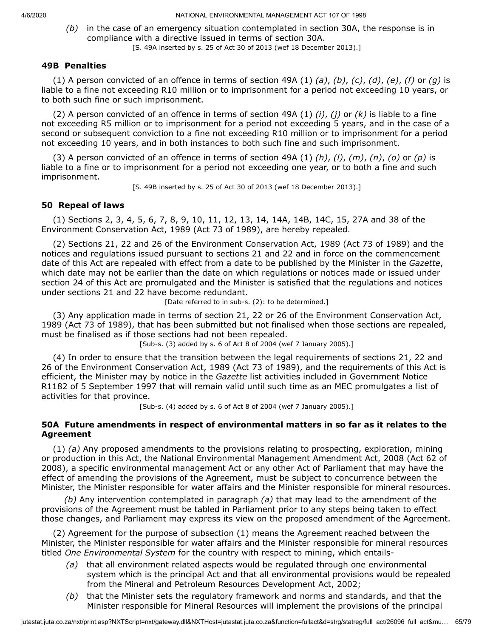*(b)* in the case of an emergency situation contemplated in section 30A, the response is in compliance with a directive issued in terms of section 30A. [S. 49A inserted by s. 25 of Act 30 of 2013 (wef 18 December 2013).]

#### **49B Penalties**

(1) A person convicted of an offence in terms of section 49A (1) *(a)*, *(b)*, *(c)*, *(d)*, *(e)*, *(f)* or *(g)* is liable to a fine not exceeding R10 million or to imprisonment for a period not exceeding 10 years, or to both such fine or such imprisonment.

(2) A person convicted of an offence in terms of section 49A (1) *(i)*, *(j)* or *(k)* is liable to a fine not exceeding R5 million or to imprisonment for a period not exceeding 5 years, and in the case of a second or subsequent conviction to a fine not exceeding R10 million or to imprisonment for a period not exceeding 10 years, and in both instances to both such fine and such imprisonment.

(3) A person convicted of an offence in terms of section 49A (1) *(h)*, *(l)*, *(m)*, *(n)*, *(o)* or *(p)* is liable to a fine or to imprisonment for a period not exceeding one year, or to both a fine and such imprisonment.

[S. 49B inserted by s. 25 of Act 30 of 2013 (wef 18 December 2013).]

### **50 Repeal of laws**

(1) Sections 2, 3, 4, 5, 6, 7, 8, 9, 10, 11, 12, 13, 14, 14A, 14B, 14C, 15, 27A and 38 of the Environment Conservation Act, 1989 (Act 73 of 1989), are hereby repealed.

(2) Sections 21, 22 and 26 of the Environment Conservation Act, 1989 (Act 73 of 1989) and the notices and regulations issued pursuant to sections 21 and 22 and in force on the commencement date of this Act are repealed with effect from a date to be published by the Minister in the *Gazette*, which date may not be earlier than the date on which regulations or notices made or issued under section 24 of this Act are promulgated and the Minister is satisfied that the regulations and notices under sections 21 and 22 have become redundant.

[Date referred to in sub-s. (2): to be determined.]

(3) Any application made in terms of section 21, 22 or 26 of the Environment Conservation Act, 1989 (Act 73 of 1989), that has been submitted but not finalised when those sections are repealed, must be finalised as if those sections had not been repealed.

[Sub-s. (3) added by s. 6 of Act 8 of 2004 (wef 7 January 2005).]

(4) In order to ensure that the transition between the legal requirements of sections 21, 22 and 26 of the Environment Conservation Act, 1989 (Act 73 of 1989), and the requirements of this Act is efficient, the Minister may by notice in the *Gazette* list activities included in Government Notice R1182 of 5 September 1997 that will remain valid until such time as an MEC promulgates a list of activities for that province.

[Sub-s. (4) added by s. 6 of Act 8 of 2004 (wef 7 January 2005).]

#### **50A Future amendments in respect of environmental matters in so far as it relates to the Agreement**

(1) *(a)* Any proposed amendments to the provisions relating to prospecting, exploration, mining or production in this Act, the National Environmental Management Amendment Act, 2008 (Act 62 of 2008), a specific environmental management Act or any other Act of Parliament that may have the effect of amending the provisions of the Agreement, must be subject to concurrence between the Minister, the Minister responsible for water affairs and the Minister responsible for mineral resources.

*(b)* Any intervention contemplated in paragraph *(a)* that may lead to the amendment of the provisions of the Agreement must be tabled in Parliament prior to any steps being taken to effect those changes, and Parliament may express its view on the proposed amendment of the Agreement.

(2) Agreement for the purpose of subsection (1) means the Agreement reached between the Minister, the Minister responsible for water affairs and the Minister responsible for mineral resources titled *One Environmental System* for the country with respect to mining, which entails-

- *(a)* that all environment related aspects would be regulated through one environmental system which is the principal Act and that all environmental provisions would be repealed from the Mineral and Petroleum Resources Development Act, 2002;
- *(b)* that the Minister sets the regulatory framework and norms and standards, and that the Minister responsible for Mineral Resources will implement the provisions of the principal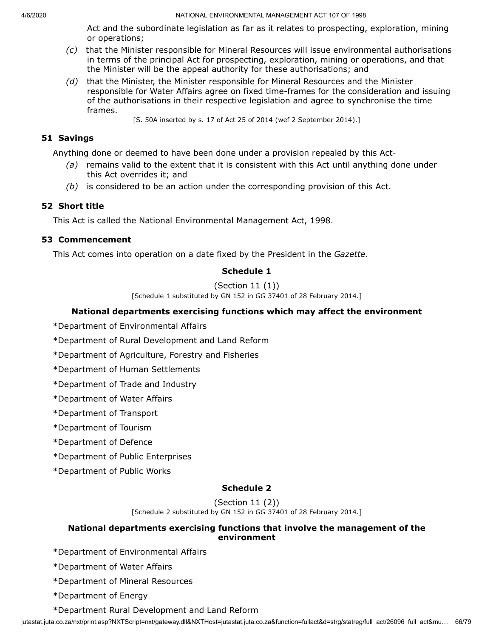Act and the subordinate legislation as far as it relates to prospecting, exploration, mining or operations;

- *(c)* that the Minister responsible for Mineral Resources will issue environmental authorisations in terms of the principal Act for prospecting, exploration, mining or operations, and that the Minister will be the appeal authority for these authorisations; and
- *(d)* that the Minister, the Minister responsible for Mineral Resources and the Minister responsible for Water Affairs agree on fixed time-frames for the consideration and issuing of the authorisations in their respective legislation and agree to synchronise the time frames.

[S. 50A inserted by s. 17 of Act 25 of 2014 (wef 2 September 2014).]

## **51 Savings**

Anything done or deemed to have been done under a provision repealed by this Act-

- *(a)* remains valid to the extent that it is consistent with this Act until anything done under this Act overrides it; and
- *(b)* is considered to be an action under the corresponding provision of this Act.

### **52 Short title**

This Act is called the National Environmental Management Act, 1998.

### **53 Commencement**

This Act comes into operation on a date fixed by the President in the *Gazette*.

### **Schedule 1**

(Section 11 (1))

[Schedule 1 substituted by GN 152 in *GG* 37401 of 28 February 2014.]

### **National departments exercising functions which may affect the environment**

\*Department of Environmental Affairs

\*Department of Rural Development and Land Reform

\*Department of Agriculture, Forestry and Fisheries

\*Department of Human Settlements

\*Department of Trade and Industry

\*Department of Water Affairs

\*Department of Transport

\*Department of Tourism

\*Department of Defence

\*Department of Public Enterprises

\*Department of Public Works

#### **Schedule 2**

(Section 11 (2)) [Schedule 2 substituted by GN 152 in *GG* 37401 of 28 February 2014.]

### **National departments exercising functions that involve the management of the environment**

\*Department of Environmental Affairs

\*Department of Water Affairs

\*Department of Mineral Resources

\*Department of Energy

\*Department Rural Development and Land Reform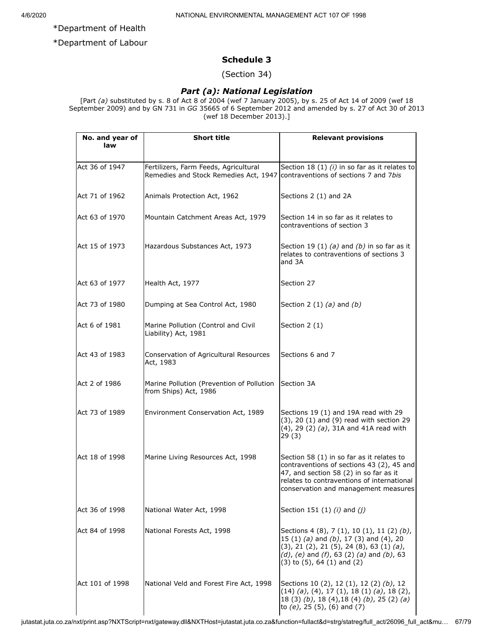- \*Department of Health
- \*Department of Labour

# **Schedule 3**

### (Section 34)

# *Part (a): National Legislation*

[Part *(a)* substituted by s. 8 of Act 8 of 2004 (wef 7 January 2005), by s. 25 of Act 14 of 2009 (wef 18 September 2009) and by GN 731 in *GG* 35665 of 6 September 2012 and amended by s. 27 of Act 30 of 2013 (wef 18 December 2013).]

| No. and year of<br>law | <b>Short title</b>                                                                                                   | <b>Relevant provisions</b>                                                                                                                                                                                                                          |
|------------------------|----------------------------------------------------------------------------------------------------------------------|-----------------------------------------------------------------------------------------------------------------------------------------------------------------------------------------------------------------------------------------------------|
|                        |                                                                                                                      |                                                                                                                                                                                                                                                     |
| Act 36 of 1947         | Fertilizers, Farm Feeds, Agricultural<br>Remedies and Stock Remedies Act, 1947 contraventions of sections 7 and 7bis | Section 18 $(1)$ $(i)$ in so far as it relates to                                                                                                                                                                                                   |
| Act 71 of 1962         | Animals Protection Act, 1962                                                                                         | Sections 2 (1) and 2A                                                                                                                                                                                                                               |
| Act 63 of 1970         | Mountain Catchment Areas Act, 1979                                                                                   | Section 14 in so far as it relates to<br>contraventions of section 3                                                                                                                                                                                |
| Act 15 of 1973         | Hazardous Substances Act, 1973                                                                                       | Section 19 (1) $(a)$ and $(b)$ in so far as it<br>relates to contraventions of sections 3<br>and 3A                                                                                                                                                 |
| Act 63 of 1977         | Health Act, 1977                                                                                                     | Section 27                                                                                                                                                                                                                                          |
| Act 73 of 1980         | Dumping at Sea Control Act, 1980                                                                                     | Section 2 $(1)$ $(a)$ and $(b)$                                                                                                                                                                                                                     |
| Act 6 of 1981          | Marine Pollution (Control and Civil<br>Liability) Act, 1981                                                          | Section 2 (1)                                                                                                                                                                                                                                       |
| Act 43 of 1983         | Conservation of Agricultural Resources<br>Act, 1983                                                                  | Sections 6 and 7                                                                                                                                                                                                                                    |
| Act 2 of 1986          | Marine Pollution (Prevention of Pollution<br>from Ships) Act, 1986                                                   | Section 3A                                                                                                                                                                                                                                          |
| Act 73 of 1989         | Environment Conservation Act, 1989                                                                                   | Sections 19 (1) and 19A read with 29<br>(3), 20 (1) and (9) read with section 29<br>(4), 29 (2) (a), 31A and 41A read with<br>29 (3)                                                                                                                |
| Act 18 of 1998         | Marine Living Resources Act, 1998                                                                                    | Section 58 (1) in so far as it relates to<br>contraventions of sections 43 (2), 45 and<br>47, and section 58 (2) in so far as it<br>relates to contraventions of international<br>conservation and management measures                              |
| lAct 36 of 1998        | National Water Act, 1998                                                                                             | Section 151 (1) (i) and (j)                                                                                                                                                                                                                         |
| Act 84 of 1998         | National Forests Act, 1998                                                                                           | Sections 4 (8), 7 (1), 10 (1), 11 (2) (b),<br>15 (1) (a) and (b), 17 (3) and (4), 20<br>$(3)$ , 21 $(2)$ , 21 $(5)$ , 24 $(8)$ , 63 $(1)$ $(a)$ ,<br>$(d)$ , $(e)$ and $(f)$ , 63 $(2)$ $(a)$ and $(b)$ , 63<br>$(3)$ to $(5)$ , 64 $(1)$ and $(2)$ |
| Act 101 of 1998        | National Veld and Forest Fire Act, 1998                                                                              | Sections 10 (2), 12 (1), 12 (2) (b), 12<br>$(14)$ $(a)$ , $(4)$ , $17$ $(1)$ , $18$ $(1)$ $(a)$ , $18$ $(2)$ ,<br>18 (3) (b), 18 (4), 18 (4) (b), 25 (2) (a)<br>to (e), 25 (5), (6) and (7)                                                         |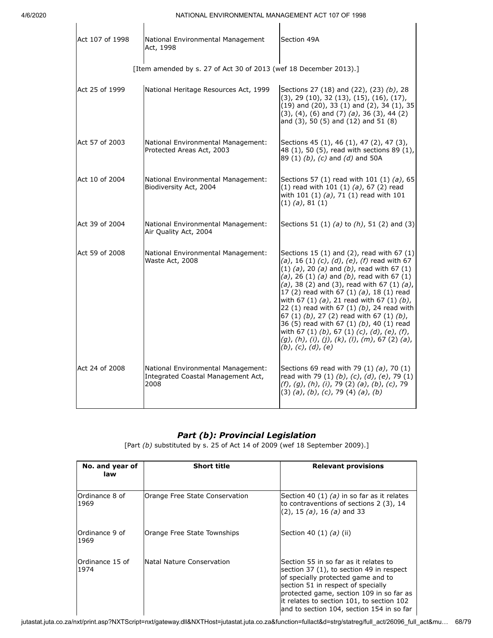| Act 107 of 1998 | National Environmental Management<br>Act, 1998                                   | Section 49A                                                                                                                                                                                                                                                                                                                                                                                                                                                                                                                                                                                       |
|-----------------|----------------------------------------------------------------------------------|---------------------------------------------------------------------------------------------------------------------------------------------------------------------------------------------------------------------------------------------------------------------------------------------------------------------------------------------------------------------------------------------------------------------------------------------------------------------------------------------------------------------------------------------------------------------------------------------------|
|                 | [Item amended by s. 27 of Act 30 of 2013 (wef 18 December 2013).]                |                                                                                                                                                                                                                                                                                                                                                                                                                                                                                                                                                                                                   |
| Act 25 of 1999  | National Heritage Resources Act, 1999                                            | Sections 27 (18) and (22), (23) (b), 28<br>$(3)$ , 29 $(10)$ , 32 $(13)$ , $(15)$ , $(16)$ , $(17)$ ,<br>(19) and (20), 33 (1) and (2), 34 (1), 35<br>$(3)$ , $(4)$ , $(6)$ and $(7)$ $(a)$ , $36$ $(3)$ , $44$ $(2)$<br>and (3), 50 (5) and (12) and 51 (8)                                                                                                                                                                                                                                                                                                                                      |
| Act 57 of 2003  | National Environmental Management:<br>Protected Areas Act, 2003                  | Sections 45 (1), 46 (1), 47 (2), 47 (3),<br>48 (1), 50 (5), read with sections 89 (1),<br>89 (1) (b), (c) and (d) and 50A                                                                                                                                                                                                                                                                                                                                                                                                                                                                         |
| Act 10 of 2004  | National Environmental Management:<br>Biodiversity Act, 2004                     | Sections 57 (1) read with 101 (1) (a), 65<br>(1) read with 101 (1) $(a)$ , 67 (2) read<br>with 101 (1) (a), 71 (1) read with 101<br>$(1)$ $(a)$ , 81 $(1)$                                                                                                                                                                                                                                                                                                                                                                                                                                        |
| Act 39 of 2004  | National Environmental Management:<br>Air Quality Act, 2004                      | Sections 51 (1) (a) to (h), 51 (2) and (3)                                                                                                                                                                                                                                                                                                                                                                                                                                                                                                                                                        |
| Act 59 of 2008  | National Environmental Management:<br>Waste Act, 2008                            | Sections 15 $(1)$ and $(2)$ , read with 67 $(1)$<br>(a), 16 (1) (c), (d), (e), (f) read with 67<br>$(1)$ (a), 20 (a) and (b), read with 67 (1)<br>(a), 26 (1) (a) and (b), read with 67 (1)<br>(a), 38 (2) and (3), read with 67 (1) (a),<br>17 (2) read with 67 (1) (a), 18 (1) read<br>with 67 (1) (a), 21 read with 67 (1) (b),<br>22 (1) read with 67 (1) (b), 24 read with<br>67 (1) (b), 27 (2) read with 67 (1) (b),<br>36 (5) read with 67 (1) (b), 40 (1) read<br>with 67 (1) (b), 67 (1) (c), (d), (e), (f),<br>$(g)$ , (h), (i), (j), (k), (l), (m), 67 (2) (a),<br>(b), (c), (d), (e) |
| Act 24 of 2008  | National Environmental Management:<br>Integrated Coastal Management Act,<br>2008 | Sections 69 read with 79 (1) (a), 70 (1)<br>read with 79 (1) (b), (c), (d), (e), 79 (1)<br>$(f)$ , $(g)$ , $(h)$ , $(i)$ , 79 $(2)$ $(a)$ , $(b)$ , $(c)$ , 79<br>$(3)$ (a), (b), (c), 79 (4) (a), (b)                                                                                                                                                                                                                                                                                                                                                                                            |

# *Part (b): Provincial Legislation*

[Part *(b)* substituted by s. 25 of Act 14 of 2009 (wef 18 September 2009).]

| No. and year of<br>law   | <b>Short title</b>             | <b>Relevant provisions</b>                                                                                                                                                                                                                                                                          |
|--------------------------|--------------------------------|-----------------------------------------------------------------------------------------------------------------------------------------------------------------------------------------------------------------------------------------------------------------------------------------------------|
| lOrdinance 8 of<br>1969  | Orange Free State Conservation | Section 40 $(1)$ (a) in so far as it relates<br>to contraventions of sections 2 (3), 14<br>$(2)$ , 15 $(a)$ , 16 $(a)$ and 33                                                                                                                                                                       |
| Ordinance 9 of<br>1969   | Orange Free State Townships    | Section 40 (1) (a) (ii)                                                                                                                                                                                                                                                                             |
| lOrdinance 15 of<br>1974 | Natal Nature Conservation      | Section 55 in so far as it relates to<br>section 37 (1), to section 49 in respect<br>of specially protected game and to<br>section 51 in respect of specially<br>protected game, section 109 in so far as<br>it relates to section 101, to section 102<br>and to section 104, section 154 in so far |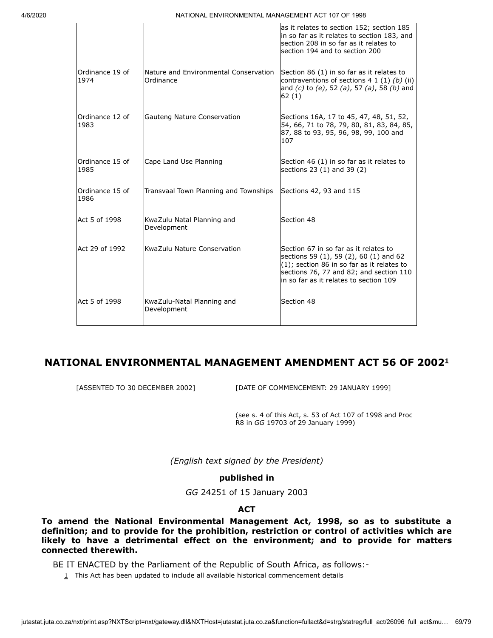|                         |                                                    | as it relates to section 152; section 185<br>in so far as it relates to section 183, and<br>section 208 in so far as it relates to<br>section 194 and to section 200                                                  |
|-------------------------|----------------------------------------------------|-----------------------------------------------------------------------------------------------------------------------------------------------------------------------------------------------------------------------|
| Ordinance 19 of<br>1974 | Nature and Environmental Conservation<br>Ordinance | Section 86 (1) in so far as it relates to<br>contraventions of sections $4 1 (1) (b) (ii)$<br>and (c) to (e), 52 (a), 57 (a), 58 (b) and<br>62(1)                                                                     |
| Ordinance 12 of<br>1983 | Gauteng Nature Conservation                        | Sections 16A, 17 to 45, 47, 48, 51, 52,<br>54, 66, 71 to 78, 79, 80, 81, 83, 84, 85,<br>87, 88 to 93, 95, 96, 98, 99, 100 and<br>107                                                                                  |
| Ordinance 15 of<br>1985 | Cape Land Use Planning                             | Section 46 (1) in so far as it relates to<br>sections 23 (1) and 39 (2)                                                                                                                                               |
| Ordinance 15 of<br>1986 | Transvaal Town Planning and Townships              | Sections 42, 93 and 115                                                                                                                                                                                               |
| Act 5 of 1998           | KwaZulu Natal Planning and<br>Development          | Section 48                                                                                                                                                                                                            |
| Act 29 of 1992          | KwaZulu Nature Conservation                        | Section 67 in so far as it relates to<br>sections 59 (1), 59 (2), 60 (1) and 62<br>$(1)$ ; section 86 in so far as it relates to<br>sections 76, 77 and 82; and section 110<br>in so far as it relates to section 109 |
| Act 5 of 1998           | KwaZulu-Natal Planning and<br>Development          | Section 48                                                                                                                                                                                                            |

# **NATIONAL ENVIRONMENTAL MANAGEMENT AMENDMENT ACT 56 OF 2002 [1](#page-68-0)**

[ASSENTED TO 30 DECEMBER 2002] [DATE OF COMMENCEMENT: 29 JANUARY 1999]

(see s. 4 of this Act, s. 53 of Act 107 of 1998 and Proc R8 in *GG* 19703 of 29 January 1999)

*(English text signed by the President)*

#### **published in**

*GG* 24251 of 15 January 2003

#### **ACT**

**To amend the National Environmental Management Act, 1998, so as to substitute a definition; and to provide for the prohibition, restriction or control of activities which are likely to have a detrimental effect on the environment; and to provide for matters connected therewith.**

<span id="page-68-0"></span>BE IT ENACTED by the Parliament of the Republic of South Africa, as follows:-

 $1$  This Act has been updated to include all available historical commencement details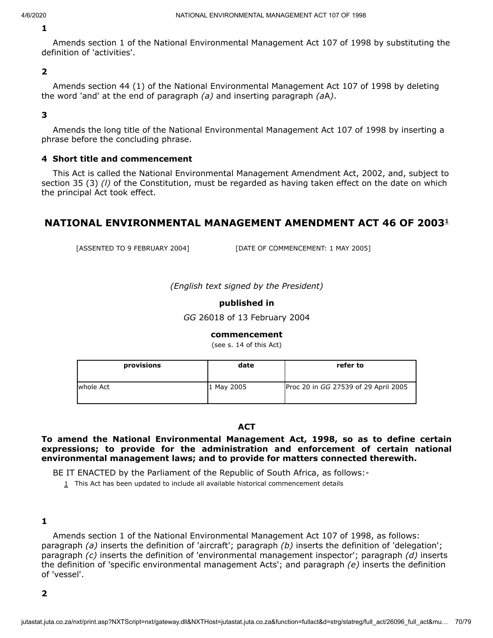#### **1**

Amends section 1 of the National Environmental Management Act 107 of 1998 by substituting the definition of 'activities'.

### **2**

Amends section 44 (1) of the National Environmental Management Act 107 of 1998 by deleting the word 'and' at the end of paragraph *(a)* and inserting paragraph *(a*A*)*.

#### **3**

Amends the long title of the National Environmental Management Act 107 of 1998 by inserting a phrase before the concluding phrase.

### **4 Short title and commencement**

This Act is called the National Environmental Management Amendment Act, 2002, and, subject to section 35 (3) *(l)* of the Constitution, must be regarded as having taken effect on the date on which the principal Act took effect.

# **NATIONAL ENVIRONMENTAL MANAGEMENT AMENDMENT ACT 46 OF 2003 [1](#page-69-0)**

[ASSENTED TO 9 FEBRUARY 2004] [DATE OF COMMENCEMENT: 1 MAY 2005]

*(English text signed by the President)*

### **published in**

*GG* 26018 of 13 February 2004

#### **commencement**

(see s. 14 of this Act)

| provisions | date       | refer to                             |
|------------|------------|--------------------------------------|
| whole Act  | 1 May 2005 | Proc 20 in GG 27539 of 29 April 2005 |

#### **ACT**

**To amend the National Environmental Management Act, 1998, so as to define certain expressions; to provide for the administration and enforcement of certain national environmental management laws; and to provide for matters connected therewith.**

<span id="page-69-0"></span>BE IT ENACTED by the Parliament of the Republic of South Africa, as follows:-

 $1$  This Act has been updated to include all available historical commencement details

#### **1**

Amends section 1 of the National Environmental Management Act 107 of 1998, as follows: paragraph *(a)* inserts the definition of 'aircraft'; paragraph *(b)* inserts the definition of 'delegation'; paragraph *(c)* inserts the definition of 'environmental management inspector'; paragraph *(d)* inserts the definition of 'specific environmental management Acts'; and paragraph *(e)* inserts the definition of 'vessel'.

**2**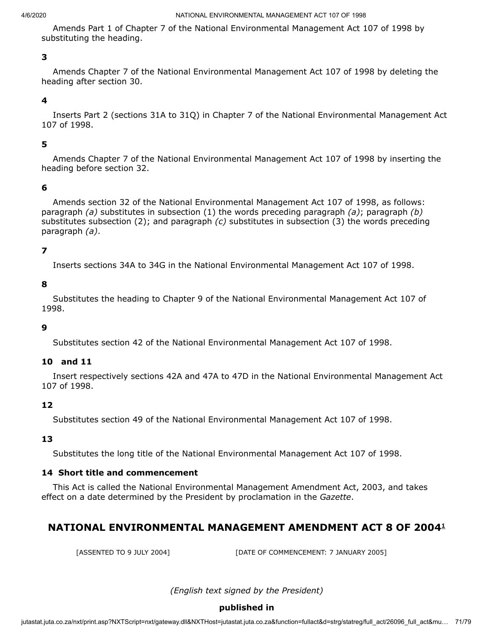Amends Part 1 of Chapter 7 of the National Environmental Management Act 107 of 1998 by substituting the heading.

## **3**

Amends Chapter 7 of the National Environmental Management Act 107 of 1998 by deleting the heading after section 30.

### **4**

Inserts Part 2 (sections 31A to 31Q) in Chapter 7 of the National Environmental Management Act 107 of 1998.

### **5**

Amends Chapter 7 of the National Environmental Management Act 107 of 1998 by inserting the heading before section 32.

### **6**

Amends section 32 of the National Environmental Management Act 107 of 1998, as follows: paragraph *(a)* substitutes in subsection (1) the words preceding paragraph *(a)*; paragraph *(b)* substitutes subsection (2); and paragraph *(c)* substitutes in subsection (3) the words preceding paragraph *(a)*.

### **7**

Inserts sections 34A to 34G in the National Environmental Management Act 107 of 1998.

### **8**

Substitutes the heading to Chapter 9 of the National Environmental Management Act 107 of 1998.

#### **9**

Substitutes section 42 of the National Environmental Management Act 107 of 1998.

#### **10 and 11**

Insert respectively sections 42A and 47A to 47D in the National Environmental Management Act 107 of 1998.

### **12**

Substitutes section 49 of the National Environmental Management Act 107 of 1998.

### **13**

Substitutes the long title of the National Environmental Management Act 107 of 1998.

#### **14 Short title and commencement**

This Act is called the National Environmental Management Amendment Act, 2003, and takes effect on a date determined by the President by proclamation in the *Gazette*.

# **NATIONAL ENVIRONMENTAL MANAGEMENT AMENDMENT ACT 8 OF 2004 [1](#page-71-0)**

[ASSENTED TO 9 JULY 2004] [DATE OF COMMENCEMENT: 7 JANUARY 2005]

*(English text signed by the President)*

#### **published in**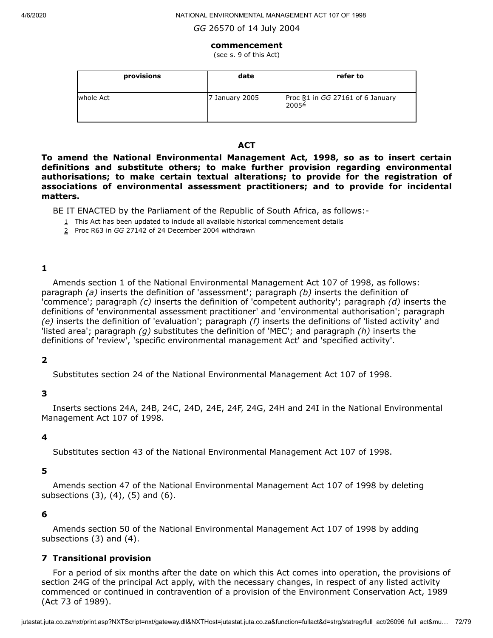*GG* 26570 of 14 July 2004

#### **commencement**

(see s. 9 of this Act)

| provisions | date           | refer to                                              |
|------------|----------------|-------------------------------------------------------|
| whole Act  | 7 January 2005 | Proc R1 in GG 27161 of 6 January<br>2005 <sup>∠</sup> |

### **ACT**

**To amend the National Environmental Management Act, 1998, so as to insert certain definitions and substitute others; to make further provision regarding environmental authorisations; to make certain textual alterations; to provide for the registration of associations of environmental assessment practitioners; and to provide for incidental matters.**

<span id="page-71-0"></span>BE IT ENACTED by the Parliament of the Republic of South Africa, as follows:-

<span id="page-71-1"></span> $1$  This Act has been updated to include all available historical commencement details

2 Proc R63 in *GG* 27142 of 24 December 2004 withdrawn

# **1**

Amends section 1 of the National Environmental Management Act 107 of 1998, as follows: paragraph *(a)* inserts the definition of 'assessment'; paragraph *(b)* inserts the definition of 'commence'; paragraph *(c)* inserts the definition of 'competent authority'; paragraph *(d)* inserts the definitions of 'environmental assessment practitioner' and 'environmental authorisation'; paragraph *(e)* inserts the definition of 'evaluation'; paragraph *(f)* inserts the definitions of 'listed activity' and 'listed area'; paragraph *(g)* substitutes the definition of 'MEC'; and paragraph *(h)* inserts the definitions of 'review', 'specific environmental management Act' and 'specified activity'.

### **2**

Substitutes section 24 of the National Environmental Management Act 107 of 1998.

### **3**

Inserts sections 24A, 24B, 24C, 24D, 24E, 24F, 24G, 24H and 24I in the National Environmental Management Act 107 of 1998.

### **4**

Substitutes section 43 of the National Environmental Management Act 107 of 1998.

### **5**

Amends section 47 of the National Environmental Management Act 107 of 1998 by deleting subsections (3), (4), (5) and (6).

### **6**

Amends section 50 of the National Environmental Management Act 107 of 1998 by adding subsections (3) and (4).

### **7 Transitional provision**

For a period of six months after the date on which this Act comes into operation, the provisions of section 24G of the principal Act apply, with the necessary changes, in respect of any listed activity commenced or continued in contravention of a provision of the Environment Conservation Act, 1989 (Act 73 of 1989).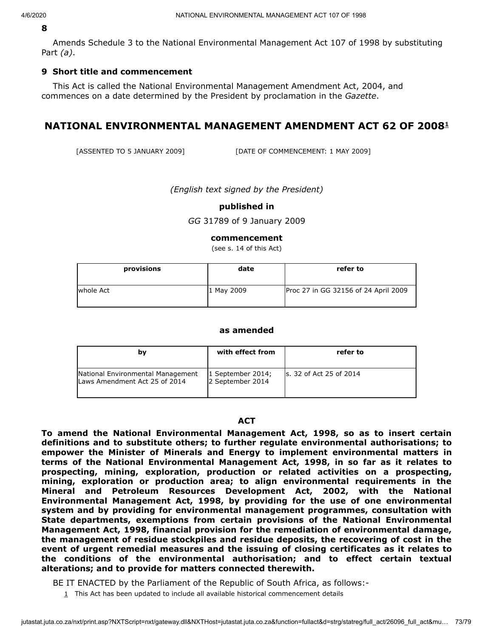### **8**

Amends Schedule 3 to the National Environmental Management Act 107 of 1998 by substituting Part *(a)*.

### **9 Short title and commencement**

This Act is called the National Environmental Management Amendment Act, 2004, and commences on a date determined by the President by proclamation in the *Gazette*.

# **NATIONAL ENVIRONMENTAL MANAGEMENT AMENDMENT ACT 62 OF 2008 [1](#page-72-0)**

[ASSENTED TO 5 JANUARY 2009] [DATE OF COMMENCEMENT: 1 MAY 2009]

*(English text signed by the President)*

### **published in**

*GG* 31789 of 9 January 2009

#### **commencement**

(see s. 14 of this Act)

| provisions | date       | refer to                             |
|------------|------------|--------------------------------------|
| lwhole Act | 1 May 2009 | Proc 27 in GG 32156 of 24 April 2009 |

#### **as amended**

| b٧                                                                 | with effect from                      | refer to                |
|--------------------------------------------------------------------|---------------------------------------|-------------------------|
| National Environmental Management<br>Laws Amendment Act 25 of 2014 | 1 September 2014;<br>2 September 2014 | s. 32 of Act 25 of 2014 |

#### **ACT**

**To amend the National Environmental Management Act, 1998, so as to insert certain definitions and to substitute others; to further regulate environmental authorisations; to empower the Minister of Minerals and Energy to implement environmental matters in terms of the National Environmental Management Act, 1998, in so far as it relates to prospecting, mining, exploration, production or related activities on a prospecting, mining, exploration or production area; to align environmental requirements in the Mineral and Petroleum Resources Development Act, 2002, with the National Environmental Management Act, 1998, by providing for the use of one environmental system and by providing for environmental management programmes, consultation with State departments, exemptions from certain provisions of the National Environmental Management Act, 1998, financial provision for the remediation of environmental damage, the management of residue stockpiles and residue deposits, the recovering of cost in the event of urgent remedial measures and the issuing of closing certificates as it relates to the conditions of the environmental authorisation; and to effect certain textual alterations; and to provide for matters connected therewith.**

<span id="page-72-0"></span>BE IT ENACTED by the Parliament of the Republic of South Africa, as follows:-

 $1$  This Act has been updated to include all available historical commencement details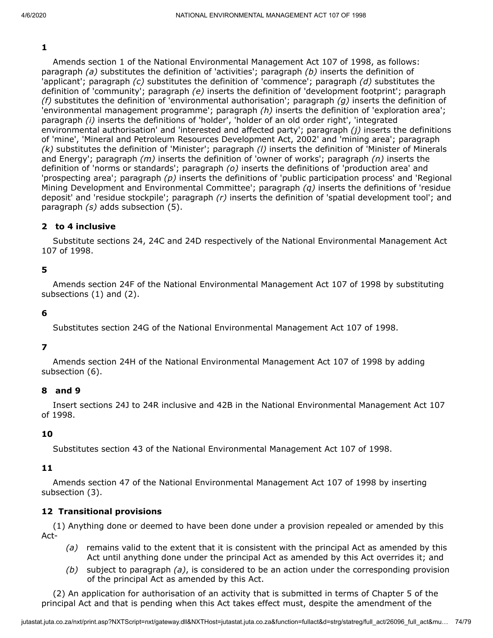### **1**

Amends section 1 of the National Environmental Management Act 107 of 1998, as follows: paragraph *(a)* substitutes the definition of 'activities'; paragraph *(b)* inserts the definition of 'applicant'; paragraph *(c)* substitutes the definition of 'commence'; paragraph *(d)* substitutes the definition of 'community'; paragraph *(e)* inserts the definition of 'development footprint'; paragraph *(f)* substitutes the definition of 'environmental authorisation'; paragraph *(g)* inserts the definition of 'environmental management programme'; paragraph *(h)* inserts the definition of 'exploration area'; paragraph *(i)* inserts the definitions of 'holder', 'holder of an old order right', 'integrated environmental authorisation' and 'interested and affected party'; paragraph *(j)* inserts the definitions of 'mine', 'Mineral and Petroleum Resources Development Act, 2002' and 'mining area'; paragraph *(k)* substitutes the definition of 'Minister'; paragraph *(l)* inserts the definition of 'Minister of Minerals and Energy'; paragraph *(m)* inserts the definition of 'owner of works'; paragraph *(n)* inserts the definition of 'norms or standards'; paragraph *(o)* inserts the definitions of 'production area' and 'prospecting area'; paragraph *(p)* inserts the definitions of 'public participation process' and 'Regional Mining Development and Environmental Committee'; paragraph *(q)* inserts the definitions of 'residue deposit' and 'residue stockpile'; paragraph *(r)* inserts the definition of 'spatial development tool'; and paragraph *(s)* adds subsection (5).

### **2 to 4 inclusive**

Substitute sections 24, 24C and 24D respectively of the National Environmental Management Act 107 of 1998.

### **5**

Amends section 24F of the National Environmental Management Act 107 of 1998 by substituting subsections (1) and (2).

### **6**

Substitutes section 24G of the National Environmental Management Act 107 of 1998.

## **7**

Amends section 24H of the National Environmental Management Act 107 of 1998 by adding subsection (6).

### **8 and 9**

Insert sections 24J to 24R inclusive and 42B in the National Environmental Management Act 107 of 1998.

### **10**

Substitutes section 43 of the National Environmental Management Act 107 of 1998.

### **11**

Amends section 47 of the National Environmental Management Act 107 of 1998 by inserting subsection (3).

### **12 Transitional provisions**

(1) Anything done or deemed to have been done under a provision repealed or amended by this Act-

- *(a)* remains valid to the extent that it is consistent with the principal Act as amended by this Act until anything done under the principal Act as amended by this Act overrides it; and
- *(b)* subject to paragraph *(a)*, is considered to be an action under the corresponding provision of the principal Act as amended by this Act.

(2) An application for authorisation of an activity that is submitted in terms of Chapter 5 of the principal Act and that is pending when this Act takes effect must, despite the amendment of the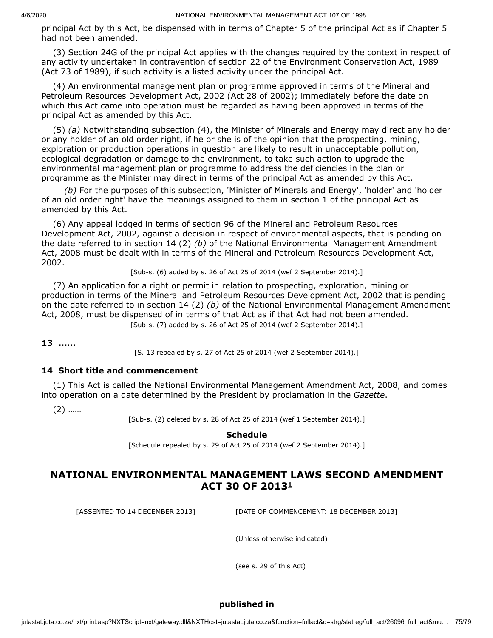principal Act by this Act, be dispensed with in terms of Chapter 5 of the principal Act as if Chapter 5 had not been amended.

(3) Section 24G of the principal Act applies with the changes required by the context in respect of any activity undertaken in contravention of section 22 of the Environment Conservation Act, 1989 (Act 73 of 1989), if such activity is a listed activity under the principal Act.

(4) An environmental management plan or programme approved in terms of the Mineral and Petroleum Resources Development Act, 2002 (Act 28 of 2002); immediately before the date on which this Act came into operation must be regarded as having been approved in terms of the principal Act as amended by this Act.

(5) *(a)* Notwithstanding subsection (4), the Minister of Minerals and Energy may direct any holder or any holder of an old order right, if he or she is of the opinion that the prospecting, mining, exploration or production operations in question are likely to result in unacceptable pollution, ecological degradation or damage to the environment, to take such action to upgrade the environmental management plan or programme to address the deficiencies in the plan or programme as the Minister may direct in terms of the principal Act as amended by this Act.

*(b)* For the purposes of this subsection, 'Minister of Minerals and Energy', 'holder' and 'holder of an old order right' have the meanings assigned to them in section 1 of the principal Act as amended by this Act.

(6) Any appeal lodged in terms of section 96 of the Mineral and Petroleum Resources Development Act, 2002, against a decision in respect of environmental aspects, that is pending on the date referred to in section 14 (2) *(b)* of the National Environmental Management Amendment Act, 2008 must be dealt with in terms of the Mineral and Petroleum Resources Development Act, 2002.

[Sub-s. (6) added by s. 26 of Act 25 of 2014 (wef 2 September 2014).]

(7) An application for a right or permit in relation to prospecting, exploration, mining or production in terms of the Mineral and Petroleum Resources Development Act, 2002 that is pending on the date referred to in section 14 (2) *(b)* of the National Environmental Management Amendment Act, 2008, must be dispensed of in terms of that Act as if that Act had not been amended. [Sub-s. (7) added by s. 26 of Act 25 of 2014 (wef 2 September 2014).]

#### **13 ......**

[S. 13 repealed by s. 27 of Act 25 of 2014 (wef 2 September 2014).]

#### **14 Short title and commencement**

(1) This Act is called the National Environmental Management Amendment Act, 2008, and comes into operation on a date determined by the President by proclamation in the *Gazette*.

(2) ……

[Sub-s. (2) deleted by s. 28 of Act 25 of 2014 (wef 1 September 2014).]

#### **Schedule**

[Schedule repealed by s. 29 of Act 25 of 2014 (wef 2 September 2014).]

## **NATIONAL ENVIRONMENTAL MANAGEMENT LAWS SECOND AMENDMENT ACT 30 OF 2013 [1](#page-75-0)**

[ASSENTED TO 14 DECEMBER 2013] [DATE OF COMMENCEMENT: 18 DECEMBER 2013]

(Unless otherwise indicated)

(see s. 29 of this Act)

### **published in**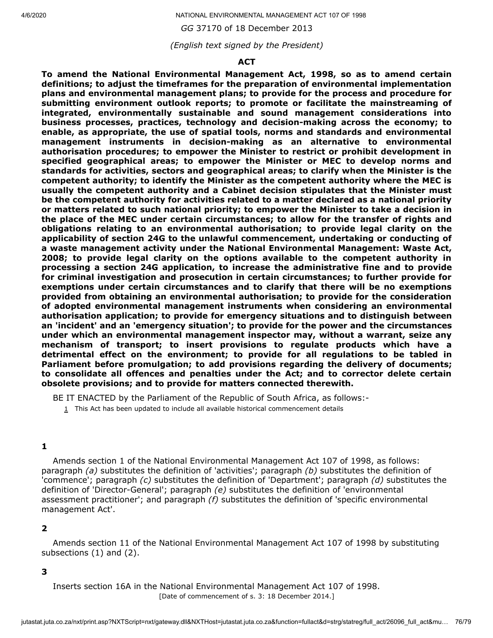*GG* 37170 of 18 December 2013

*(English text signed by the President)*

#### **ACT**

**To amend the National Environmental Management Act, 1998, so as to amend certain definitions; to adjust the timeframes for the preparation of environmental implementation plans and environmental management plans; to provide for the process and procedure for submitting environment outlook reports; to promote or facilitate the mainstreaming of integrated, environmentally sustainable and sound management considerations into business processes, practices, technology and decision-making across the economy; to enable, as appropriate, the use of spatial tools, norms and standards and environmental management instruments in decision-making as an alternative to environmental authorisation procedures; to empower the Minister to restrict or prohibit development in specified geographical areas; to empower the Minister or MEC to develop norms and standards for activities, sectors and geographical areas; to clarify when the Minister is the competent authority; to identify the Minister as the competent authority where the MEC is usually the competent authority and a Cabinet decision stipulates that the Minister must be the competent authority for activities related to a matter declared as a national priority or matters related to such national priority; to empower the Minister to take a decision in the place of the MEC under certain circumstances; to allow for the transfer of rights and obligations relating to an environmental authorisation; to provide legal clarity on the applicability of section 24G to the unlawful commencement, undertaking or conducting of a waste management activity under the National Environmental Management: Waste Act, 2008; to provide legal clarity on the options available to the competent authority in processing a section 24G application, to increase the administrative fine and to provide for criminal investigation and prosecution in certain circumstances; to further provide for exemptions under certain circumstances and to clarify that there will be no exemptions provided from obtaining an environmental authorisation; to provide for the consideration of adopted environmental management instruments when considering an environmental authorisation application; to provide for emergency situations and to distinguish between an 'incident' and an 'emergency situation'; to provide for the power and the circumstances under which an environmental management inspector may, without a warrant, seize any mechanism of transport; to insert provisions to regulate products which have a detrimental effect on the environment; to provide for all regulations to be tabled in Parliament before promulgation; to add provisions regarding the delivery of documents; to consolidate all offences and penalties under the Act; and to corrector delete certain obsolete provisions; and to provide for matters connected therewith.**

<span id="page-75-0"></span>BE IT ENACTED by the Parliament of the Republic of South Africa, as follows:-

 $1$  This Act has been updated to include all available historical commencement details

### **1**

Amends section 1 of the National Environmental Management Act 107 of 1998, as follows: paragraph *(a)* substitutes the definition of 'activities'; paragraph *(b)* substitutes the definition of 'commence'; paragraph *(c)* substitutes the definition of 'Department'; paragraph *(d)* substitutes the definition of 'Director-General'; paragraph *(e)* substitutes the definition of 'environmental assessment practitioner'; and paragraph *(f)* substitutes the definition of 'specific environmental management Act'.

### **2**

Amends section 11 of the National Environmental Management Act 107 of 1998 by substituting subsections (1) and (2).

#### **3**

Inserts section 16A in the National Environmental Management Act 107 of 1998. [Date of commencement of s. 3: 18 December 2014.]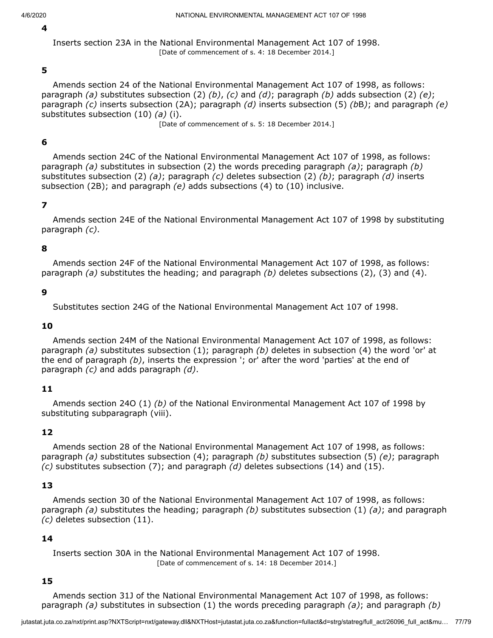### **4**

Inserts section 23A in the National Environmental Management Act 107 of 1998. [Date of commencement of s. 4: 18 December 2014.]

### **5**

Amends section 24 of the National Environmental Management Act 107 of 1998, as follows: paragraph *(a)* substitutes subsection (2) *(b)*, *(c)* and *(d)*; paragraph *(b)* adds subsection (2) *(e)*; paragraph *(c)* inserts subsection (2A); paragraph *(d)* inserts subsection (5) *(b*B*)*; and paragraph *(e)* substitutes subsection (10) *(a)* (i).

[Date of commencement of s. 5: 18 December 2014.]

### **6**

Amends section 24C of the National Environmental Management Act 107 of 1998, as follows: paragraph *(a)* substitutes in subsection (2) the words preceding paragraph *(a)*; paragraph *(b)* substitutes subsection (2) *(a)*; paragraph *(c)* deletes subsection (2) *(b)*; paragraph *(d)* inserts subsection (2B); and paragraph *(e)* adds subsections (4) to (10) inclusive.

#### **7**

Amends section 24E of the National Environmental Management Act 107 of 1998 by substituting paragraph *(c)*.

#### **8**

Amends section 24F of the National Environmental Management Act 107 of 1998, as follows: paragraph *(a)* substitutes the heading; and paragraph *(b)* deletes subsections (2), (3) and (4).

### **9**

Substitutes section 24G of the National Environmental Management Act 107 of 1998.

#### **10**

Amends section 24M of the National Environmental Management Act 107 of 1998, as follows: paragraph *(a)* substitutes subsection (1); paragraph *(b)* deletes in subsection (4) the word 'or' at the end of paragraph *(b)*, inserts the expression '; or' after the word 'parties' at the end of paragraph *(c)* and adds paragraph *(d)*.

#### **11**

Amends section 24O (1) *(b)* of the National Environmental Management Act 107 of 1998 by substituting subparagraph (viii).

#### **12**

Amends section 28 of the National Environmental Management Act 107 of 1998, as follows: paragraph *(a)* substitutes subsection (4); paragraph *(b)* substitutes subsection (5) *(e)*; paragraph *(c)* substitutes subsection (7); and paragraph *(d)* deletes subsections (14) and (15).

#### **13**

Amends section 30 of the National Environmental Management Act 107 of 1998, as follows: paragraph *(a)* substitutes the heading; paragraph *(b)* substitutes subsection (1) *(a)*; and paragraph *(c)* deletes subsection (11).

#### **14**

Inserts section 30A in the National Environmental Management Act 107 of 1998. [Date of commencement of s. 14: 18 December 2014.]

### **15**

Amends section 31J of the National Environmental Management Act 107 of 1998, as follows: paragraph *(a)* substitutes in subsection (1) the words preceding paragraph *(a)*; and paragraph *(b)*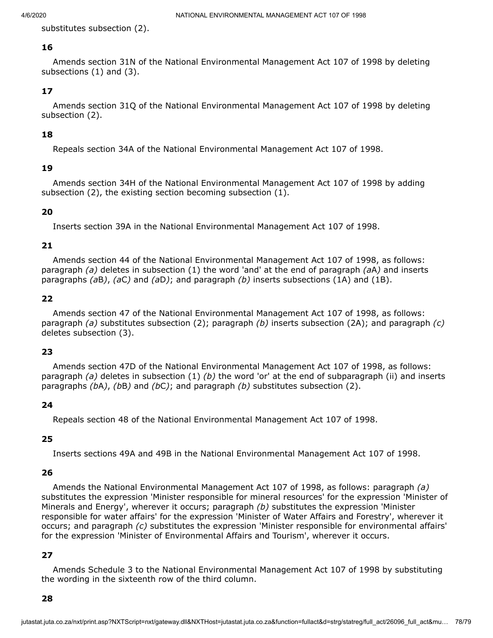substitutes subsection (2).

#### **16**

Amends section 31N of the National Environmental Management Act 107 of 1998 by deleting subsections (1) and (3).

#### **17**

Amends section 31Q of the National Environmental Management Act 107 of 1998 by deleting subsection (2).

#### **18**

Repeals section 34A of the National Environmental Management Act 107 of 1998.

### **19**

Amends section 34H of the National Environmental Management Act 107 of 1998 by adding subsection (2), the existing section becoming subsection (1).

### **20**

Inserts section 39A in the National Environmental Management Act 107 of 1998.

### **21**

Amends section 44 of the National Environmental Management Act 107 of 1998, as follows: paragraph *(a)* deletes in subsection (1) the word 'and' at the end of paragraph *(a*A*)* and inserts paragraphs *(a*B*)*, *(a*C*)* and *(a*D*)*; and paragraph *(b)* inserts subsections (1A) and (1B).

#### **22**

Amends section 47 of the National Environmental Management Act 107 of 1998, as follows: paragraph *(a)* substitutes subsection (2); paragraph *(b)* inserts subsection (2A); and paragraph *(c)* deletes subsection (3).

#### **23**

Amends section 47D of the National Environmental Management Act 107 of 1998, as follows: paragraph *(a)* deletes in subsection (1) *(b)* the word 'or' at the end of subparagraph (ii) and inserts paragraphs *(b*A*)*, *(b*B*)* and *(b*C*)*; and paragraph *(b)* substitutes subsection (2).

#### **24**

Repeals section 48 of the National Environmental Management Act 107 of 1998.

### **25**

Inserts sections 49A and 49B in the National Environmental Management Act 107 of 1998.

#### **26**

Amends the National Environmental Management Act 107 of 1998, as follows: paragraph *(a)* substitutes the expression 'Minister responsible for mineral resources' for the expression 'Minister of Minerals and Energy', wherever it occurs; paragraph *(b)* substitutes the expression 'Minister responsible for water affairs' for the expression 'Minister of Water Affairs and Forestry', wherever it occurs; and paragraph *(c)* substitutes the expression 'Minister responsible for environmental affairs' for the expression 'Minister of Environmental Affairs and Tourism', wherever it occurs.

#### **27**

Amends Schedule 3 to the National Environmental Management Act 107 of 1998 by substituting the wording in the sixteenth row of the third column.

### **28**